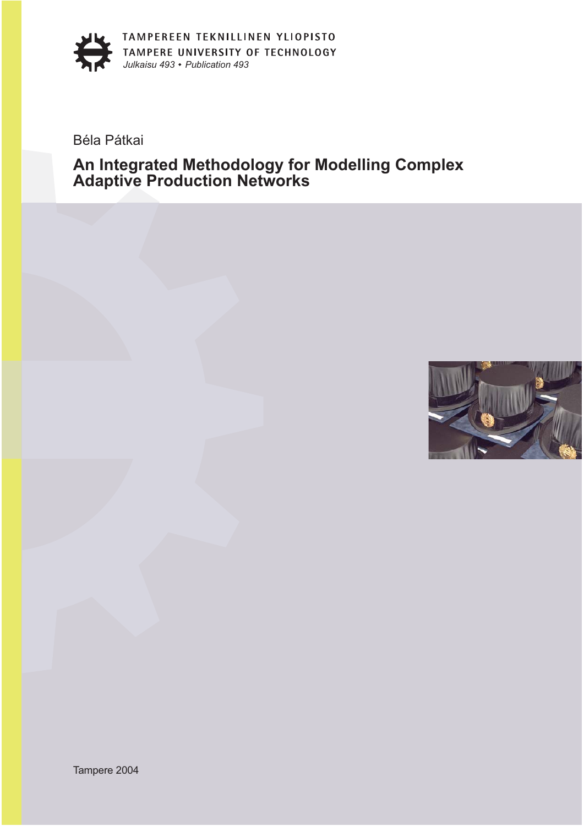

Béla Pátkai

# An Integrated Methodology for Modelling Complex<br>Adaptive Production Networks

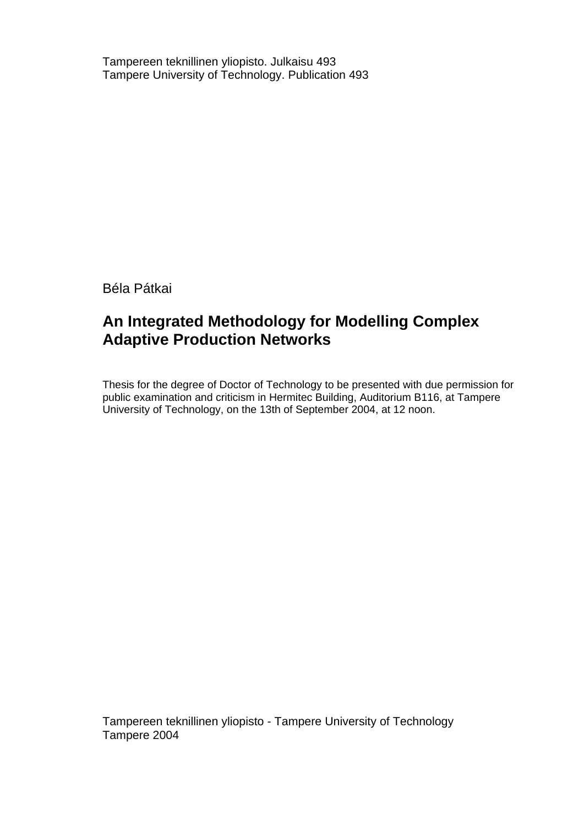Tampereen teknillinen yliopisto. Julkaisu 493 Tampere University of Technology. Publication 493

Béla Pátkai

## **An Integrated Methodology for Modelling Complex Adaptive Production Networks**

Thesis for the degree of Doctor of Technology to be presented with due permission for public examination and criticism in Hermitec Building, Auditorium B116, at Tampere University of Technology, on the 13th of September 2004, at 12 noon.

Tampereen teknillinen yliopisto - Tampere University of Technology Tampere 2004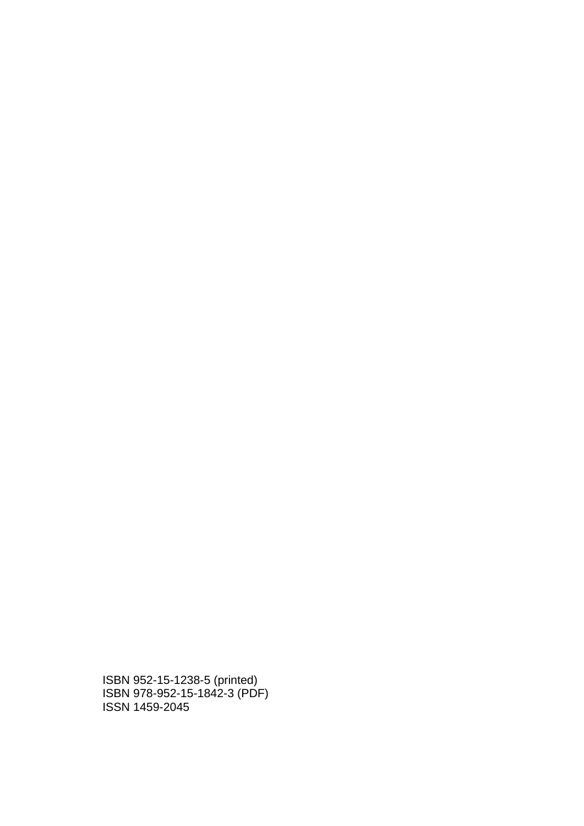ISBN 952-15-1238-5 (printed) ISBN 978-952-15-1842-3 (PDF) ISSN 1459-2045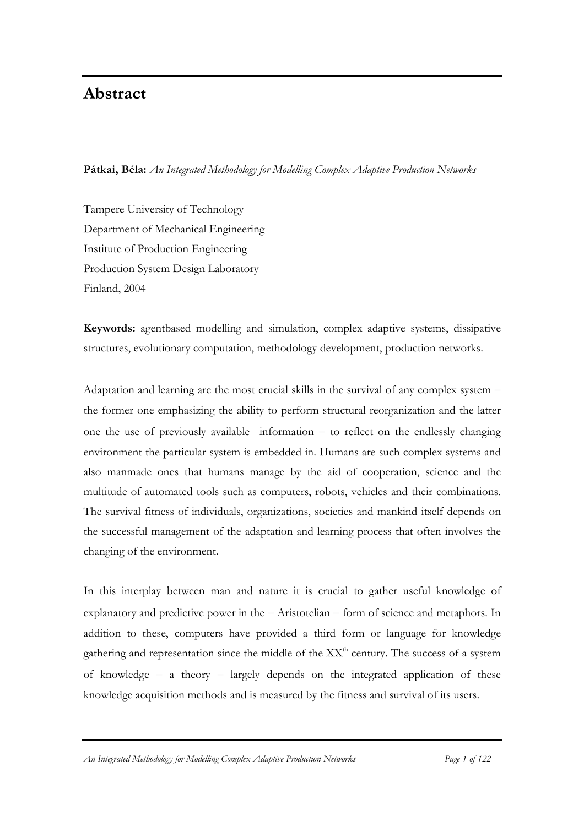### **Abstract**

**Pátkai, Béla:** *An Integrated Methodology for Modelling Complex Adaptive Production Networks*

Tampere University of Technology Department of Mechanical Engineering Institute of Production Engineering Production System Design Laboratory Finland, 2004

**Keywords:** agentbased modelling and simulation, complex adaptive systems, dissipative structures, evolutionary computation, methodology development, production networks.

Adaptation and learning are the most crucial skills in the survival of any complex system − the former one emphasizing the ability to perform structural reorganization and the latter one the use of previously available information − to reflect on the endlessly changing environment the particular system is embedded in. Humans are such complex systems and also manmade ones that humans manage by the aid of cooperation, science and the multitude of automated tools such as computers, robots, vehicles and their combinations. The survival fitness of individuals, organizations, societies and mankind itself depends on the successful management of the adaptation and learning process that often involves the changing of the environment.

In this interplay between man and nature it is crucial to gather useful knowledge of explanatory and predictive power in the − Aristotelian − form of science and metaphors. In addition to these, computers have provided a third form or language for knowledge gathering and representation since the middle of the XX<sup>th</sup> century. The success of a system of knowledge − a theory − largely depends on the integrated application of these knowledge acquisition methods and is measured by the fitness and survival of its users.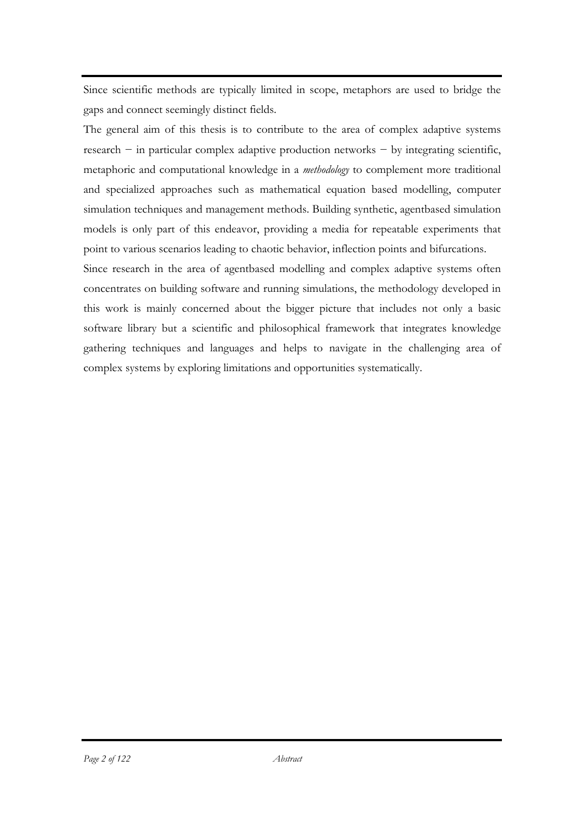Since scientific methods are typically limited in scope, metaphors are used to bridge the gaps and connect seemingly distinct fields.

The general aim of this thesis is to contribute to the area of complex adaptive systems research − in particular complex adaptive production networks − by integrating scientific, metaphoric and computational knowledge in a *methodology* to complement more traditional and specialized approaches such as mathematical equation based modelling, computer simulation techniques and management methods. Building synthetic, agentbased simulation models is only part of this endeavor, providing a media for repeatable experiments that point to various scenarios leading to chaotic behavior, inflection points and bifurcations.

Since research in the area of agentbased modelling and complex adaptive systems often concentrates on building software and running simulations, the methodology developed in this work is mainly concerned about the bigger picture that includes not only a basic software library but a scientific and philosophical framework that integrates knowledge gathering techniques and languages and helps to navigate in the challenging area of complex systems by exploring limitations and opportunities systematically.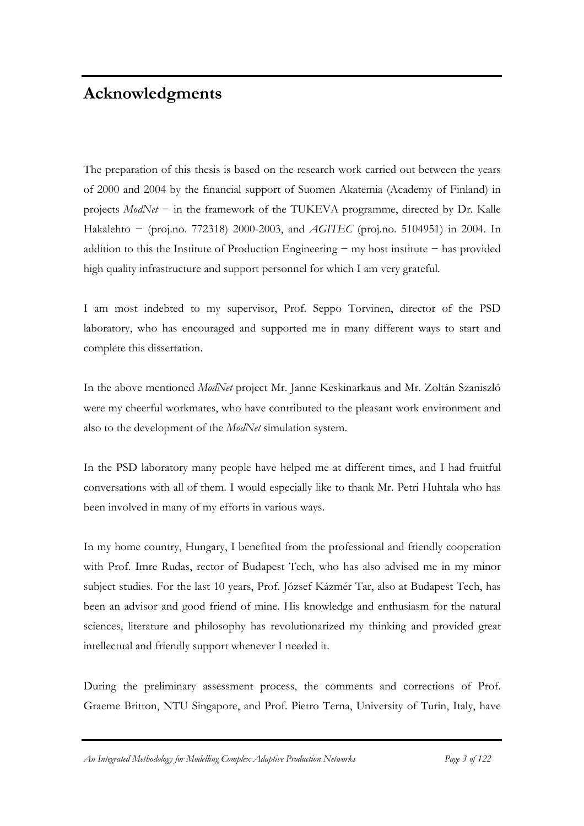## **Acknowledgments**

The preparation of this thesis is based on the research work carried out between the years of 2000 and 2004 by the financial support of Suomen Akatemia (Academy of Finland) in projects *ModNet* − in the framework of the TUKEVA programme, directed by Dr. Kalle Hakalehto − (proj.no. 772318) 2000-2003, and *AGITEC* (proj.no. 5104951) in 2004. In addition to this the Institute of Production Engineering − my host institute − has provided high quality infrastructure and support personnel for which I am very grateful.

I am most indebted to my supervisor, Prof. Seppo Torvinen, director of the PSD laboratory, who has encouraged and supported me in many different ways to start and complete this dissertation.

In the above mentioned *ModNet* project Mr. Janne Keskinarkaus and Mr. Zoltán Szaniszló were my cheerful workmates, who have contributed to the pleasant work environment and also to the development of the *ModNet* simulation system.

In the PSD laboratory many people have helped me at different times, and I had fruitful conversations with all of them. I would especially like to thank Mr. Petri Huhtala who has been involved in many of my efforts in various ways.

In my home country, Hungary, I benefited from the professional and friendly cooperation with Prof. Imre Rudas, rector of Budapest Tech, who has also advised me in my minor subject studies. For the last 10 years, Prof. József Kázmér Tar, also at Budapest Tech, has been an advisor and good friend of mine. His knowledge and enthusiasm for the natural sciences, literature and philosophy has revolutionarized my thinking and provided great intellectual and friendly support whenever I needed it.

During the preliminary assessment process, the comments and corrections of Prof. Graeme Britton, NTU Singapore, and Prof. Pietro Terna, University of Turin, Italy, have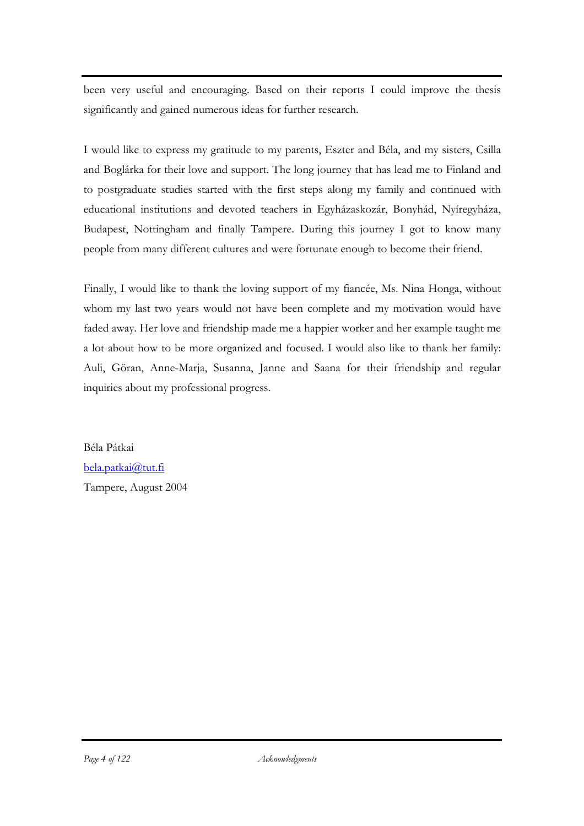been very useful and encouraging. Based on their reports I could improve the thesis significantly and gained numerous ideas for further research.

I would like to express my gratitude to my parents, Eszter and Béla, and my sisters, Csilla and Boglárka for their love and support. The long journey that has lead me to Finland and to postgraduate studies started with the first steps along my family and continued with educational institutions and devoted teachers in Egyházaskozár, Bonyhád, Nyíregyháza, Budapest, Nottingham and finally Tampere. During this journey I got to know many people from many different cultures and were fortunate enough to become their friend.

Finally, I would like to thank the loving support of my fiancée, Ms. Nina Honga, without whom my last two years would not have been complete and my motivation would have faded away. Her love and friendship made me a happier worker and her example taught me a lot about how to be more organized and focused. I would also like to thank her family: Auli, Göran, Anne-Marja, Susanna, Janne and Saana for their friendship and regular inquiries about my professional progress.

Béla Pátkai bela.patkai@tut.fi Tampere, August 2004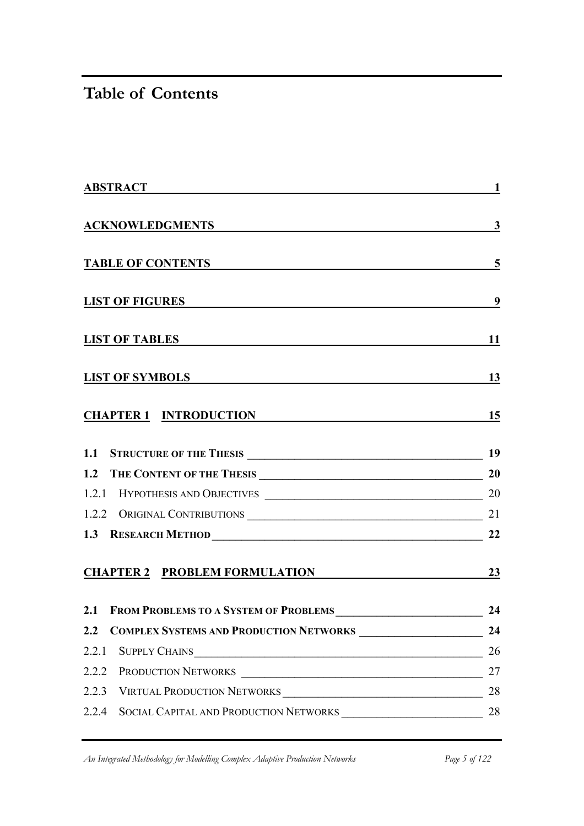# **Table of Contents**

| ABSTRACT 1                                 |                            |
|--------------------------------------------|----------------------------|
| ACKNOWLEDGMENTS 3                          |                            |
| TABLE OF CONTENTS <b>TABLE OF CONTENTS</b> | $\frac{5}{2}$              |
| <b>LIST OF FIGURES</b>                     | $\overline{\phantom{a}}$   |
| <b>LIST OF TABLES</b> 11                   |                            |
| <b>LIST OF SYMBOLS</b>                     | 13                         |
| CHAPTER 1 INTRODUCTION 15                  |                            |
| 1.1 STRUCTURE OF THE THESIS 19             |                            |
|                                            |                            |
| 1.2.1 HYPOTHESIS AND OBJECTIVES            | 20                         |
| 1.2.2 ORIGINAL CONTRIBUTIONS 21            |                            |
| 1.3 RESEARCH METHOD 22                     |                            |
| <b>CHAPTER 2 PROBLEM FORMULATION</b>       | $\overline{\phantom{2}23}$ |
| 2.1 FROM PROBLEMS TO A SYSTEM OF PROBLEMS  | 24                         |
| 2.2                                        | 24                         |
| SUPPLY CHAINS<br>2.2.1                     | 26                         |
| PRODUCTION NETWORKS<br>2.2.2               | 27                         |
| VIRTUAL PRODUCTION NETWORKS<br>2.2.3       | 28                         |
| 2.2.4                                      | 28                         |

*An Integrated Methodology for Modelling Complex Adaptive Production Networks Page 5 of 122*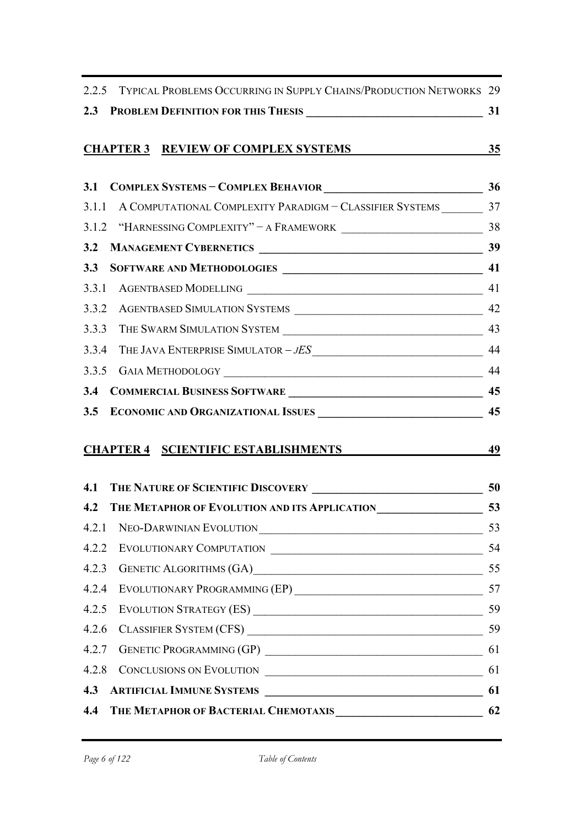|                | 2.2.5 TYPICAL PROBLEMS OCCURRING IN SUPPLY CHAINS/PRODUCTION NETWORKS 29                                                                               |    |
|----------------|--------------------------------------------------------------------------------------------------------------------------------------------------------|----|
|                |                                                                                                                                                        |    |
|                | <b>CHAPTER 3 REVIEW OF COMPLEX SYSTEMS</b>                                                                                                             | 35 |
|                | 3.1 COMPLEX SYSTEMS - COMPLEX BEHAVIOR<br>36                                                                                                           |    |
|                |                                                                                                                                                        |    |
|                |                                                                                                                                                        |    |
| 3.2            |                                                                                                                                                        |    |
| 3.3            |                                                                                                                                                        |    |
|                |                                                                                                                                                        |    |
|                |                                                                                                                                                        |    |
|                |                                                                                                                                                        |    |
|                | 3.3.4 THE JAVA ENTERPRISE SIMULATOR $-JES$ 44                                                                                                          |    |
|                |                                                                                                                                                        |    |
|                |                                                                                                                                                        |    |
| 3.5            |                                                                                                                                                        |    |
|                | <b>CHAPTER 4 SCIENTIFIC ESTABLISHMENTS</b>                                                                                                             | 49 |
|                |                                                                                                                                                        |    |
|                | 4.2 THE METAPHOR OF EVOLUTION AND ITS APPLICATION 53                                                                                                   |    |
| 4.2.1          |                                                                                                                                                        | 53 |
| 4.2.2          | EVOLUTIONARY COMPUTATION                                                                                                                               | 54 |
| 4.2.3<br>4.2.4 | <b>GENETIC ALGORITHMS (GA)</b><br><u> 1989 - Johann Barn, mars ann an t-Amhain Aonaich an t-Aonaich an t-Aonaich ann an t-Aonaich ann an t-Aonaich</u> | 55 |
|                |                                                                                                                                                        | 59 |
| 4.2.5<br>4.2.6 |                                                                                                                                                        |    |
| 4.2.7          |                                                                                                                                                        | 61 |
| 4.2.8          | GENETIC PROGRAMMING (GP)                                                                                                                               | 61 |
| 4.3            | CONCLUSIONS ON EVOLUTION                                                                                                                               | 61 |
|                | <b>ARTIFICIAL IMMUNE SYSTEMS</b>                                                                                                                       |    |
| 4.4            |                                                                                                                                                        | 62 |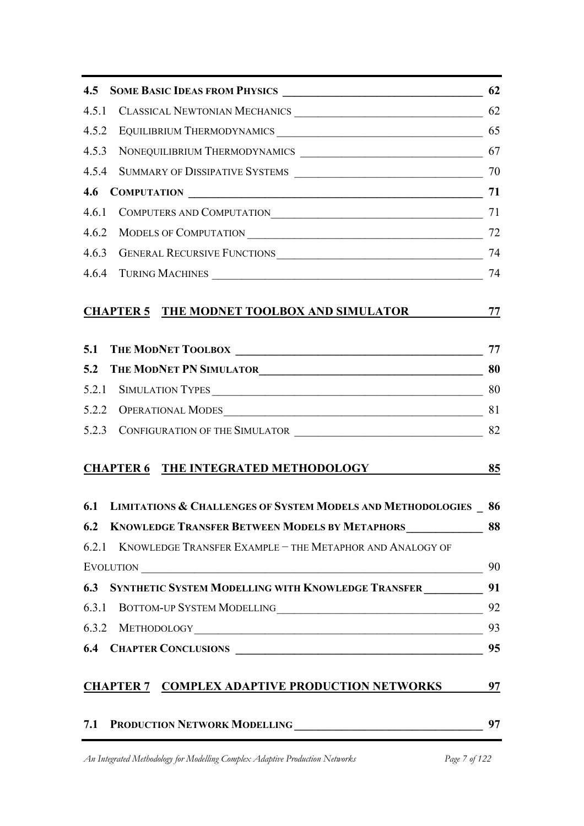| 4.5                                                                | 62        |
|--------------------------------------------------------------------|-----------|
| 4.5.1                                                              |           |
| 4.5.2<br>EQUILIBRIUM THERMODYNAMICS 65                             |           |
| 4.5.3                                                              |           |
| 4.5.4                                                              |           |
| 4.6                                                                |           |
| COMPUTERS AND COMPUTATION 2010 12<br>4.6.1                         |           |
| 4.6.2                                                              |           |
| 4.6.3                                                              |           |
| 4.6.4                                                              |           |
| <b>CHAPTER 5 THE MODNET TOOLBOX AND SIMULATOR</b>                  | 77        |
| 5.1                                                                |           |
| 5.2<br>THE MODNET PN SIMULATOR<br>80                               |           |
| SIMULATION TYPES 80<br>5.2.1                                       |           |
| OPERATIONAL MODES 81<br>5.2.2                                      |           |
| 5.2.3                                                              |           |
| <b>CHAPTER 6 THE INTEGRATED METHODOLOGY</b>                        | $\sim$ 85 |
| 6.1 LIMITATIONS & CHALLENGES OF SYSTEM MODELS AND METHODOLOGIES 86 |           |
|                                                                    |           |
| 6.2.1 KNOWLEDGE TRANSFER EXAMPLE - THE METAPHOR AND ANALOGY OF     |           |
|                                                                    |           |
| 6.3 SYNTHETIC SYSTEM MODELLING WITH KNOWLEDGE TRANSFER 191         |           |
| 6.3.1 BOTTOM-UP SYSTEM MODELLING 92                                |           |
| 6.3.2 METHODOLOGY 93                                               |           |
|                                                                    | 95        |
| <b>CHAPTER 7 COMPLEX ADAPTIVE PRODUCTION NETWORKS</b> 97           |           |
|                                                                    | 97        |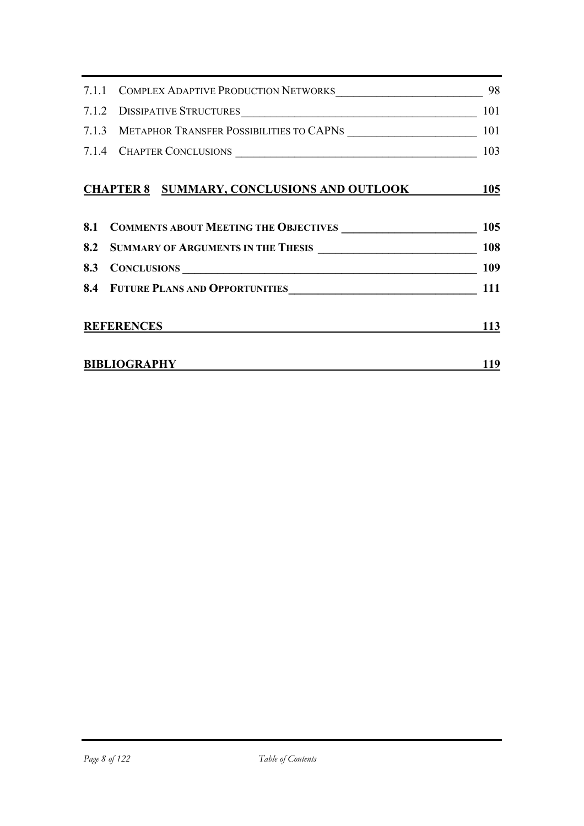| 7.1.2 DISSIPATIVE STRUCTURES 101                  |     |
|---------------------------------------------------|-----|
|                                                   |     |
| 7.1.4 CHAPTER CONCLUSIONS                         | 103 |
| <b>CHAPTER 8 SUMMARY, CONCLUSIONS AND OUTLOOK</b> | 105 |
|                                                   |     |
|                                                   |     |
|                                                   | 109 |
| 8.4 FUTURE PLANS AND OPPORTUNITIES                | 111 |
| <b>REFERENCES</b>                                 | 113 |
| <b>BIBLIOGRAPHY</b>                               | 119 |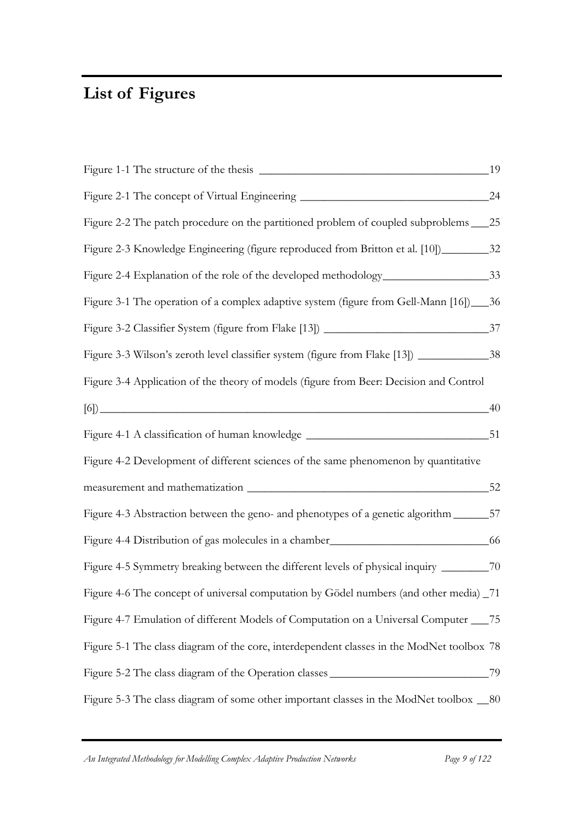# **List of Figures**

|                                                                                                                                                                                                                                | $-19$  |
|--------------------------------------------------------------------------------------------------------------------------------------------------------------------------------------------------------------------------------|--------|
| Figure 2-1 The concept of Virtual Engineering __________________________________                                                                                                                                               | 24     |
| Figure 2-2 The patch procedure on the partitioned problem of coupled subproblems 125                                                                                                                                           |        |
|                                                                                                                                                                                                                                |        |
|                                                                                                                                                                                                                                |        |
| Figure 3-1 The operation of a complex adaptive system (figure from Gell-Mann [16]) 36                                                                                                                                          |        |
|                                                                                                                                                                                                                                |        |
|                                                                                                                                                                                                                                |        |
| Figure 3-4 Application of the theory of models (figure from Beer: Decision and Control                                                                                                                                         |        |
| $[6]$ $\overline{\phantom{a}}$                                                                                                                                                                                                 | $-40$  |
| Figure 4-1 A classification of human knowledge __________________________________                                                                                                                                              | $\_51$ |
| Figure 4-2 Development of different sciences of the same phenomenon by quantitative                                                                                                                                            |        |
| measurement and mathematization entirely all the state of the state of the state of the state of the state of the state of the state of the state of the state of the state of the state of the state of the state of the stat | 52     |
|                                                                                                                                                                                                                                |        |
|                                                                                                                                                                                                                                |        |
| Figure 4-5 Symmetry breaking between the different levels of physical inquiry _________70                                                                                                                                      |        |
| Figure 4-6 The concept of universal computation by Gödel numbers (and other media) _71                                                                                                                                         |        |
| Figure 4-7 Emulation of different Models of Computation on a Universal Computer ___75                                                                                                                                          |        |
| Figure 5-1 The class diagram of the core, interdependent classes in the ModNet toolbox 78                                                                                                                                      |        |
| Figure 5-2 The class diagram of the Operation classes __________________________                                                                                                                                               | -79    |
| Figure 5-3 The class diagram of some other important classes in the ModNet toolbox _80                                                                                                                                         |        |

*An Integrated Methodology for Modelling Complex Adaptive Production Networks Page 9 of 122*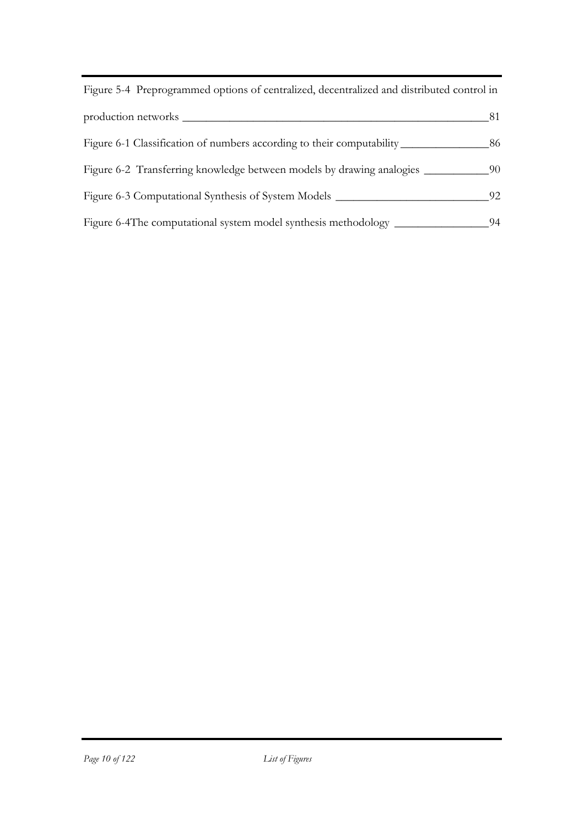| Figure 5-4 Preprogrammed options of centralized, decentralized and distributed control in |    |
|-------------------------------------------------------------------------------------------|----|
| production networks                                                                       |    |
| Figure 6-1 Classification of numbers according to their computability                     | 86 |
| Figure 6-2 Transferring knowledge between models by drawing analogies _                   | 90 |
| Figure 6-3 Computational Synthesis of System Models _                                     | 92 |
| Figure 6-4The computational system model synthesis methodology                            | 94 |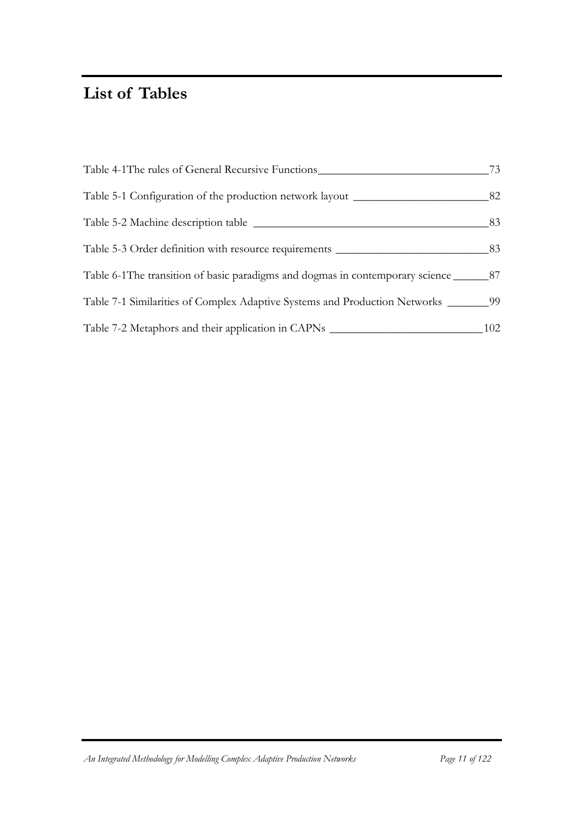# **List of Tables**

| Table 4-1 The rules of General Recursive Functions                                | 73  |
|-----------------------------------------------------------------------------------|-----|
|                                                                                   | 82  |
| Table 5-2 Machine description table                                               | 83  |
| Table 5-3 Order definition with resource requirements                             | 83  |
| Table 6-1The transition of basic paradigms and dogmas in contemporary science     | 87  |
| Table 7-1 Similarities of Complex Adaptive Systems and Production Networks ______ | 99  |
|                                                                                   | 102 |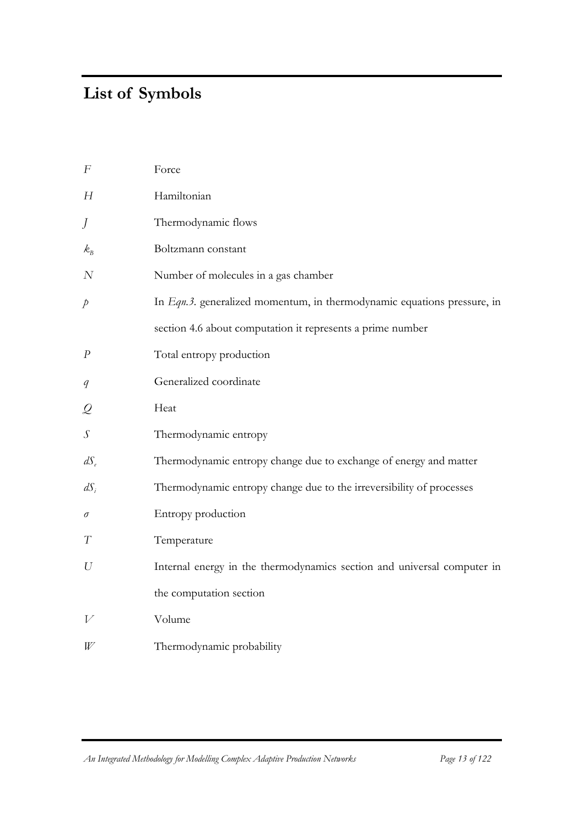# **List of Symbols**

| $\boldsymbol{F}$  | Force                                                                   |
|-------------------|-------------------------------------------------------------------------|
| H                 | Hamiltonian                                                             |
| J                 | Thermodynamic flows                                                     |
| $k_{B}$           | Boltzmann constant                                                      |
| $\overline{N}$    | Number of molecules in a gas chamber                                    |
| p                 | In Eqn.3. generalized momentum, in thermodynamic equations pressure, in |
|                   | section 4.6 about computation it represents a prime number              |
| $\overline{P}$    | Total entropy production                                                |
| $\boldsymbol{q}$  | Generalized coordinate                                                  |
| $\mathcal Q$      | Heat                                                                    |
| $\mathcal{S}_{0}$ | Thermodynamic entropy                                                   |
| $dS_e$            | Thermodynamic entropy change due to exchange of energy and matter       |
| $dS_i$            | Thermodynamic entropy change due to the irreversibility of processes    |
| $\sigma$          | Entropy production                                                      |
| T                 | Temperature                                                             |
| U                 | Internal energy in the thermodynamics section and universal computer in |
|                   | the computation section                                                 |
| V                 | Volume                                                                  |
| W                 | Thermodynamic probability                                               |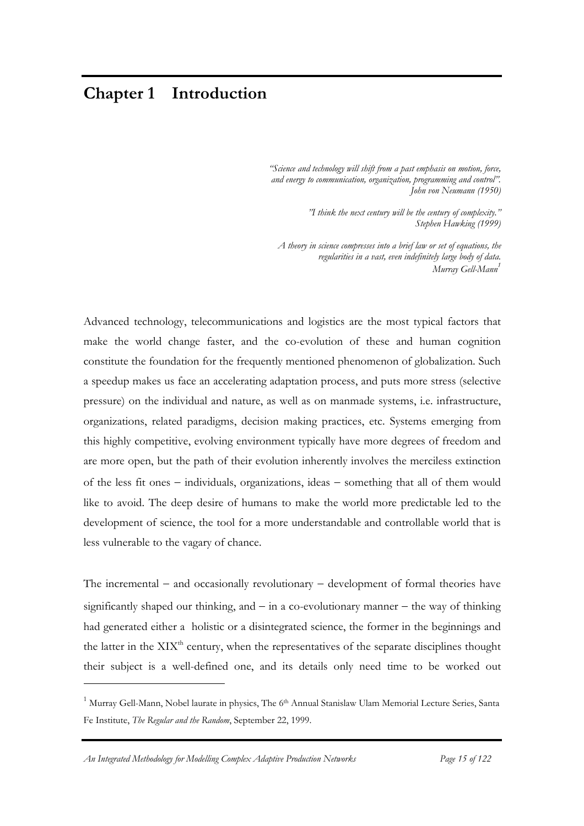## **Chapter 1 Introduction**

*"Science and technology will shift from a past emphasis on motion, force, and energy to communication, organization, programming and control". John von Neumann (1950)* 

> *"I think the next century will be the century of complexity." Stephen Hawking (1999)*

*A theory in science compresses into a brief law or set of equations, the regularities in a vast, even indefinitely large body of data. Murray Gell-Mann1*

Advanced technology, telecommunications and logistics are the most typical factors that make the world change faster, and the co-evolution of these and human cognition constitute the foundation for the frequently mentioned phenomenon of globalization. Such a speedup makes us face an accelerating adaptation process, and puts more stress (selective pressure) on the individual and nature, as well as on manmade systems, i.e. infrastructure, organizations, related paradigms, decision making practices, etc. Systems emerging from this highly competitive, evolving environment typically have more degrees of freedom and are more open, but the path of their evolution inherently involves the merciless extinction of the less fit ones − individuals, organizations, ideas − something that all of them would like to avoid. The deep desire of humans to make the world more predictable led to the development of science, the tool for a more understandable and controllable world that is less vulnerable to the vagary of chance.

The incremental − and occasionally revolutionary − development of formal theories have significantly shaped our thinking, and − in a co-evolutionary manner − the way of thinking had generated either a holistic or a disintegrated science, the former in the beginnings and the latter in the  $XIX<sup>th</sup>$  century, when the representatives of the separate disciplines thought their subject is a well-defined one, and its details only need time to be worked out

*An Integrated Methodology for Modelling Complex Adaptive Production Networks Page 15 of 122* 

 $\overline{a}$ 

<sup>&</sup>lt;sup>1</sup> Murray Gell-Mann, Nobel laurate in physics, The 6<sup>th</sup> Annual Stanislaw Ulam Memorial Lecture Series, Santa Fe Institute, *The Regular and the Random*, September 22, 1999.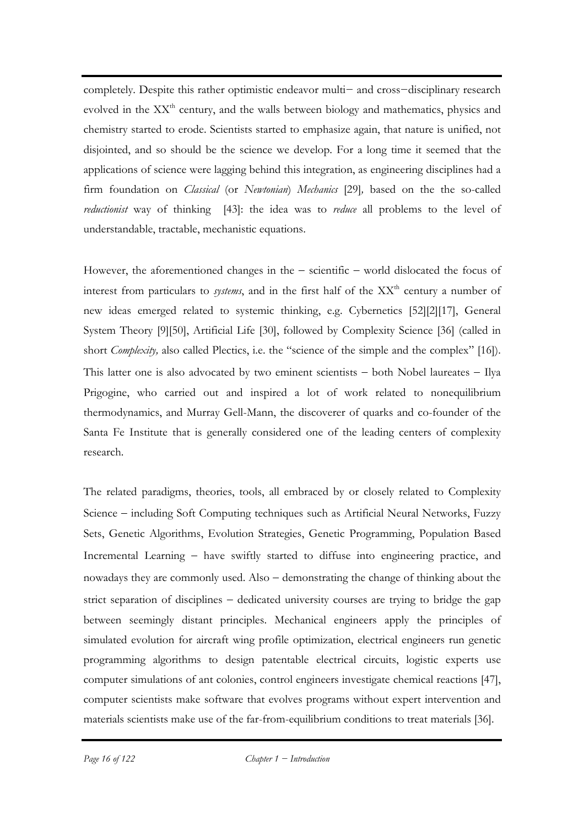completely. Despite this rather optimistic endeavor multi− and cross−disciplinary research evolved in the  $XX<sup>th</sup>$  century, and the walls between biology and mathematics, physics and chemistry started to erode. Scientists started to emphasize again, that nature is unified, not disjointed, and so should be the science we develop. For a long time it seemed that the applications of science were lagging behind this integration, as engineering disciplines had a firm foundation on *Classical* (or *Newtonian*) *Mechanics* [29]*,* based on the the so-called *reductionist* way of thinking [43]: the idea was to *reduce* all problems to the level of understandable, tractable, mechanistic equations.

However, the aforementioned changes in the − scientific − world dislocated the focus of interest from particulars to *systems*, and in the first half of the XX<sup>th</sup> century a number of new ideas emerged related to systemic thinking, e.g. Cybernetics [52][2][17], General System Theory [9][50], Artificial Life [30], followed by Complexity Science [36] (called in short *Complexity*, also called Plectics, i.e. the "science of the simple and the complex" [16]). This latter one is also advocated by two eminent scientists − both Nobel laureates − Ilya Prigogine, who carried out and inspired a lot of work related to nonequilibrium thermodynamics, and Murray Gell-Mann, the discoverer of quarks and co-founder of the Santa Fe Institute that is generally considered one of the leading centers of complexity research.

The related paradigms, theories, tools, all embraced by or closely related to Complexity Science − including Soft Computing techniques such as Artificial Neural Networks, Fuzzy Sets, Genetic Algorithms, Evolution Strategies, Genetic Programming, Population Based Incremental Learning − have swiftly started to diffuse into engineering practice, and nowadays they are commonly used. Also − demonstrating the change of thinking about the strict separation of disciplines – dedicated university courses are trying to bridge the gap between seemingly distant principles. Mechanical engineers apply the principles of simulated evolution for aircraft wing profile optimization, electrical engineers run genetic programming algorithms to design patentable electrical circuits, logistic experts use computer simulations of ant colonies, control engineers investigate chemical reactions [47], computer scientists make software that evolves programs without expert intervention and materials scientists make use of the far-from-equilibrium conditions to treat materials [36].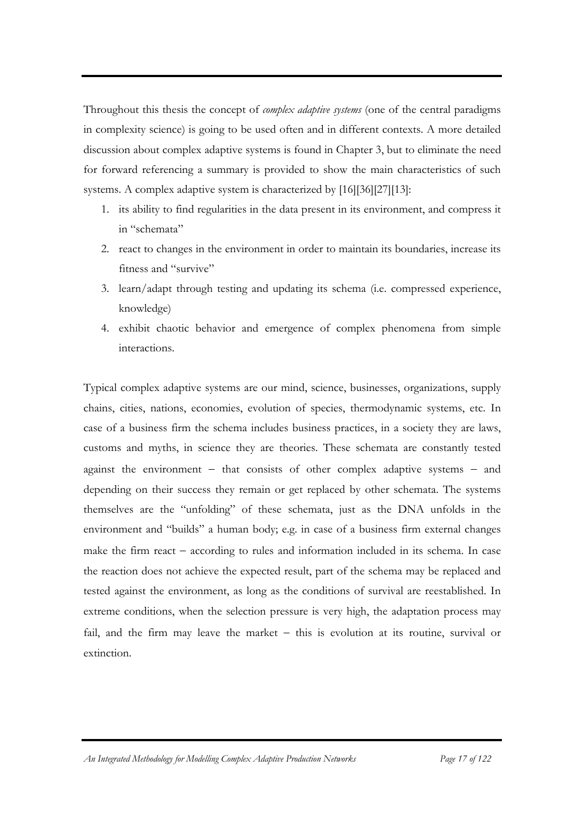Throughout this thesis the concept of *complex adaptive systems* (one of the central paradigms in complexity science) is going to be used often and in different contexts. A more detailed discussion about complex adaptive systems is found in Chapter 3, but to eliminate the need for forward referencing a summary is provided to show the main characteristics of such systems. A complex adaptive system is characterized by [16][36][27][13]:

- 1. its ability to find regularities in the data present in its environment, and compress it in "schemata"
- 2. react to changes in the environment in order to maintain its boundaries, increase its fitness and "survive"
- 3. learn/adapt through testing and updating its schema (i.e. compressed experience, knowledge)
- 4. exhibit chaotic behavior and emergence of complex phenomena from simple interactions.

Typical complex adaptive systems are our mind, science, businesses, organizations, supply chains, cities, nations, economies, evolution of species, thermodynamic systems, etc. In case of a business firm the schema includes business practices, in a society they are laws, customs and myths, in science they are theories. These schemata are constantly tested against the environment − that consists of other complex adaptive systems − and depending on their success they remain or get replaced by other schemata. The systems themselves are the "unfolding" of these schemata, just as the DNA unfolds in the environment and "builds" a human body; e.g. in case of a business firm external changes make the firm react − according to rules and information included in its schema. In case the reaction does not achieve the expected result, part of the schema may be replaced and tested against the environment, as long as the conditions of survival are reestablished. In extreme conditions, when the selection pressure is very high, the adaptation process may fail, and the firm may leave the market – this is evolution at its routine, survival or extinction.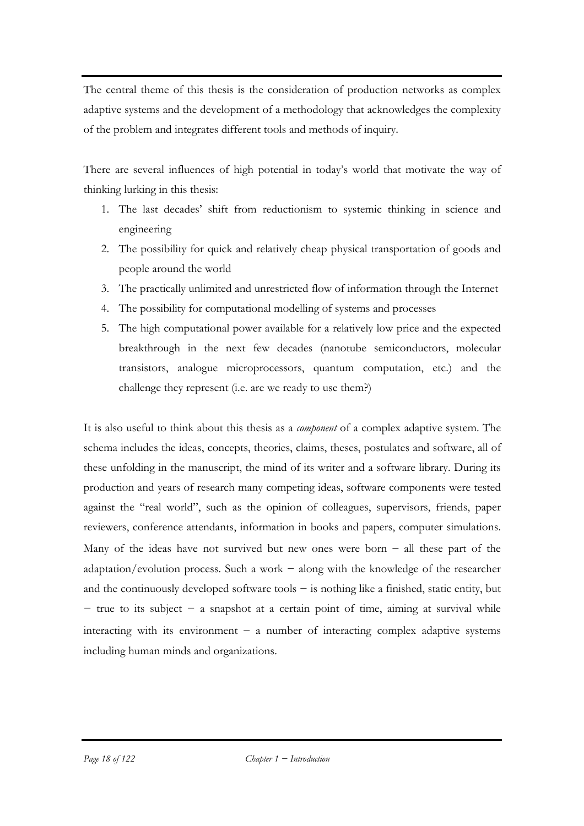The central theme of this thesis is the consideration of production networks as complex adaptive systems and the development of a methodology that acknowledges the complexity of the problem and integrates different tools and methods of inquiry.

There are several influences of high potential in today's world that motivate the way of thinking lurking in this thesis:

- 1. The last decades' shift from reductionism to systemic thinking in science and engineering
- 2. The possibility for quick and relatively cheap physical transportation of goods and people around the world
- 3. The practically unlimited and unrestricted flow of information through the Internet
- 4. The possibility for computational modelling of systems and processes
- 5. The high computational power available for a relatively low price and the expected breakthrough in the next few decades (nanotube semiconductors, molecular transistors, analogue microprocessors, quantum computation, etc.) and the challenge they represent (i.e. are we ready to use them?)

It is also useful to think about this thesis as a *component* of a complex adaptive system. The schema includes the ideas, concepts, theories, claims, theses, postulates and software, all of these unfolding in the manuscript, the mind of its writer and a software library. During its production and years of research many competing ideas, software components were tested against the "real world", such as the opinion of colleagues, supervisors, friends, paper reviewers, conference attendants, information in books and papers, computer simulations. Many of the ideas have not survived but new ones were born − all these part of the adaptation/evolution process. Such a work − along with the knowledge of the researcher and the continuously developed software tools − is nothing like a finished, static entity, but − true to its subject − a snapshot at a certain point of time, aiming at survival while interacting with its environment  $-$  a number of interacting complex adaptive systems including human minds and organizations.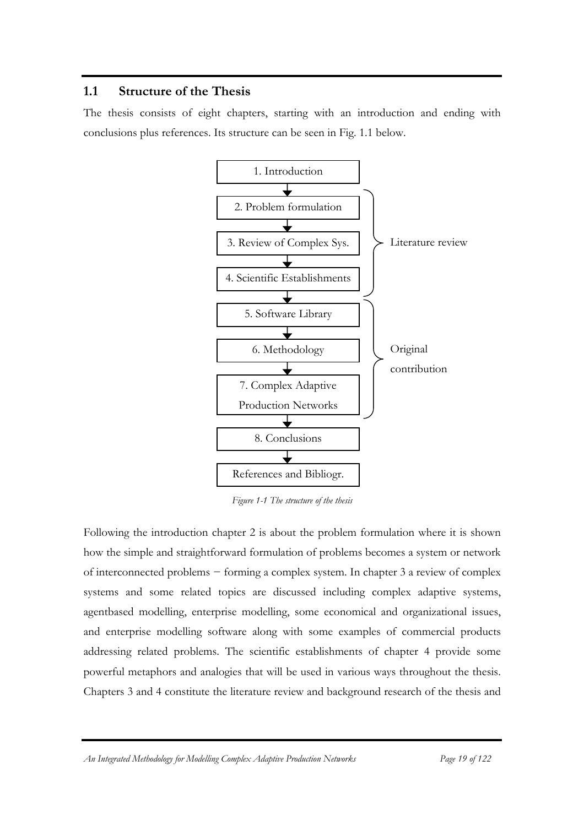#### **1.1 Structure of the Thesis**

The thesis consists of eight chapters, starting with an introduction and ending with conclusions plus references. Its structure can be seen in Fig. 1.1 below.



*Figure 1-1 The structure of the thesis* 

Following the introduction chapter 2 is about the problem formulation where it is shown how the simple and straightforward formulation of problems becomes a system or network of interconnected problems − forming a complex system. In chapter 3 a review of complex systems and some related topics are discussed including complex adaptive systems, agentbased modelling, enterprise modelling, some economical and organizational issues, and enterprise modelling software along with some examples of commercial products addressing related problems. The scientific establishments of chapter 4 provide some powerful metaphors and analogies that will be used in various ways throughout the thesis. Chapters 3 and 4 constitute the literature review and background research of the thesis and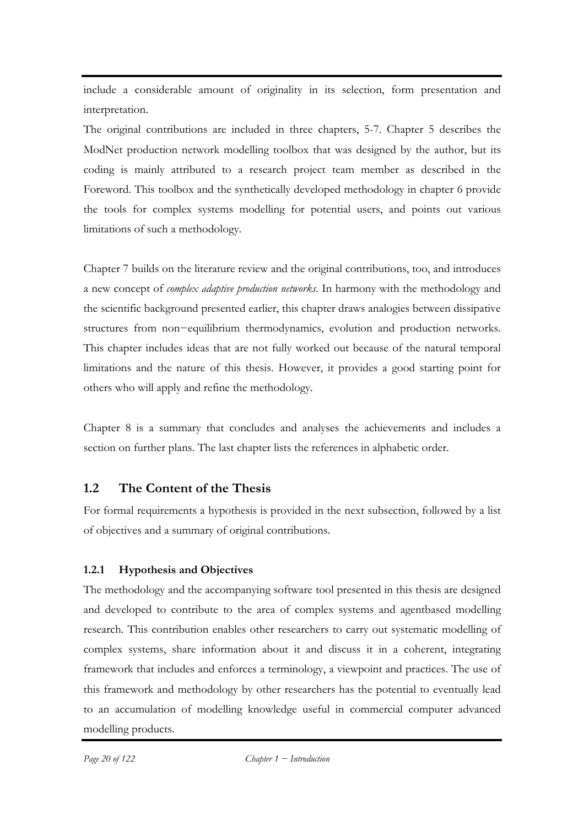include a considerable amount of originality in its selection, form presentation and interpretation.

The original contributions are included in three chapters, 5-7. Chapter 5 describes the ModNet production network modelling toolbox that was designed by the author, but its coding is mainly attributed to a research project team member as described in the Foreword. This toolbox and the synthetically developed methodology in chapter 6 provide the tools for complex systems modelling for potential users, and points out various limitations of such a methodology.

Chapter 7 builds on the literature review and the original contributions, too, and introduces a new concept of *complex adaptive production networks*. In harmony with the methodology and the scientific background presented earlier, this chapter draws analogies between dissipative structures from non−equilibrium thermodynamics, evolution and production networks. This chapter includes ideas that are not fully worked out because of the natural temporal limitations and the nature of this thesis. However, it provides a good starting point for others who will apply and refine the methodology.

Chapter 8 is a summary that concludes and analyses the achievements and includes a section on further plans. The last chapter lists the references in alphabetic order.

#### **1.2 The Content of the Thesis**

For formal requirements a hypothesis is provided in the next subsection, followed by a list of objectives and a summary of original contributions.

#### **1.2.1 Hypothesis and Objectives**

The methodology and the accompanying software tool presented in this thesis are designed and developed to contribute to the area of complex systems and agentbased modelling research. This contribution enables other researchers to carry out systematic modelling of complex systems, share information about it and discuss it in a coherent, integrating framework that includes and enforces a terminology, a viewpoint and practices. The use of this framework and methodology by other researchers has the potential to eventually lead to an accumulation of modelling knowledge useful in commercial computer advanced modelling products.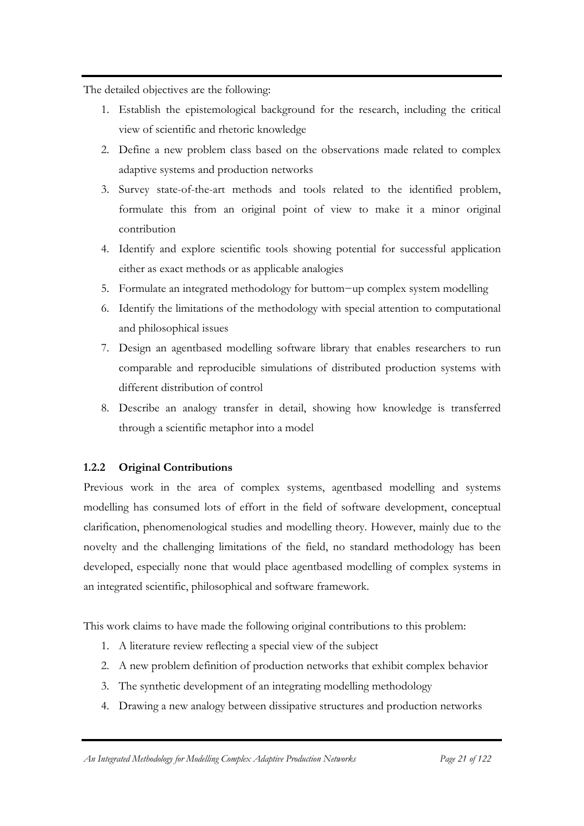The detailed objectives are the following:

- 1. Establish the epistemological background for the research, including the critical view of scientific and rhetoric knowledge
- 2. Define a new problem class based on the observations made related to complex adaptive systems and production networks
- 3. Survey state-of-the-art methods and tools related to the identified problem, formulate this from an original point of view to make it a minor original contribution
- 4. Identify and explore scientific tools showing potential for successful application either as exact methods or as applicable analogies
- 5. Formulate an integrated methodology for buttom−up complex system modelling
- 6. Identify the limitations of the methodology with special attention to computational and philosophical issues
- 7. Design an agentbased modelling software library that enables researchers to run comparable and reproducible simulations of distributed production systems with different distribution of control
- 8. Describe an analogy transfer in detail, showing how knowledge is transferred through a scientific metaphor into a model

#### **1.2.2 Original Contributions**

Previous work in the area of complex systems, agentbased modelling and systems modelling has consumed lots of effort in the field of software development, conceptual clarification, phenomenological studies and modelling theory. However, mainly due to the novelty and the challenging limitations of the field, no standard methodology has been developed, especially none that would place agentbased modelling of complex systems in an integrated scientific, philosophical and software framework.

This work claims to have made the following original contributions to this problem:

- 1. A literature review reflecting a special view of the subject
- 2. A new problem definition of production networks that exhibit complex behavior
- 3. The synthetic development of an integrating modelling methodology
- 4. Drawing a new analogy between dissipative structures and production networks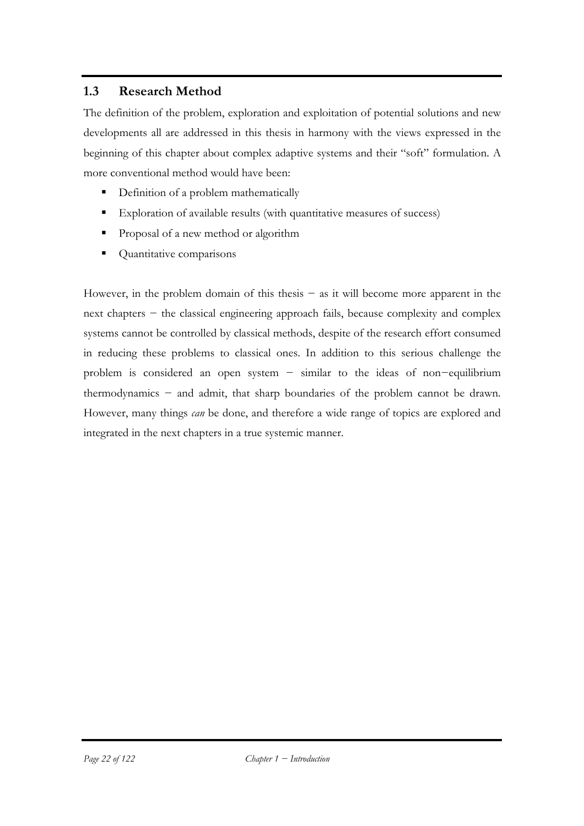#### **1.3 Research Method**

The definition of the problem, exploration and exploitation of potential solutions and new developments all are addressed in this thesis in harmony with the views expressed in the beginning of this chapter about complex adaptive systems and their "soft" formulation. A more conventional method would have been:

- Definition of a problem mathematically
- Exploration of available results (with quantitative measures of success)
- Proposal of a new method or algorithm
- Quantitative comparisons

However, in the problem domain of this thesis  $-$  as it will become more apparent in the next chapters − the classical engineering approach fails, because complexity and complex systems cannot be controlled by classical methods, despite of the research effort consumed in reducing these problems to classical ones. In addition to this serious challenge the problem is considered an open system − similar to the ideas of non−equilibrium thermodynamics − and admit, that sharp boundaries of the problem cannot be drawn. However, many things *can* be done, and therefore a wide range of topics are explored and integrated in the next chapters in a true systemic manner.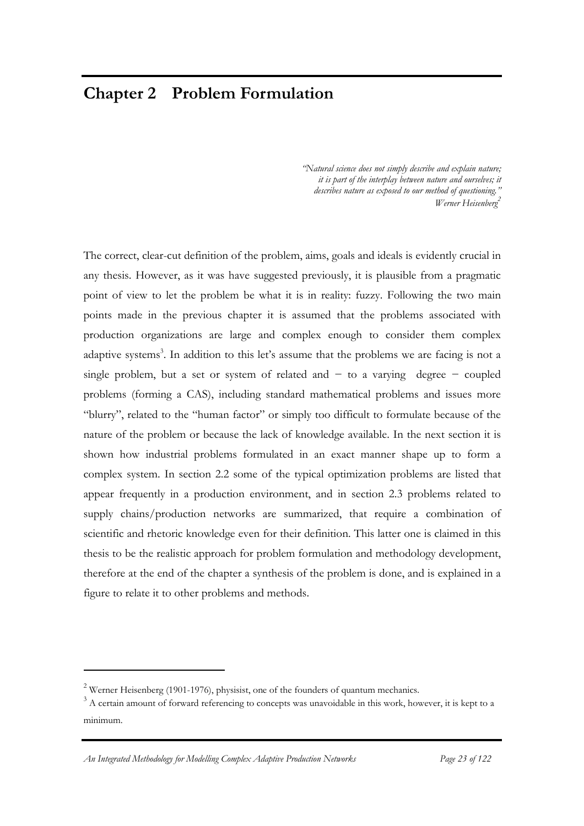## **Chapter 2 Problem Formulation**

*"Natural science does not simply describe and explain nature; it is part of the interplay between nature and ourselves; it describes nature as exposed to our method of questioning." Werner Heisenberg2*

The correct, clear-cut definition of the problem, aims, goals and ideals is evidently crucial in any thesis. However, as it was have suggested previously, it is plausible from a pragmatic point of view to let the problem be what it is in reality: fuzzy. Following the two main points made in the previous chapter it is assumed that the problems associated with production organizations are large and complex enough to consider them complex adaptive systems<sup>3</sup>. In addition to this let's assume that the problems we are facing is not a single problem, but a set or system of related and − to a varying degree − coupled problems (forming a CAS), including standard mathematical problems and issues more "blurry", related to the "human factor" or simply too difficult to formulate because of the nature of the problem or because the lack of knowledge available. In the next section it is shown how industrial problems formulated in an exact manner shape up to form a complex system. In section 2.2 some of the typical optimization problems are listed that appear frequently in a production environment, and in section 2.3 problems related to supply chains/production networks are summarized, that require a combination of scientific and rhetoric knowledge even for their definition. This latter one is claimed in this thesis to be the realistic approach for problem formulation and methodology development, therefore at the end of the chapter a synthesis of the problem is done, and is explained in a figure to relate it to other problems and methods.

 $\overline{a}$ 

 $2$  Werner Heisenberg (1901-1976), physisist, one of the founders of quantum mechanics.

 $3$  A certain amount of forward referencing to concepts was unavoidable in this work, however, it is kept to a minimum.

*An Integrated Methodology for Modelling Complex Adaptive Production Networks Page 23 of 122*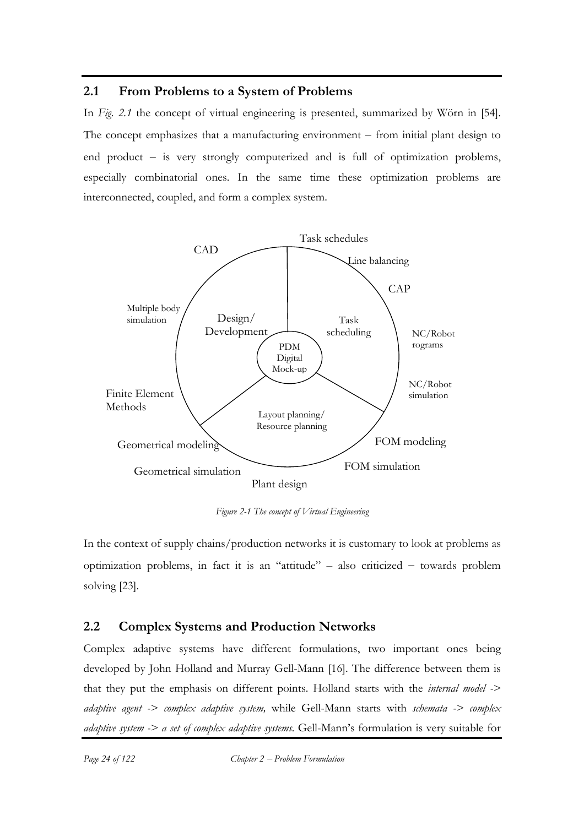#### **2.1 From Problems to a System of Problems**

In *Fig. 2.1* the concept of virtual engineering is presented, summarized by Wörn in [54]. The concept emphasizes that a manufacturing environment − from initial plant design to end product – is very strongly computerized and is full of optimization problems, especially combinatorial ones. In the same time these optimization problems are interconnected, coupled, and form a complex system.



*Figure 2-1 The concept of Virtual Engineering* 

In the context of supply chains/production networks it is customary to look at problems as optimization problems, in fact it is an "attitude" – also criticized − towards problem solving [23].

#### **2.2 Complex Systems and Production Networks**

Complex adaptive systems have different formulations, two important ones being developed by John Holland and Murray Gell-Mann [16]. The difference between them is that they put the emphasis on different points. Holland starts with the *internal model -> adaptive agent -> complex adaptive system,* while Gell-Mann starts with *schemata -> complex adaptive system -> a set of complex adaptive systems.* Gell-Mann's formulation is very suitable for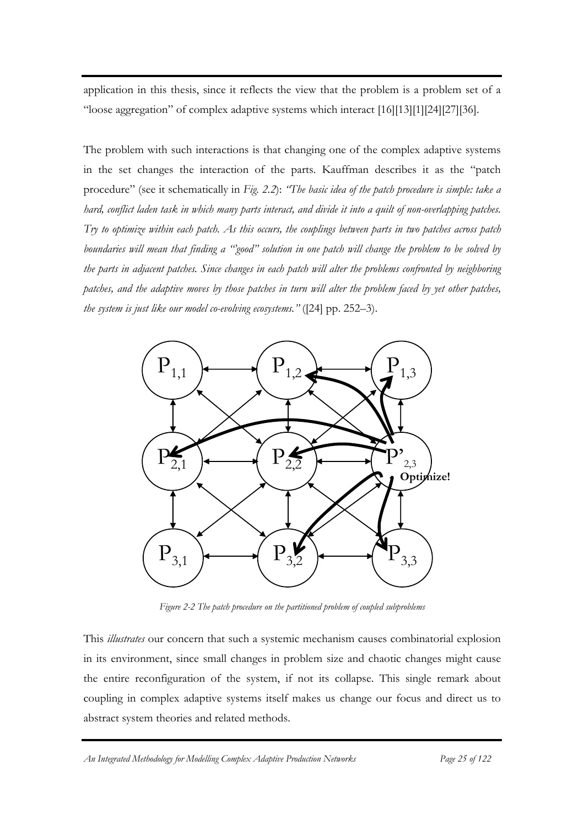application in this thesis, since it reflects the view that the problem is a problem set of a "loose aggregation" of complex adaptive systems which interact [16][13][1][24][27][36].

The problem with such interactions is that changing one of the complex adaptive systems in the set changes the interaction of the parts. Kauffman describes it as the "patch procedure" (see it schematically in *Fig. 2.2*): *"The basic idea of the patch procedure is simple: take a hard, conflict laden task in which many parts interact, and divide it into a quilt of non-overlapping patches. Try to optimize within each patch. As this occurs, the couplings between parts in two patches across patch boundaries will mean that finding a "'good" solution in one patch will change the problem to be solved by the parts in adjacent patches. Since changes in each patch will alter the problems confronted by neighboring patches, and the adaptive moves by those patches in turn will alter the problem faced by yet other patches, the system is just like our model co-evolving ecosystems."* ([24] pp. 252–3).



*Figure 2-2 The patch procedure on the partitioned problem of coupled subproblems* 

This *illustrates* our concern that such a systemic mechanism causes combinatorial explosion in its environment, since small changes in problem size and chaotic changes might cause the entire reconfiguration of the system, if not its collapse. This single remark about coupling in complex adaptive systems itself makes us change our focus and direct us to abstract system theories and related methods.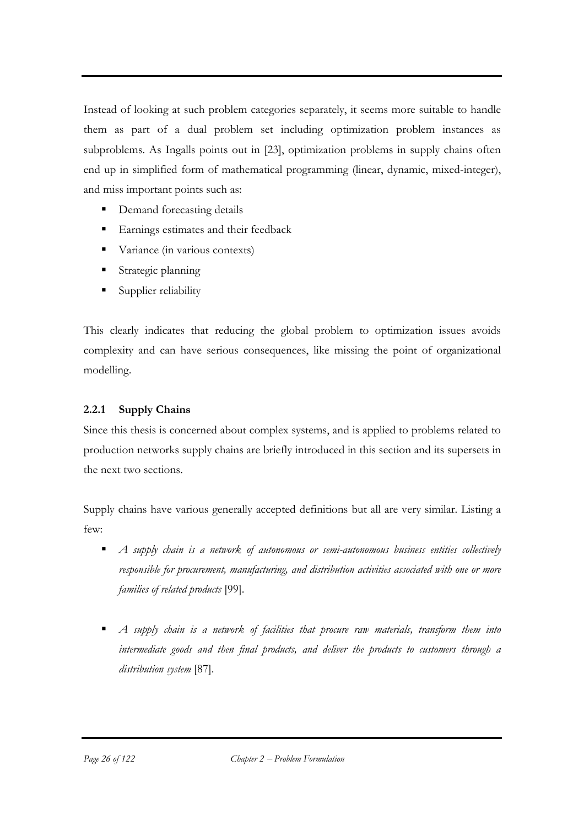Instead of looking at such problem categories separately, it seems more suitable to handle them as part of a dual problem set including optimization problem instances as subproblems. As Ingalls points out in [23], optimization problems in supply chains often end up in simplified form of mathematical programming (linear, dynamic, mixed-integer), and miss important points such as:

- Demand forecasting details
- Earnings estimates and their feedback
- Variance (in various contexts)
- **Strategic planning**
- Supplier reliability

This clearly indicates that reducing the global problem to optimization issues avoids complexity and can have serious consequences, like missing the point of organizational modelling.

#### **2.2.1 Supply Chains**

Since this thesis is concerned about complex systems, and is applied to problems related to production networks supply chains are briefly introduced in this section and its supersets in the next two sections.

Supply chains have various generally accepted definitions but all are very similar. Listing a few:

- *A supply chain is a network of autonomous or semi-autonomous business entities collectively responsible for procurement, manufacturing, and distribution activities associated with one or more families of related products* [99].
- *A supply chain is a network of facilities that procure raw materials, transform them into intermediate goods and then final products, and deliver the products to customers through a distribution system* [87].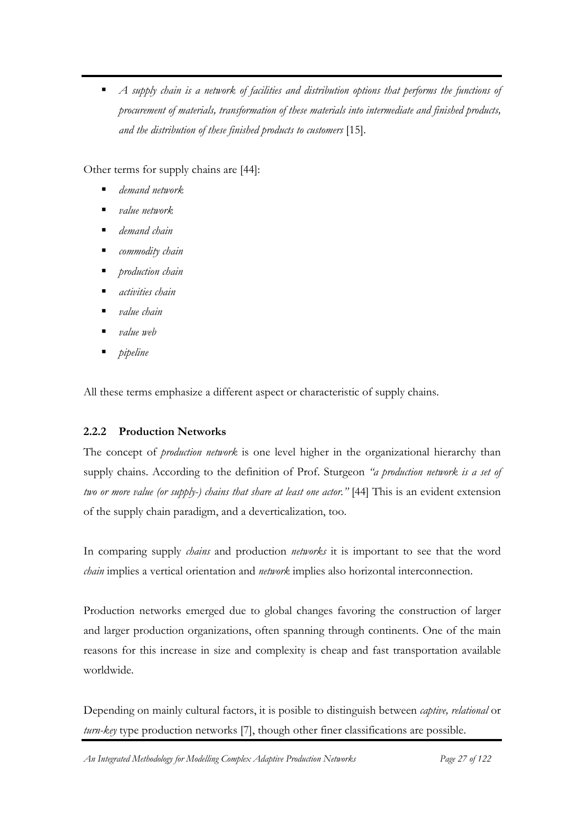*A supply chain is a network of facilities and distribution options that performs the functions of procurement of materials, transformation of these materials into intermediate and finished products, and the distribution of these finished products to customers* [15].

Other terms for supply chains are [44]:

- *demand network*
- *value network*
- *demand chain*
- *commodity chain*
- *production chain*
- *activities chain*
- *value chain*
- *value web*
- *pipeline*

All these terms emphasize a different aspect or characteristic of supply chains.

#### **2.2.2 Production Networks**

The concept of *production network* is one level higher in the organizational hierarchy than supply chains. According to the definition of Prof. Sturgeon *"a production network is a set of two or more value (or supply-) chains that share at least one actor."* [44] This is an evident extension of the supply chain paradigm, and a deverticalization, too.

In comparing supply *chains* and production *networks* it is important to see that the word *chain* implies a vertical orientation and *network* implies also horizontal interconnection.

Production networks emerged due to global changes favoring the construction of larger and larger production organizations, often spanning through continents. One of the main reasons for this increase in size and complexity is cheap and fast transportation available worldwide.

Depending on mainly cultural factors, it is posible to distinguish between *captive, relational* or *turn-key* type production networks [7], though other finer classifications are possible.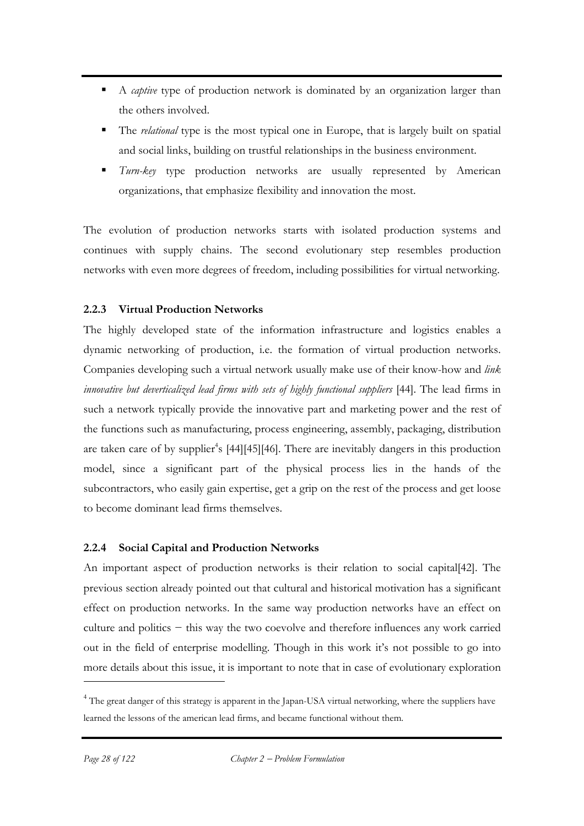- A *captive* type of production network is dominated by an organization larger than the others involved.
- The *relational* type is the most typical one in Europe, that is largely built on spatial and social links, building on trustful relationships in the business environment.
- *Turn-key* type production networks are usually represented by American organizations, that emphasize flexibility and innovation the most.

The evolution of production networks starts with isolated production systems and continues with supply chains. The second evolutionary step resembles production networks with even more degrees of freedom, including possibilities for virtual networking.

#### **2.2.3 Virtual Production Networks**

The highly developed state of the information infrastructure and logistics enables a dynamic networking of production, i.e. the formation of virtual production networks. Companies developing such a virtual network usually make use of their know-how and *link innovative but deverticalized lead firms with sets of highly functional suppliers* [44]. The lead firms in such a network typically provide the innovative part and marketing power and the rest of the functions such as manufacturing, process engineering, assembly, packaging, distribution are taken care of by supplier<sup>4</sup>s [44][45][46]. There are inevitably dangers in this production model, since a significant part of the physical process lies in the hands of the subcontractors, who easily gain expertise, get a grip on the rest of the process and get loose to become dominant lead firms themselves.

#### **2.2.4 Social Capital and Production Networks**

An important aspect of production networks is their relation to social capital[42]. The previous section already pointed out that cultural and historical motivation has a significant effect on production networks. In the same way production networks have an effect on culture and politics − this way the two coevolve and therefore influences any work carried out in the field of enterprise modelling. Though in this work it's not possible to go into more details about this issue, it is important to note that in case of evolutionary exploration

 $\overline{a}$ 

<sup>&</sup>lt;sup>4</sup> The great danger of this strategy is apparent in the Japan-USA virtual networking, where the suppliers have learned the lessons of the american lead firms, and became functional without them.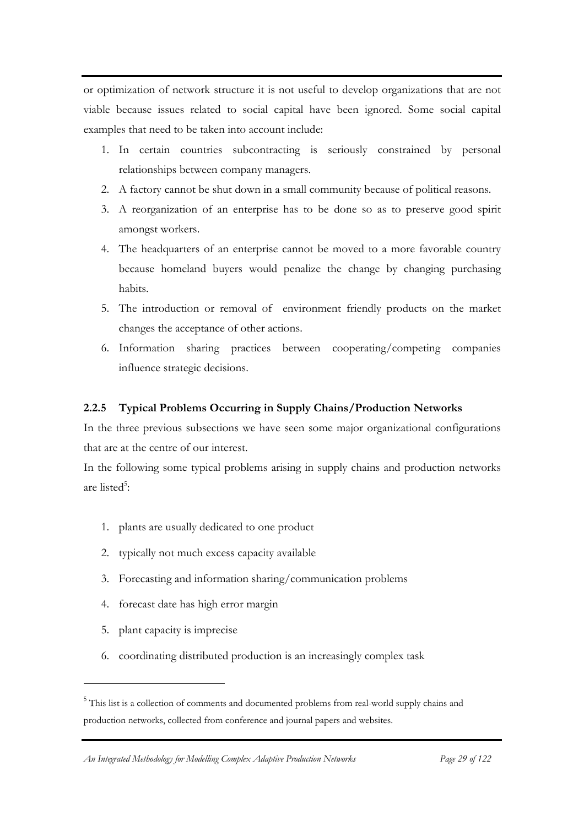or optimization of network structure it is not useful to develop organizations that are not viable because issues related to social capital have been ignored. Some social capital examples that need to be taken into account include:

- 1. In certain countries subcontracting is seriously constrained by personal relationships between company managers.
- 2. A factory cannot be shut down in a small community because of political reasons.
- 3. A reorganization of an enterprise has to be done so as to preserve good spirit amongst workers.
- 4. The headquarters of an enterprise cannot be moved to a more favorable country because homeland buyers would penalize the change by changing purchasing habits.
- 5. The introduction or removal of environment friendly products on the market changes the acceptance of other actions.
- 6. Information sharing practices between cooperating/competing companies influence strategic decisions.

#### **2.2.5 Typical Problems Occurring in Supply Chains/Production Networks**

In the three previous subsections we have seen some major organizational configurations that are at the centre of our interest.

In the following some typical problems arising in supply chains and production networks are listed<sup>5</sup>:

- 1. plants are usually dedicated to one product
- 2. typically not much excess capacity available
- 3. Forecasting and information sharing/communication problems
- 4. forecast date has high error margin
- 5. plant capacity is imprecise

 $\overline{a}$ 

6. coordinating distributed production is an increasingly complex task

<sup>&</sup>lt;sup>5</sup> This list is a collection of comments and documented problems from real-world supply chains and production networks, collected from conference and journal papers and websites.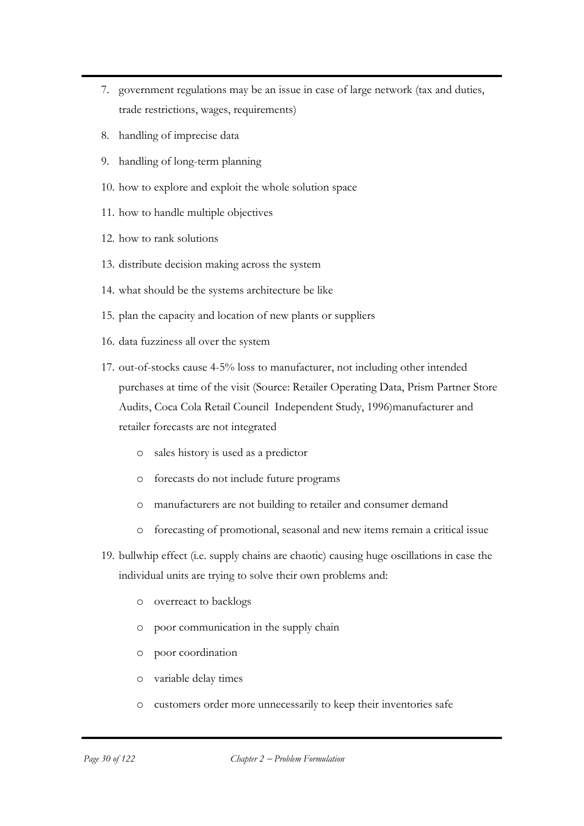- 7. government regulations may be an issue in case of large network (tax and duties, trade restrictions, wages, requirements)
- 8. handling of imprecise data
- 9. handling of long-term planning
- 10. how to explore and exploit the whole solution space
- 11. how to handle multiple objectives
- 12. how to rank solutions
- 13. distribute decision making across the system
- 14. what should be the systems architecture be like
- 15. plan the capacity and location of new plants or suppliers
- 16. data fuzziness all over the system
- 17. out-of-stocks cause 4-5% loss to manufacturer, not including other intended purchases at time of the visit (Source: Retailer Operating Data, Prism Partner Store Audits, Coca Cola Retail Council Independent Study, 1996)manufacturer and retailer forecasts are not integrated
	- o sales history is used as a predictor
	- o forecasts do not include future programs
	- o manufacturers are not building to retailer and consumer demand
	- o forecasting of promotional, seasonal and new items remain a critical issue
- 19. bullwhip effect (i.e. supply chains are chaotic) causing huge oscillations in case the individual units are trying to solve their own problems and:
	- o overreact to backlogs
	- o poor communication in the supply chain
	- o poor coordination
	- o variable delay times
	- o customers order more unnecessarily to keep their inventories safe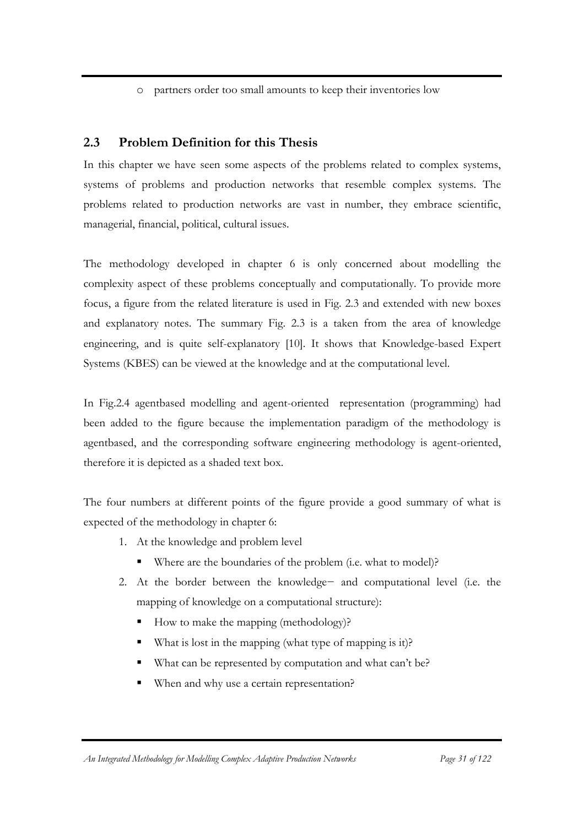o partners order too small amounts to keep their inventories low

#### **2.3 Problem Definition for this Thesis**

In this chapter we have seen some aspects of the problems related to complex systems, systems of problems and production networks that resemble complex systems. The problems related to production networks are vast in number, they embrace scientific, managerial, financial, political, cultural issues.

The methodology developed in chapter 6 is only concerned about modelling the complexity aspect of these problems conceptually and computationally. To provide more focus, a figure from the related literature is used in Fig. 2.3 and extended with new boxes and explanatory notes. The summary Fig. 2.3 is a taken from the area of knowledge engineering, and is quite self-explanatory [10]. It shows that Knowledge-based Expert Systems (KBES) can be viewed at the knowledge and at the computational level.

In Fig.2.4 agentbased modelling and agent-oriented representation (programming) had been added to the figure because the implementation paradigm of the methodology is agentbased, and the corresponding software engineering methodology is agent-oriented, therefore it is depicted as a shaded text box.

The four numbers at different points of the figure provide a good summary of what is expected of the methodology in chapter 6:

- 1. At the knowledge and problem level
	- Where are the boundaries of the problem (i.e. what to model)?
- 2. At the border between the knowledge− and computational level (i.e. the mapping of knowledge on a computational structure):
	- How to make the mapping (methodology)?
	- What is lost in the mapping (what type of mapping is it)?
	- What can be represented by computation and what can't be?
	- When and why use a certain representation?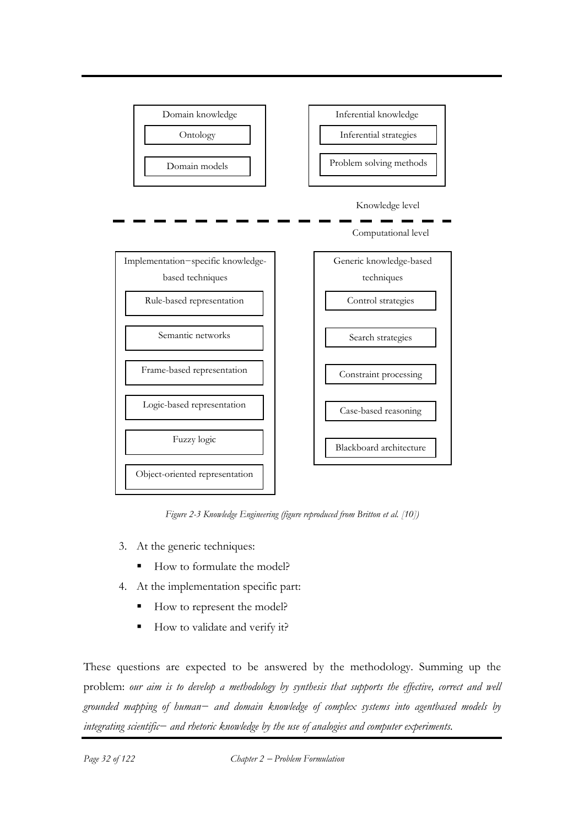

*Figure 2-3 Knowledge Engineering (figure reproduced from Britton et al. [10])* 

- 3. At the generic techniques:
	- How to formulate the model?
- 4. At the implementation specific part:
	- How to represent the model?
	- How to validate and verify it?

These questions are expected to be answered by the methodology. Summing up the problem: *our aim is to develop a methodology by synthesis that supports the effective, correct and well grounded mapping of human− and domain knowledge of complex systems into agentbased models by integrating scientific− and rhetoric knowledge by the use of analogies and computer experiments.*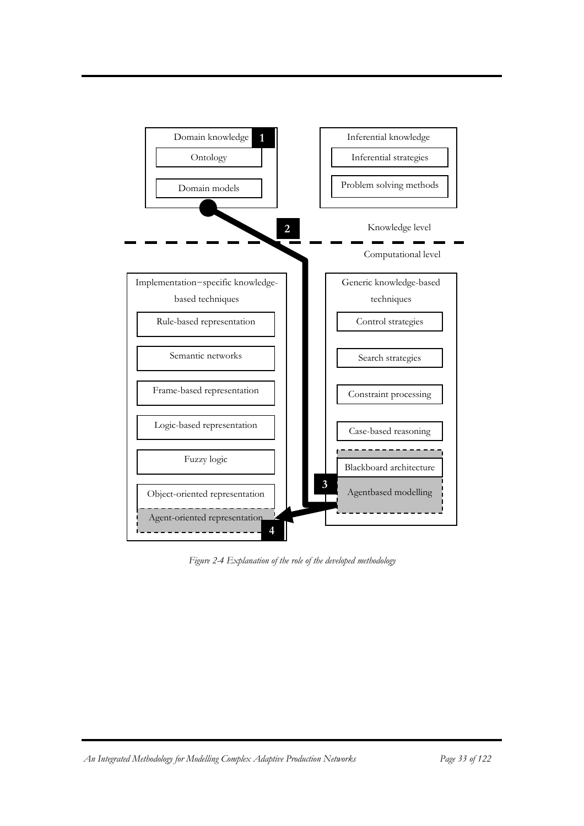

*Figure 2-4 Explanation of the role of the developed methodology*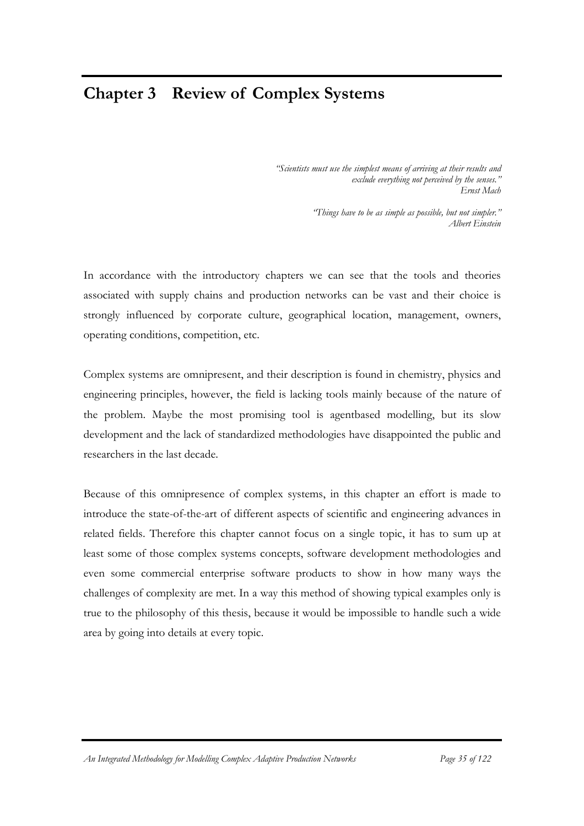# **Chapter 3 Review of Complex Systems**

*"Scientists must use the simplest means of arriving at their results and exclude everything not perceived by the senses." Ernst Mach* 

> *"Things have to be as simple as possible, but not simpler." Albert Einstein*

In accordance with the introductory chapters we can see that the tools and theories associated with supply chains and production networks can be vast and their choice is strongly influenced by corporate culture, geographical location, management, owners, operating conditions, competition, etc.

Complex systems are omnipresent, and their description is found in chemistry, physics and engineering principles, however, the field is lacking tools mainly because of the nature of the problem. Maybe the most promising tool is agentbased modelling, but its slow development and the lack of standardized methodologies have disappointed the public and researchers in the last decade.

Because of this omnipresence of complex systems, in this chapter an effort is made to introduce the state-of-the-art of different aspects of scientific and engineering advances in related fields. Therefore this chapter cannot focus on a single topic, it has to sum up at least some of those complex systems concepts, software development methodologies and even some commercial enterprise software products to show in how many ways the challenges of complexity are met. In a way this method of showing typical examples only is true to the philosophy of this thesis, because it would be impossible to handle such a wide area by going into details at every topic.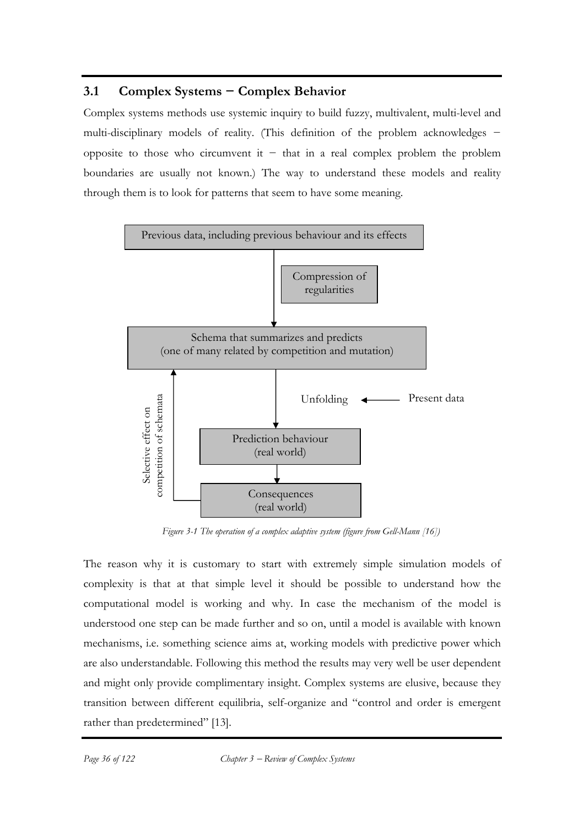# **3.1 Complex Systems − Complex Behavior**

Complex systems methods use systemic inquiry to build fuzzy, multivalent, multi-level and multi-disciplinary models of reality. (This definition of the problem acknowledges − opposite to those who circumvent it − that in a real complex problem the problem boundaries are usually not known.) The way to understand these models and reality through them is to look for patterns that seem to have some meaning.



*Figure 3-1 The operation of a complex adaptive system (figure from Gell-Mann [16])* 

The reason why it is customary to start with extremely simple simulation models of complexity is that at that simple level it should be possible to understand how the computational model is working and why. In case the mechanism of the model is understood one step can be made further and so on, until a model is available with known mechanisms, i.e. something science aims at, working models with predictive power which are also understandable. Following this method the results may very well be user dependent and might only provide complimentary insight. Complex systems are elusive, because they transition between different equilibria, self-organize and "control and order is emergent rather than predetermined" [13].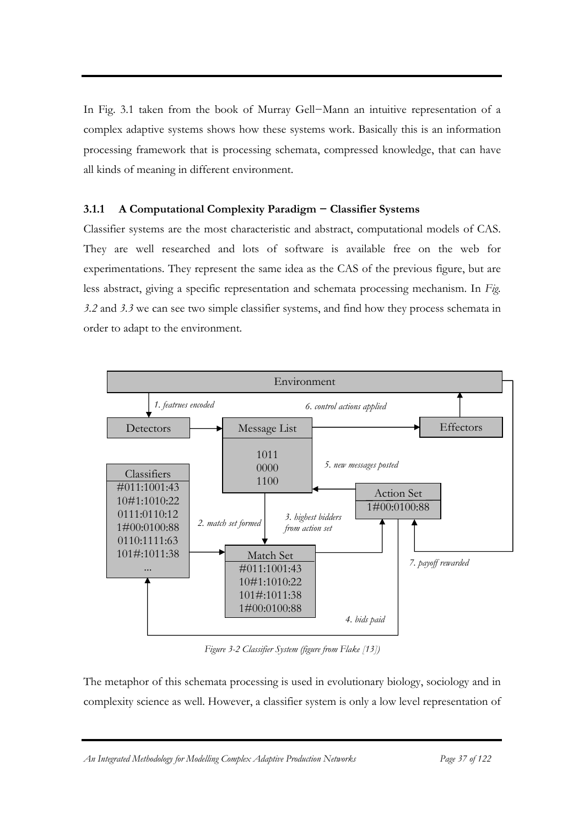In Fig. 3.1 taken from the book of Murray Gell−Mann an intuitive representation of a complex adaptive systems shows how these systems work. Basically this is an information processing framework that is processing schemata, compressed knowledge, that can have all kinds of meaning in different environment.

### **3.1.1 A Computational Complexity Paradigm − Classifier Systems**

Classifier systems are the most characteristic and abstract, computational models of CAS. They are well researched and lots of software is available free on the web for experimentations. They represent the same idea as the CAS of the previous figure, but are less abstract, giving a specific representation and schemata processing mechanism. In *Fig. 3.2* and *3.3* we can see two simple classifier systems, and find how they process schemata in order to adapt to the environment.



*Figure 3-2 Classifier System (figure from Flake [13])* 

The metaphor of this schemata processing is used in evolutionary biology, sociology and in complexity science as well. However, a classifier system is only a low level representation of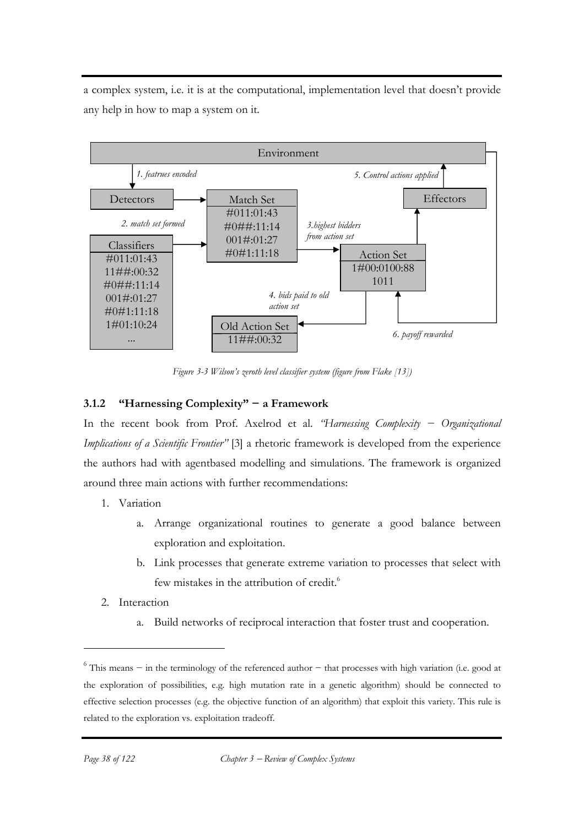a complex system, i.e. it is at the computational, implementation level that doesn't provide any help in how to map a system on it.



*Figure 3-3 Wilson's zeroth level classifier system (figure from Flake [13])* 

### **3.1.2 "Harnessing Complexity" − a Framework**

In the recent book from Prof. Axelrod et al. *"Harnessing Complexity − Organizational Implications of a Scientific Frontier"* [3] a rhetoric framework is developed from the experience the authors had with agentbased modelling and simulations. The framework is organized around three main actions with further recommendations:

- 1. Variation
	- a. Arrange organizational routines to generate a good balance between exploration and exploitation.
	- b. Link processes that generate extreme variation to processes that select with few mistakes in the attribution of credit.<sup>6</sup>
- 2. Interaction
	- a. Build networks of reciprocal interaction that foster trust and cooperation.

 $6$  This means – in the terminology of the referenced author – that processes with high variation (i.e. good at the exploration of possibilities, e.g. high mutation rate in a genetic algorithm) should be connected to effective selection processes (e.g. the objective function of an algorithm) that exploit this variety. This rule is related to the exploration vs. exploitation tradeoff.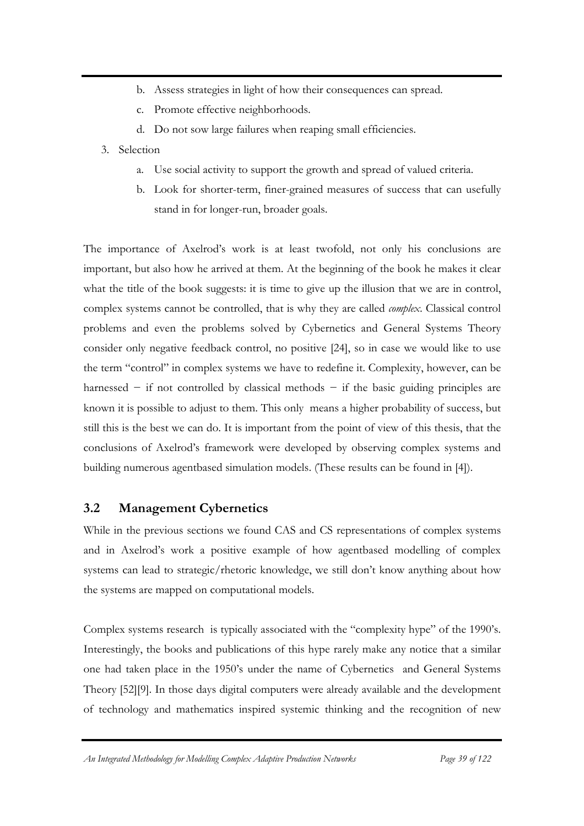- b. Assess strategies in light of how their consequences can spread.
- c. Promote effective neighborhoods.
- d. Do not sow large failures when reaping small efficiencies.
- 3. Selection
	- a. Use social activity to support the growth and spread of valued criteria.
	- b. Look for shorter-term, finer-grained measures of success that can usefully stand in for longer-run, broader goals.

The importance of Axelrod's work is at least twofold, not only his conclusions are important, but also how he arrived at them. At the beginning of the book he makes it clear what the title of the book suggests: it is time to give up the illusion that we are in control, complex systems cannot be controlled, that is why they are called *complex*. Classical control problems and even the problems solved by Cybernetics and General Systems Theory consider only negative feedback control, no positive [24], so in case we would like to use the term "control" in complex systems we have to redefine it. Complexity, however, can be harnessed − if not controlled by classical methods − if the basic guiding principles are known it is possible to adjust to them. This only means a higher probability of success, but still this is the best we can do. It is important from the point of view of this thesis, that the conclusions of Axelrod's framework were developed by observing complex systems and building numerous agentbased simulation models. (These results can be found in [4]).

# **3.2 Management Cybernetics**

While in the previous sections we found CAS and CS representations of complex systems and in Axelrod's work a positive example of how agentbased modelling of complex systems can lead to strategic/rhetoric knowledge, we still don't know anything about how the systems are mapped on computational models.

Complex systems research is typically associated with the "complexity hype" of the 1990's. Interestingly, the books and publications of this hype rarely make any notice that a similar one had taken place in the 1950's under the name of Cybernetics and General Systems Theory [52][9]. In those days digital computers were already available and the development of technology and mathematics inspired systemic thinking and the recognition of new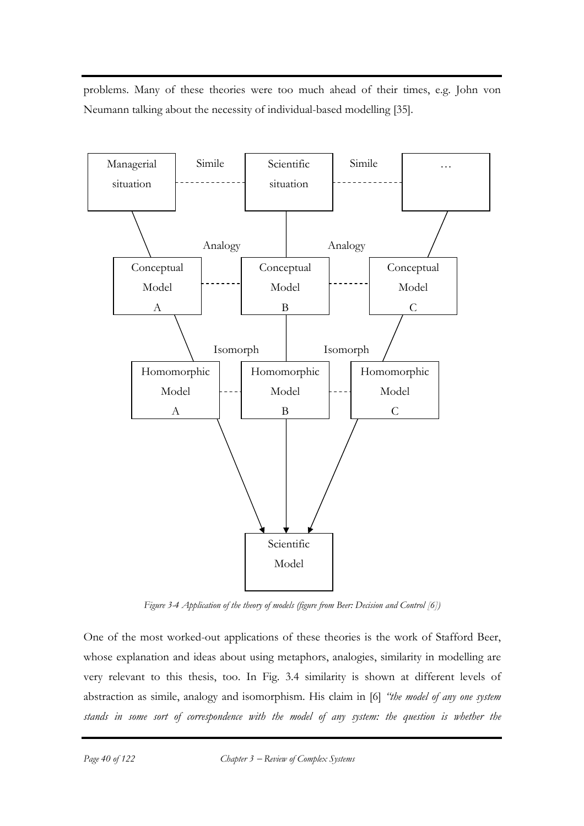problems. Many of these theories were too much ahead of their times, e.g. John von Neumann talking about the necessity of individual-based modelling [35].



*Figure 3-4 Application of the theory of models (figure from Beer: Decision and Control [6])* 

One of the most worked-out applications of these theories is the work of Stafford Beer, whose explanation and ideas about using metaphors, analogies, similarity in modelling are very relevant to this thesis, too. In Fig. 3.4 similarity is shown at different levels of abstraction as simile, analogy and isomorphism. His claim in [6] *"the model of any one system stands in some sort of correspondence with the model of any system: the question is whether the*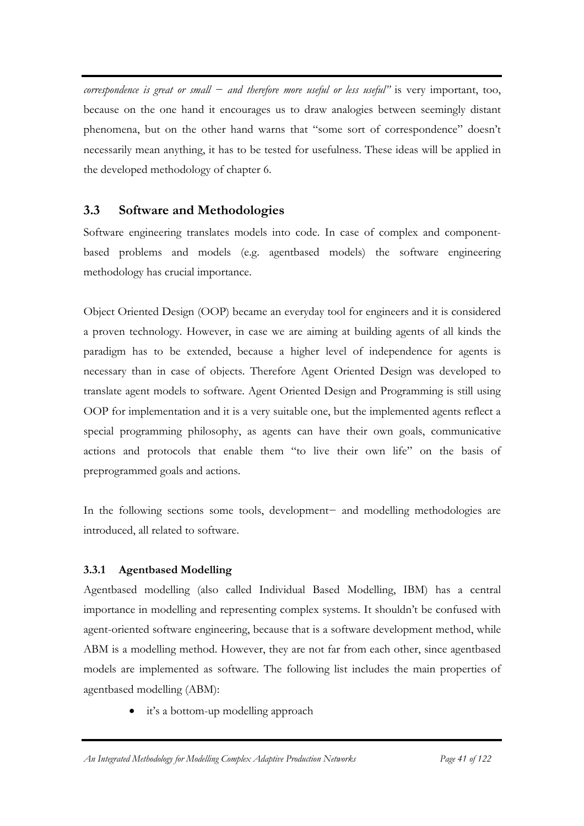*correspondence is great or small − and therefore more useful or less useful"* is very important, too, because on the one hand it encourages us to draw analogies between seemingly distant phenomena, but on the other hand warns that "some sort of correspondence" doesn't necessarily mean anything, it has to be tested for usefulness. These ideas will be applied in the developed methodology of chapter 6.

## **3.3 Software and Methodologies**

Software engineering translates models into code. In case of complex and componentbased problems and models (e.g. agentbased models) the software engineering methodology has crucial importance.

Object Oriented Design (OOP) became an everyday tool for engineers and it is considered a proven technology. However, in case we are aiming at building agents of all kinds the paradigm has to be extended, because a higher level of independence for agents is necessary than in case of objects. Therefore Agent Oriented Design was developed to translate agent models to software. Agent Oriented Design and Programming is still using OOP for implementation and it is a very suitable one, but the implemented agents reflect a special programming philosophy, as agents can have their own goals, communicative actions and protocols that enable them "to live their own life" on the basis of preprogrammed goals and actions.

In the following sections some tools, development− and modelling methodologies are introduced, all related to software.

#### **3.3.1 Agentbased Modelling**

Agentbased modelling (also called Individual Based Modelling, IBM) has a central importance in modelling and representing complex systems. It shouldn't be confused with agent-oriented software engineering, because that is a software development method, while ABM is a modelling method. However, they are not far from each other, since agentbased models are implemented as software. The following list includes the main properties of agentbased modelling (ABM):

• it's a bottom-up modelling approach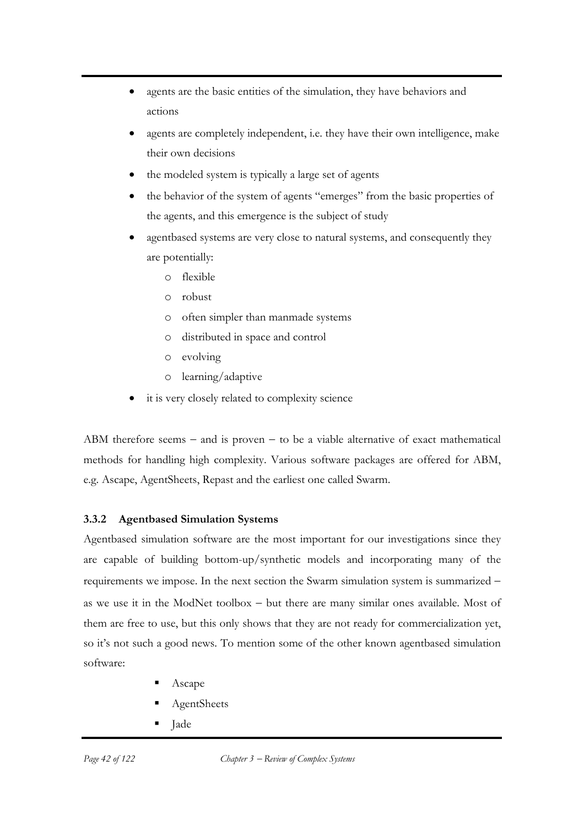- agents are the basic entities of the simulation, they have behaviors and actions
- agents are completely independent, i.e. they have their own intelligence, make their own decisions
- the modeled system is typically a large set of agents
- the behavior of the system of agents "emerges" from the basic properties of the agents, and this emergence is the subject of study
- agentbased systems are very close to natural systems, and consequently they are potentially:
	- o flexible
	- o robust
	- o often simpler than manmade systems
	- o distributed in space and control
	- o evolving
	- o learning/adaptive
- it is very closely related to complexity science

ABM therefore seems − and is proven − to be a viable alternative of exact mathematical methods for handling high complexity. Various software packages are offered for ABM, e.g. Ascape, AgentSheets, Repast and the earliest one called Swarm.

#### **3.3.2 Agentbased Simulation Systems**

Agentbased simulation software are the most important for our investigations since they are capable of building bottom-up/synthetic models and incorporating many of the requirements we impose. In the next section the Swarm simulation system is summarized − as we use it in the ModNet toolbox − but there are many similar ones available. Most of them are free to use, but this only shows that they are not ready for commercialization yet, so it's not such a good news. To mention some of the other known agentbased simulation software:

- Ascape
- AgentSheets
- lade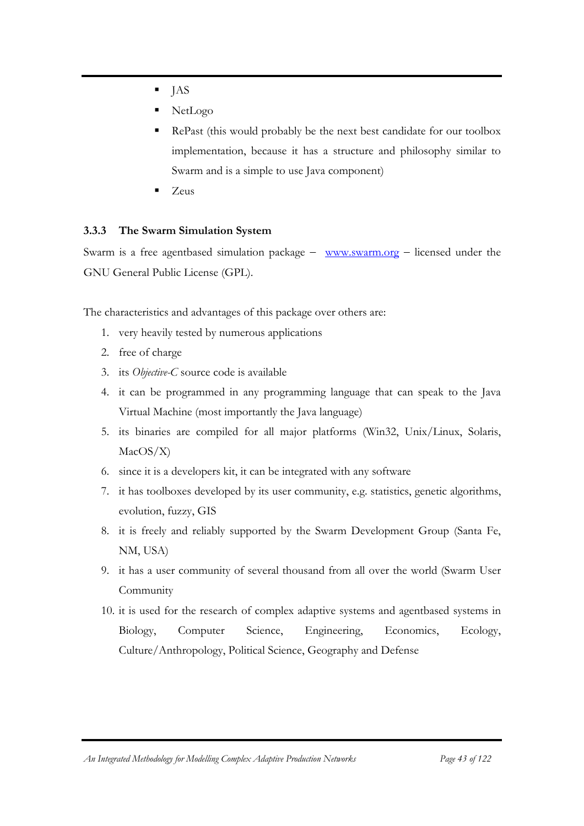- JAS
- NetLogo
- RePast (this would probably be the next best candidate for our toolbox implementation, because it has a structure and philosophy similar to Swarm and is a simple to use Java component)
- Zeus

#### **3.3.3 The Swarm Simulation System**

Swarm is a free agentbased simulation package − www.swarm.org − licensed under the GNU General Public License (GPL).

The characteristics and advantages of this package over others are:

- 1. very heavily tested by numerous applications
- 2. free of charge
- 3. its *Objective-C* source code is available
- 4. it can be programmed in any programming language that can speak to the Java Virtual Machine (most importantly the Java language)
- 5. its binaries are compiled for all major platforms (Win32, Unix/Linux, Solaris, MacOS/X)
- 6. since it is a developers kit, it can be integrated with any software
- 7. it has toolboxes developed by its user community, e.g. statistics, genetic algorithms, evolution, fuzzy, GIS
- 8. it is freely and reliably supported by the Swarm Development Group (Santa Fe, NM, USA)
- 9. it has a user community of several thousand from all over the world (Swarm User **Community**
- 10. it is used for the research of complex adaptive systems and agentbased systems in Biology, Computer Science, Engineering, Economics, Ecology, Culture/Anthropology, Political Science, Geography and Defense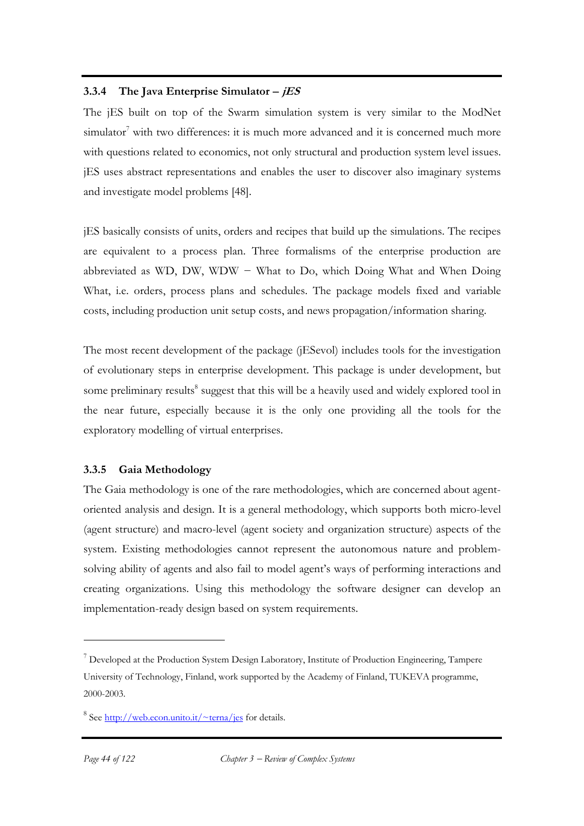#### **3.3.4 The Java Enterprise Simulator** − **jES**

The jES built on top of the Swarm simulation system is very similar to the ModNet simulator<sup>7</sup> with two differences: it is much more advanced and it is concerned much more with questions related to economics, not only structural and production system level issues. jES uses abstract representations and enables the user to discover also imaginary systems and investigate model problems [48].

jES basically consists of units, orders and recipes that build up the simulations. The recipes are equivalent to a process plan. Three formalisms of the enterprise production are abbreviated as WD, DW, WDW − What to Do, which Doing What and When Doing What, i.e. orders, process plans and schedules. The package models fixed and variable costs, including production unit setup costs, and news propagation/information sharing.

The most recent development of the package (jESevol) includes tools for the investigation of evolutionary steps in enterprise development. This package is under development, but some preliminary results<sup>8</sup> suggest that this will be a heavily used and widely explored tool in the near future, especially because it is the only one providing all the tools for the exploratory modelling of virtual enterprises.

#### **3.3.5 Gaia Methodology**

The Gaia methodology is one of the rare methodologies, which are concerned about agentoriented analysis and design. It is a general methodology, which supports both micro-level (agent structure) and macro-level (agent society and organization structure) aspects of the system. Existing methodologies cannot represent the autonomous nature and problemsolving ability of agents and also fail to model agent's ways of performing interactions and creating organizations. Using this methodology the software designer can develop an implementation-ready design based on system requirements.

<sup>&</sup>lt;sup>7</sup> Developed at the Production System Design Laboratory, Institute of Production Engineering, Tampere University of Technology, Finland, work supported by the Academy of Finland, TUKEVA programme, 2000-2003.

<sup>&</sup>lt;sup>8</sup> See  $\frac{\text{http://web.econ.unito.it/~terna/jes}}{\text{then.}}$  for details.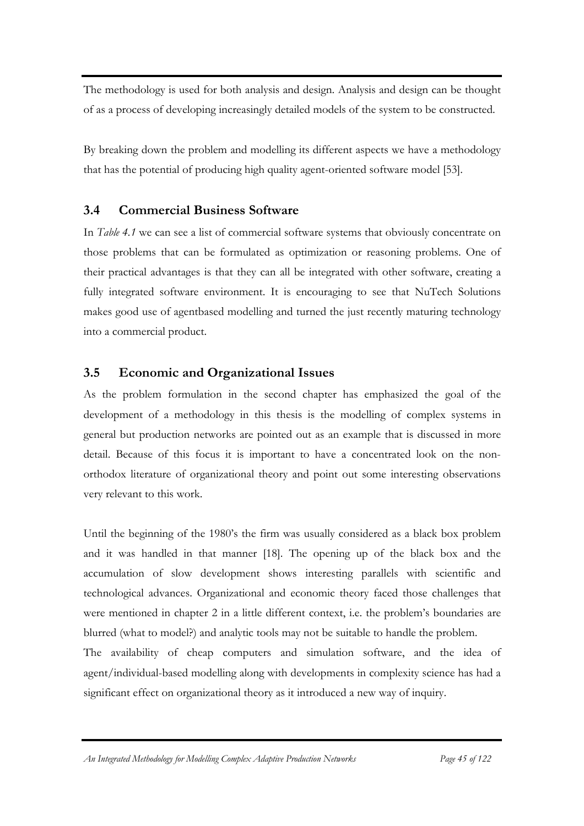The methodology is used for both analysis and design. Analysis and design can be thought of as a process of developing increasingly detailed models of the system to be constructed.

By breaking down the problem and modelling its different aspects we have a methodology that has the potential of producing high quality agent-oriented software model [53].

## **3.4 Commercial Business Software**

In *Table 4.1* we can see a list of commercial software systems that obviously concentrate on those problems that can be formulated as optimization or reasoning problems. One of their practical advantages is that they can all be integrated with other software, creating a fully integrated software environment. It is encouraging to see that NuTech Solutions makes good use of agentbased modelling and turned the just recently maturing technology into a commercial product.

### **3.5 Economic and Organizational Issues**

As the problem formulation in the second chapter has emphasized the goal of the development of a methodology in this thesis is the modelling of complex systems in general but production networks are pointed out as an example that is discussed in more detail. Because of this focus it is important to have a concentrated look on the nonorthodox literature of organizational theory and point out some interesting observations very relevant to this work.

Until the beginning of the 1980's the firm was usually considered as a black box problem and it was handled in that manner [18]. The opening up of the black box and the accumulation of slow development shows interesting parallels with scientific and technological advances. Organizational and economic theory faced those challenges that were mentioned in chapter 2 in a little different context, i.e. the problem's boundaries are blurred (what to model?) and analytic tools may not be suitable to handle the problem.

The availability of cheap computers and simulation software, and the idea of agent/individual-based modelling along with developments in complexity science has had a significant effect on organizational theory as it introduced a new way of inquiry.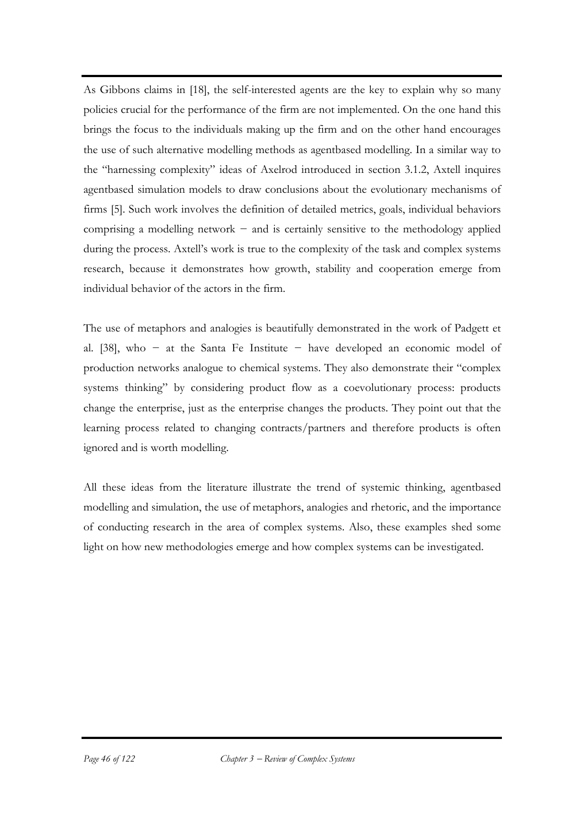As Gibbons claims in [18], the self-interested agents are the key to explain why so many policies crucial for the performance of the firm are not implemented. On the one hand this brings the focus to the individuals making up the firm and on the other hand encourages the use of such alternative modelling methods as agentbased modelling. In a similar way to the "harnessing complexity" ideas of Axelrod introduced in section 3.1.2, Axtell inquires agentbased simulation models to draw conclusions about the evolutionary mechanisms of firms [5]. Such work involves the definition of detailed metrics, goals, individual behaviors comprising a modelling network − and is certainly sensitive to the methodology applied during the process. Axtell's work is true to the complexity of the task and complex systems research, because it demonstrates how growth, stability and cooperation emerge from individual behavior of the actors in the firm.

The use of metaphors and analogies is beautifully demonstrated in the work of Padgett et al. [38], who − at the Santa Fe Institute − have developed an economic model of production networks analogue to chemical systems. They also demonstrate their "complex systems thinking" by considering product flow as a coevolutionary process: products change the enterprise, just as the enterprise changes the products. They point out that the learning process related to changing contracts/partners and therefore products is often ignored and is worth modelling.

All these ideas from the literature illustrate the trend of systemic thinking, agentbased modelling and simulation, the use of metaphors, analogies and rhetoric, and the importance of conducting research in the area of complex systems. Also, these examples shed some light on how new methodologies emerge and how complex systems can be investigated.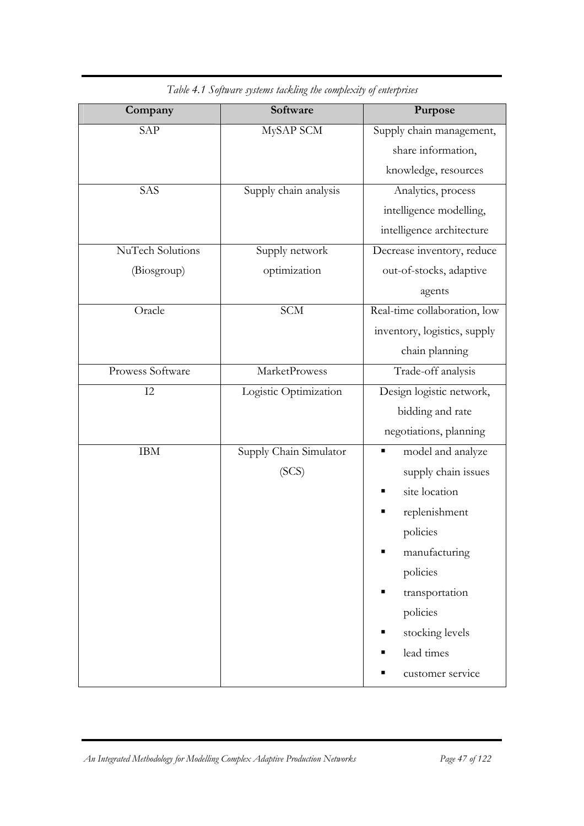| Company          | Software               | Purpose                      |
|------------------|------------------------|------------------------------|
| SAP              | MySAP SCM              | Supply chain management,     |
|                  |                        | share information,           |
|                  |                        | knowledge, resources         |
| SAS              | Supply chain analysis  | Analytics, process           |
|                  |                        | intelligence modelling,      |
|                  |                        | intelligence architecture    |
| NuTech Solutions | Supply network         | Decrease inventory, reduce   |
| (Biosgroup)      | optimization           | out-of-stocks, adaptive      |
|                  |                        | agents                       |
| Oracle           | <b>SCM</b>             | Real-time collaboration, low |
|                  |                        | inventory, logistics, supply |
|                  |                        | chain planning               |
| Prowess Software | <b>MarketProwess</b>   | Trade-off analysis           |
| I2               | Logistic Optimization  | Design logistic network,     |
|                  |                        | bidding and rate             |
|                  |                        | negotiations, planning       |
| <b>IBM</b>       | Supply Chain Simulator | model and analyze<br>п       |
|                  | (SCS)                  | supply chain issues          |
|                  |                        | site location                |
|                  |                        | replenishment                |
|                  |                        | policies                     |
|                  |                        | manufacturing                |
|                  |                        | policies                     |
|                  |                        | transportation<br>▪          |
|                  |                        | policies                     |
|                  |                        | stocking levels              |
|                  |                        | lead times                   |
|                  |                        | customer service             |

*Table 4.1 Software systems tackling the complexity of enterprises*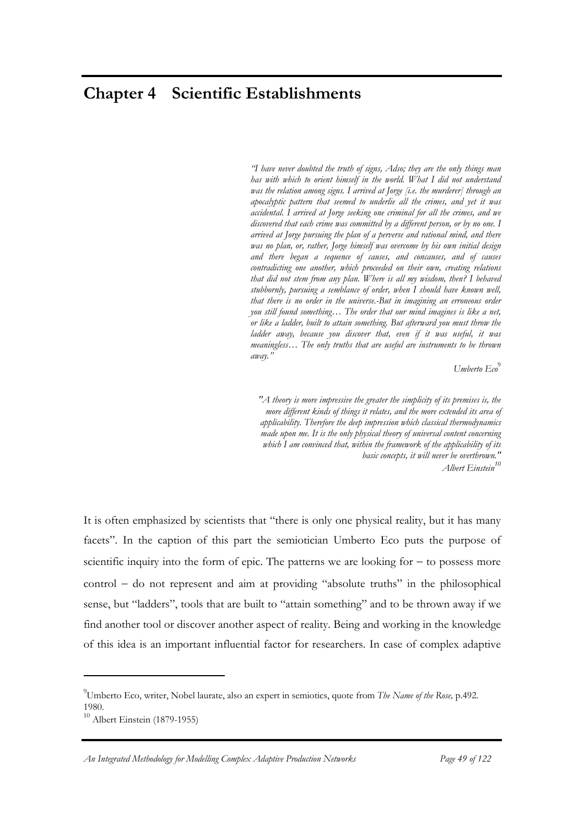# **Chapter 4 Scientific Establishments**

*"I have never doubted the truth of signs, Adso; they are the only things man has with which to orient himself in the world. What I did not understand was the relation among signs. I arrived at Jorge [i.e. the murderer] through an apocalyptic pattern that seemed to underlie all the crimes, and yet it was accidental. I arrived at Jorge seeking one criminal for all the crimes, and we discovered that each crime was committed by a different person, or by no one. I arrived at Jorge pursuing the plan of a perverse and rational mind, and there was no plan, or, rather, Jorge himself was overcome by his own initial design and there began a sequence of causes, and concauses, and of causes contradicting one another, which proceeded on their own, creating relations that did not stem from any plan. Where is all my wisdom, then? I behaved stubbornly, pursuing a semblance of order, when I should have known well, that there is no order in the universe.-But in imagining an erroneous order you still found something… The order that our mind imagines is like a net, or like a ladder, built to attain something. But afterward you must throw the ladder away, because you discover that, even if it was useful, it was meaningless… The only truths that are useful are instruments to be thrown away."* 

*Umberto Eco*<sup>9</sup>

*"A theory is more impressive the greater the simplicity of its premises is, the more different kinds of things it relates, and the more extended its area of applicability. Therefore the deep impression which classical thermodynamics made upon me. It is the only physical theory of universal content concerning which I am convinced that, within the framework of the applicability of its basic concepts, it will never be overthrown." Albert Einstein10*

It is often emphasized by scientists that "there is only one physical reality, but it has many facets". In the caption of this part the semiotician Umberto Eco puts the purpose of scientific inquiry into the form of epic. The patterns we are looking for − to possess more control − do not represent and aim at providing "absolute truths" in the philosophical sense, but "ladders", tools that are built to "attain something" and to be thrown away if we find another tool or discover another aspect of reality. Being and working in the knowledge of this idea is an important influential factor for researchers. In case of complex adaptive

<sup>9</sup> Umberto Eco, writer, Nobel laurate, also an expert in semiotics, quote from *The Name of the Rose,* p.492. 1980.

 $10$  Albert Einstein (1879-1955)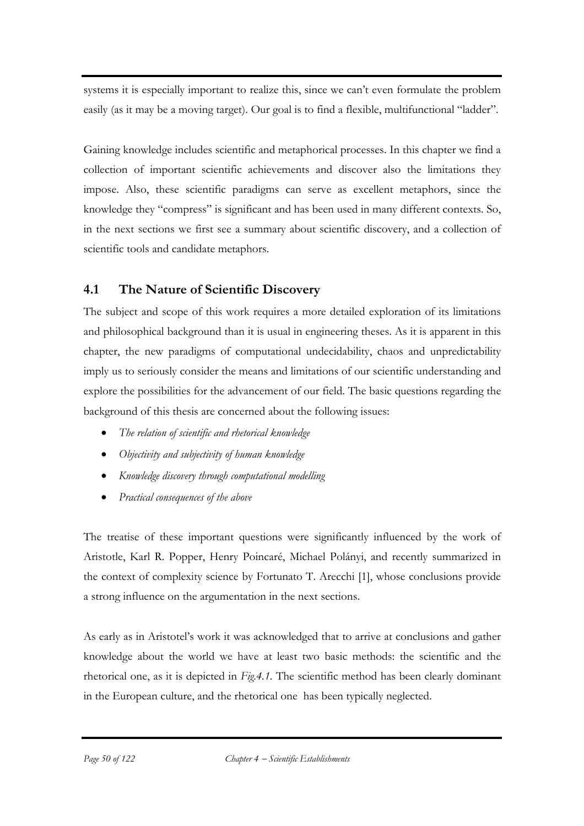systems it is especially important to realize this, since we can't even formulate the problem easily (as it may be a moving target). Our goal is to find a flexible, multifunctional "ladder".

Gaining knowledge includes scientific and metaphorical processes. In this chapter we find a collection of important scientific achievements and discover also the limitations they impose. Also, these scientific paradigms can serve as excellent metaphors, since the knowledge they "compress" is significant and has been used in many different contexts. So, in the next sections we first see a summary about scientific discovery, and a collection of scientific tools and candidate metaphors.

# **4.1 The Nature of Scientific Discovery**

The subject and scope of this work requires a more detailed exploration of its limitations and philosophical background than it is usual in engineering theses. As it is apparent in this chapter, the new paradigms of computational undecidability, chaos and unpredictability imply us to seriously consider the means and limitations of our scientific understanding and explore the possibilities for the advancement of our field. The basic questions regarding the background of this thesis are concerned about the following issues:

- *The relation of scientific and rhetorical knowledge*
- *Objectivity and subjectivity of human knowledge*
- *Knowledge discovery through computational modelling*
- *Practical consequences of the above*

The treatise of these important questions were significantly influenced by the work of Aristotle, Karl R. Popper, Henry Poincaré, Michael Polányi, and recently summarized in the context of complexity science by Fortunato T. Arecchi [1], whose conclusions provide a strong influence on the argumentation in the next sections.

As early as in Aristotel's work it was acknowledged that to arrive at conclusions and gather knowledge about the world we have at least two basic methods: the scientific and the rhetorical one, as it is depicted in *Fig.4.1.* The scientific method has been clearly dominant in the European culture, and the rhetorical one has been typically neglected.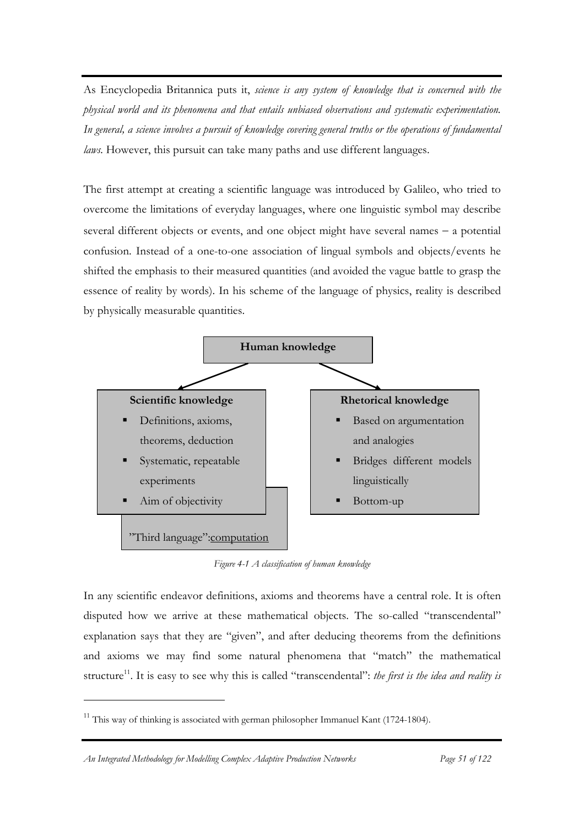As Encyclopedia Britannica puts it, *science is any system of knowledge that is concerned with the physical world and its phenomena and that entails unbiased observations and systematic experimentation. In general, a science involves a pursuit of knowledge covering general truths or the operations of fundamental laws.* However, this pursuit can take many paths and use different languages.

The first attempt at creating a scientific language was introduced by Galileo, who tried to overcome the limitations of everyday languages, where one linguistic symbol may describe several different objects or events, and one object might have several names − a potential confusion. Instead of a one-to-one association of lingual symbols and objects/events he shifted the emphasis to their measured quantities (and avoided the vague battle to grasp the essence of reality by words). In his scheme of the language of physics, reality is described by physically measurable quantities.



*Figure 4-1 A classification of human knowledge* 

In any scientific endeavor definitions, axioms and theorems have a central role. It is often disputed how we arrive at these mathematical objects. The so-called "transcendental" explanation says that they are "given", and after deducing theorems from the definitions and axioms we may find some natural phenomena that "match" the mathematical structure<sup>11</sup>. It is easy to see why this is called "transcendental": *the first is the idea and reality is* 

 $11$  This way of thinking is associated with german philosopher Immanuel Kant (1724-1804).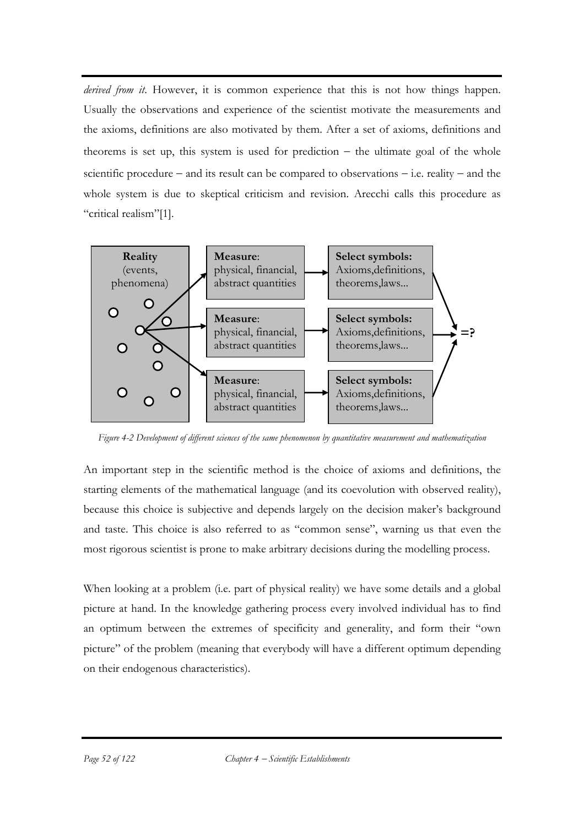*derived from it*. However, it is common experience that this is not how things happen. Usually the observations and experience of the scientist motivate the measurements and the axioms, definitions are also motivated by them. After a set of axioms, definitions and theorems is set up, this system is used for prediction − the ultimate goal of the whole scientific procedure – and its result can be compared to observations – i.e. reality – and the whole system is due to skeptical criticism and revision. Arecchi calls this procedure as "critical realism"[1].



*Figure 4-2 Development of different sciences of the same phenomenon by quantitative measurement and mathematization* 

An important step in the scientific method is the choice of axioms and definitions, the starting elements of the mathematical language (and its coevolution with observed reality), because this choice is subjective and depends largely on the decision maker's background and taste. This choice is also referred to as "common sense", warning us that even the most rigorous scientist is prone to make arbitrary decisions during the modelling process.

When looking at a problem (i.e. part of physical reality) we have some details and a global picture at hand. In the knowledge gathering process every involved individual has to find an optimum between the extremes of specificity and generality, and form their "own picture" of the problem (meaning that everybody will have a different optimum depending on their endogenous characteristics).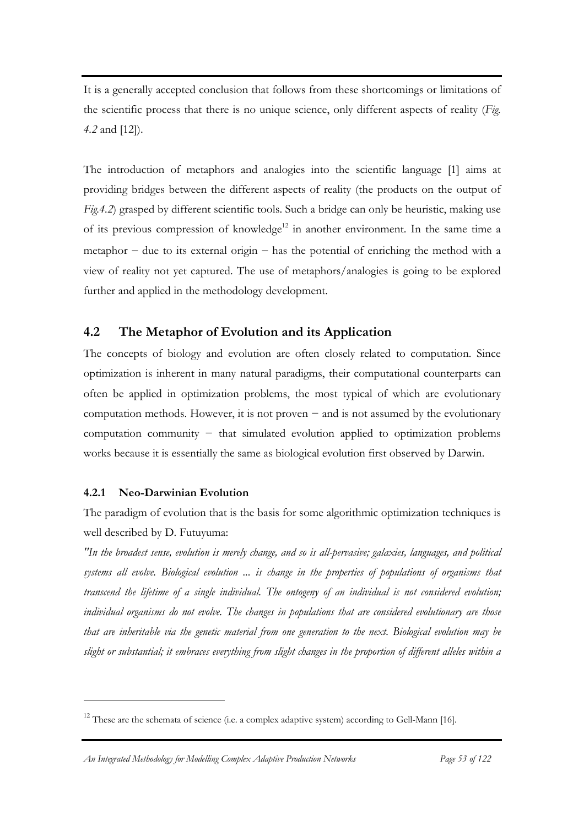It is a generally accepted conclusion that follows from these shortcomings or limitations of the scientific process that there is no unique science, only different aspects of reality (*Fig. 4.2* and [12]).

The introduction of metaphors and analogies into the scientific language [1] aims at providing bridges between the different aspects of reality (the products on the output of *Fig.4.2*) grasped by different scientific tools. Such a bridge can only be heuristic, making use of its previous compression of knowledge<sup>12</sup> in another environment. In the same time a metaphor − due to its external origin − has the potential of enriching the method with a view of reality not yet captured. The use of metaphors/analogies is going to be explored further and applied in the methodology development.

## **4.2 The Metaphor of Evolution and its Application**

The concepts of biology and evolution are often closely related to computation. Since optimization is inherent in many natural paradigms, their computational counterparts can often be applied in optimization problems, the most typical of which are evolutionary computation methods. However, it is not proven − and is not assumed by the evolutionary computation community − that simulated evolution applied to optimization problems works because it is essentially the same as biological evolution first observed by Darwin.

#### **4.2.1 Neo-Darwinian Evolution**

 $\overline{a}$ 

The paradigm of evolution that is the basis for some algorithmic optimization techniques is well described by D. Futuyuma:

*"In the broadest sense, evolution is merely change, and so is all-pervasive; galaxies, languages, and political systems all evolve. Biological evolution ... is change in the properties of populations of organisms that transcend the lifetime of a single individual. The ontogeny of an individual is not considered evolution; individual organisms do not evolve. The changes in populations that are considered evolutionary are those that are inheritable via the genetic material from one generation to the next. Biological evolution may be slight or substantial; it embraces everything from slight changes in the proportion of different alleles within a* 

 $12$  These are the schemata of science (i.e. a complex adaptive system) according to Gell-Mann [16].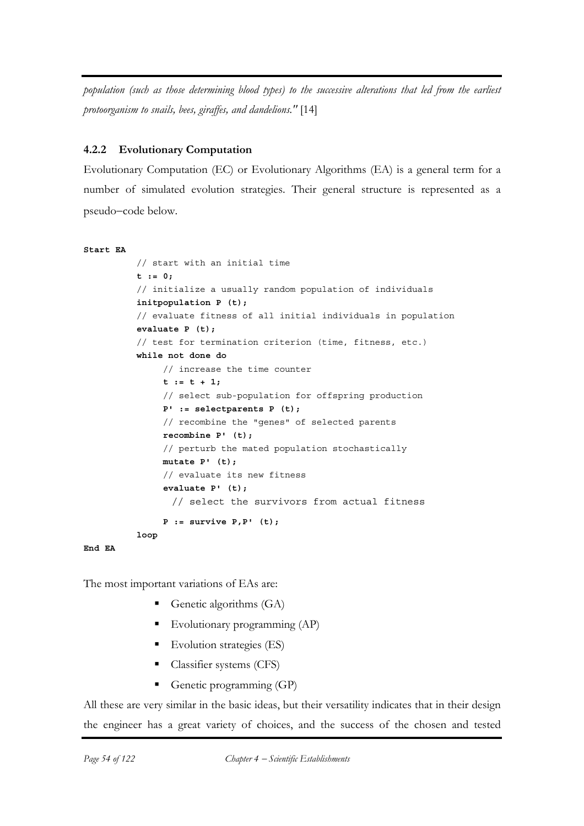*population (such as those determining blood types) to the successive alterations that led from the earliest protoorganism to snails, bees, giraffes, and dandelions."* [14]

## **4.2.2 Evolutionary Computation**

Evolutionary Computation (EC) or Evolutionary Algorithms (EA) is a general term for a number of simulated evolution strategies. Their general structure is represented as a pseudo−code below.

```
Start EA
```

```
 // start with an initial time 
t : = 0 // initialize a usually random population of individuals 
 initpopulation P (t); 
 // evaluate fitness of all initial individuals in population 
 evaluate P (t); 
 // test for termination criterion (time, fitness, etc.) 
 while not done do 
      // increase the time counter 
     t := t + 1; // select sub-population for offspring production 
      P' := selectparents P (t); 
      // recombine the "genes" of selected parents 
      recombine P' (t); 
      // perturb the mated population stochastically 
      mutate P' (t); 
      // evaluate its new fitness 
      evaluate P' (t); 
        // select the survivors from actual fitness 
      P := survive P,P' (t); 
 loop
```
**End EA**

The most important variations of EAs are:

- Genetic algorithms  $(GA)$
- Evolutionary programming (AP)
- Evolution strategies (ES)
- Classifier systems (CFS)
- Genetic programming (GP)

All these are very similar in the basic ideas, but their versatility indicates that in their design the engineer has a great variety of choices, and the success of the chosen and tested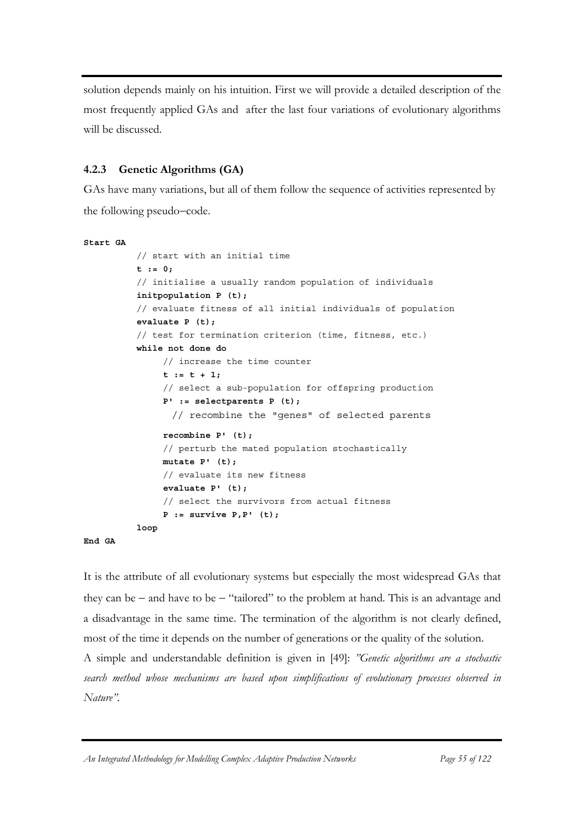solution depends mainly on his intuition. First we will provide a detailed description of the most frequently applied GAs and after the last four variations of evolutionary algorithms will be discussed.

#### **4.2.3 Genetic Algorithms (GA)**

GAs have many variations, but all of them follow the sequence of activities represented by the following pseudo−code.

```
Start GA 
           // start with an initial time 
          t := 0; // initialise a usually random population of individuals 
           initpopulation P (t); 
           // evaluate fitness of all initial individuals of population 
           evaluate P (t); 
           // test for termination criterion (time, fitness, etc.) 
           while not done do 
                // increase the time counter 
               t := t + 1; // select a sub-population for offspring production 
                P' := selectparents P (t); 
                  // recombine the "genes" of selected parents 
                recombine P' (t); 
                // perturb the mated population stochastically 
                mutate P' (t); 
                // evaluate its new fitness 
                evaluate P' (t); 
                // select the survivors from actual fitness 
               P := survive P.P' (t);
           loop 
End GA
```
It is the attribute of all evolutionary systems but especially the most widespread GAs that they can be − and have to be − "tailored" to the problem at hand. This is an advantage and a disadvantage in the same time. The termination of the algorithm is not clearly defined, most of the time it depends on the number of generations or the quality of the solution.

A simple and understandable definition is given in [49]: *"Genetic algorithms are a stochastic search method whose mechanisms are based upon simplifications of evolutionary processes observed in Nature".*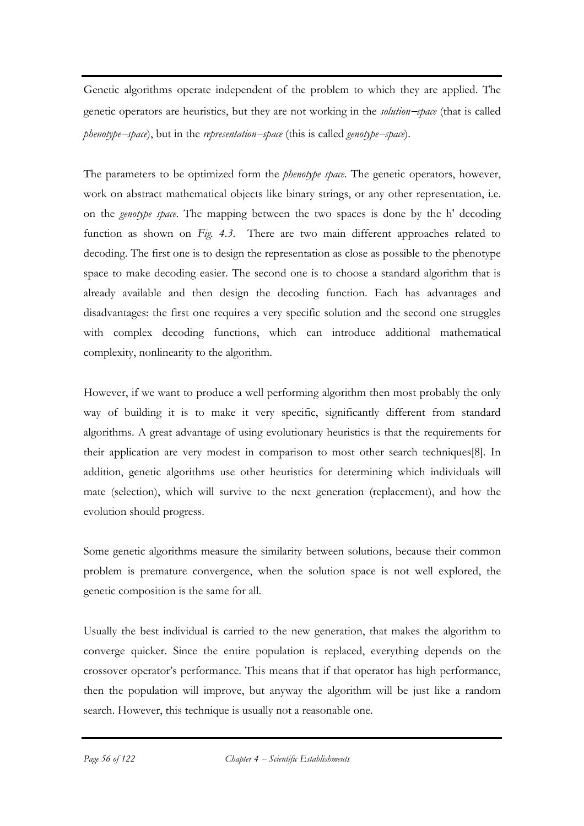Genetic algorithms operate independent of the problem to which they are applied. The genetic operators are heuristics, but they are not working in the *solution*−*space* (that is called *phenotype*−*space*), but in the *representation*−*space* (this is called *genotype*−*space*).

The parameters to be optimized form the *phenotype space*. The genetic operators, however, work on abstract mathematical objects like binary strings, or any other representation, i.e. on the *genotype space*. The mapping between the two spaces is done by the h' decoding function as shown on *Fig. 4.3*. There are two main different approaches related to decoding. The first one is to design the representation as close as possible to the phenotype space to make decoding easier. The second one is to choose a standard algorithm that is already available and then design the decoding function. Each has advantages and disadvantages: the first one requires a very specific solution and the second one struggles with complex decoding functions, which can introduce additional mathematical complexity, nonlinearity to the algorithm.

However, if we want to produce a well performing algorithm then most probably the only way of building it is to make it very specific, significantly different from standard algorithms. A great advantage of using evolutionary heuristics is that the requirements for their application are very modest in comparison to most other search techniques[8]. In addition, genetic algorithms use other heuristics for determining which individuals will mate (selection), which will survive to the next generation (replacement), and how the evolution should progress.

Some genetic algorithms measure the similarity between solutions, because their common problem is premature convergence, when the solution space is not well explored, the genetic composition is the same for all.

Usually the best individual is carried to the new generation, that makes the algorithm to converge quicker. Since the entire population is replaced, everything depends on the crossover operator's performance. This means that if that operator has high performance, then the population will improve, but anyway the algorithm will be just like a random search. However, this technique is usually not a reasonable one.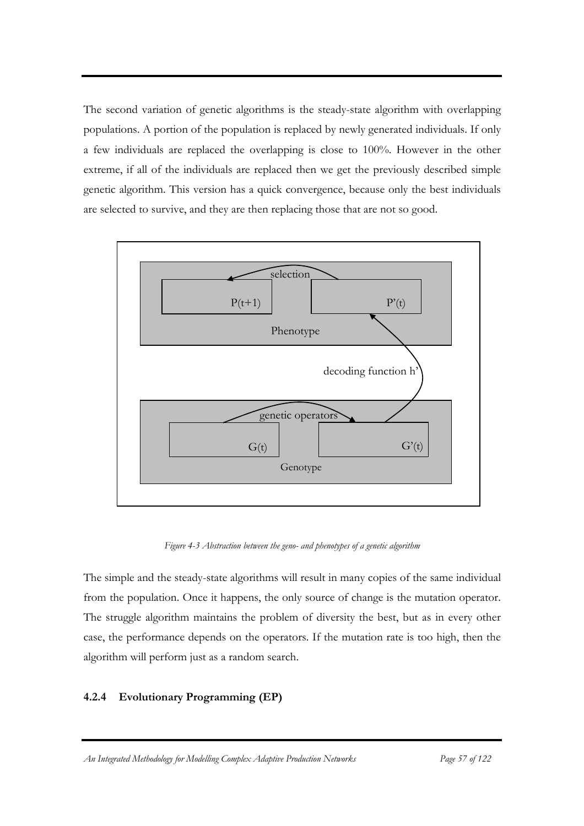The second variation of genetic algorithms is the steady-state algorithm with overlapping populations. A portion of the population is replaced by newly generated individuals. If only a few individuals are replaced the overlapping is close to 100%. However in the other extreme, if all of the individuals are replaced then we get the previously described simple genetic algorithm. This version has a quick convergence, because only the best individuals are selected to survive, and they are then replacing those that are not so good.



*Figure 4-3 Abstraction between the geno- and phenotypes of a genetic algorithm* 

The simple and the steady-state algorithms will result in many copies of the same individual from the population. Once it happens, the only source of change is the mutation operator. The struggle algorithm maintains the problem of diversity the best, but as in every other case, the performance depends on the operators. If the mutation rate is too high, then the algorithm will perform just as a random search.

#### **4.2.4 Evolutionary Programming (EP)**

*An Integrated Methodology for Modelling Complex Adaptive Production Networks Page 57 of 122*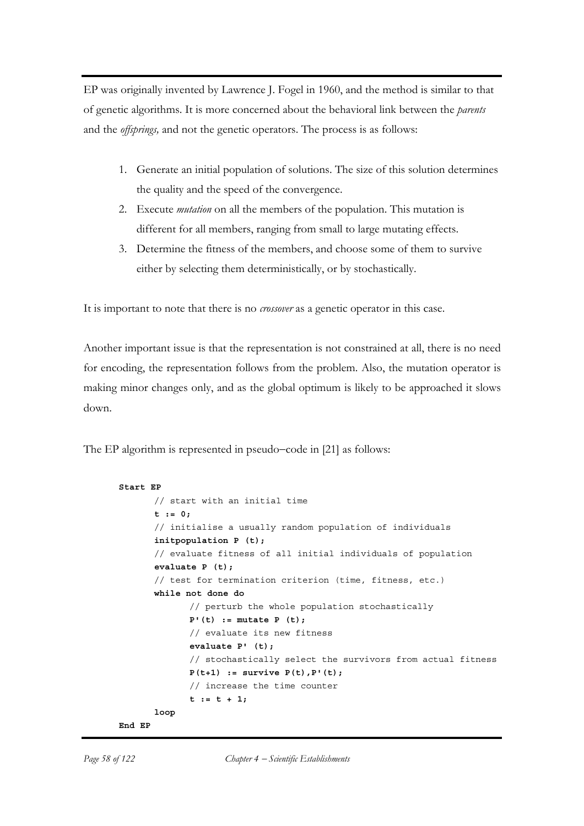EP was originally invented by Lawrence J. Fogel in 1960, and the method is similar to that of genetic algorithms. It is more concerned about the behavioral link between the *parents*  and the *offsprings,* and not the genetic operators. The process is as follows:

- 1. Generate an initial population of solutions. The size of this solution determines the quality and the speed of the convergence.
- 2. Execute *mutation* on all the members of the population. This mutation is different for all members, ranging from small to large mutating effects.
- 3. Determine the fitness of the members, and choose some of them to survive either by selecting them deterministically, or by stochastically.

It is important to note that there is no *crossover* as a genetic operator in this case.

Another important issue is that the representation is not constrained at all, there is no need for encoding, the representation follows from the problem. Also, the mutation operator is making minor changes only, and as the global optimum is likely to be approached it slows down.

The EP algorithm is represented in pseudo−code in [21] as follows:

```
Start EP 
       // start with an initial time 
      t := 0; 
       // initialise a usually random population of individuals 
       initpopulation P (t); 
       // evaluate fitness of all initial individuals of population 
       evaluate P (t); 
       // test for termination criterion (time, fitness, etc.) 
      while not done do 
             // perturb the whole population stochastically 
             P'(t) := mutate P (t); 
              // evaluate its new fitness 
              evaluate P' (t); 
              // stochastically select the survivors from actual fitness 
              P(t+1) := survive P(t), P'(t);
              // increase the time counter 
              t := t + 1;loop 
End EP
```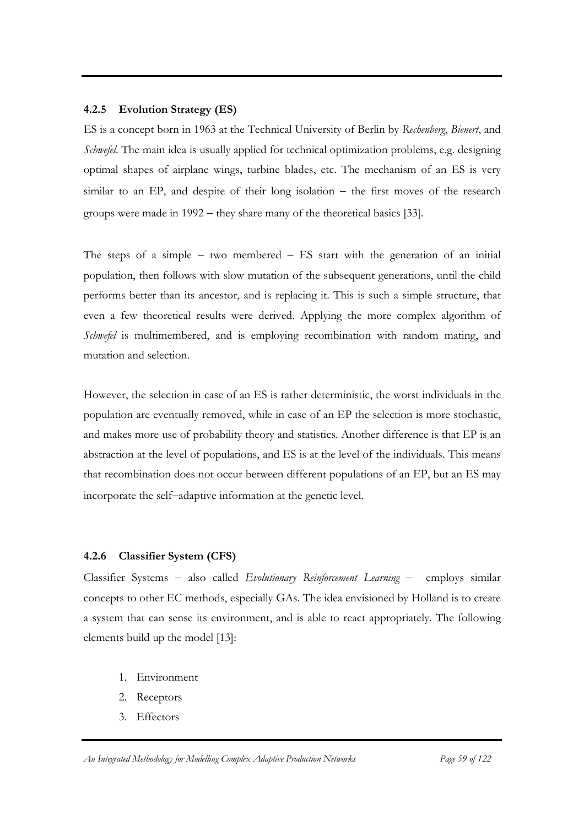#### **4.2.5 Evolution Strategy (ES)**

ES is a concept born in 1963 at the Technical University of Berlin by *Rechenberg*, *Bienert*, and *Schwefel*. The main idea is usually applied for technical optimization problems, e.g. designing optimal shapes of airplane wings, turbine blades, etc. The mechanism of an ES is very similar to an EP, and despite of their long isolation – the first moves of the research groups were made in 1992 − they share many of the theoretical basics [33].

The steps of a simple  $-$  two membered  $-$  ES start with the generation of an initial population, then follows with slow mutation of the subsequent generations, until the child performs better than its ancestor, and is replacing it. This is such a simple structure, that even a few theoretical results were derived. Applying the more complex algorithm of *Schwefel* is multimembered, and is employing recombination with random mating, and mutation and selection.

However, the selection in case of an ES is rather deterministic, the worst individuals in the population are eventually removed, while in case of an EP the selection is more stochastic, and makes more use of probability theory and statistics. Another difference is that EP is an abstraction at the level of populations, and ES is at the level of the individuals. This means that recombination does not occur between different populations of an EP, but an ES may incorporate the self−adaptive information at the genetic level.

#### **4.2.6 Classifier System (CFS)**

Classifier Systems − also called *Evolutionary Reinforcement Learning* − employs similar concepts to other EC methods, especially GAs. The idea envisioned by Holland is to create a system that can sense its environment, and is able to react appropriately. The following elements build up the model [13]:

- 1. Environment
- 2. Receptors
- 3. Effectors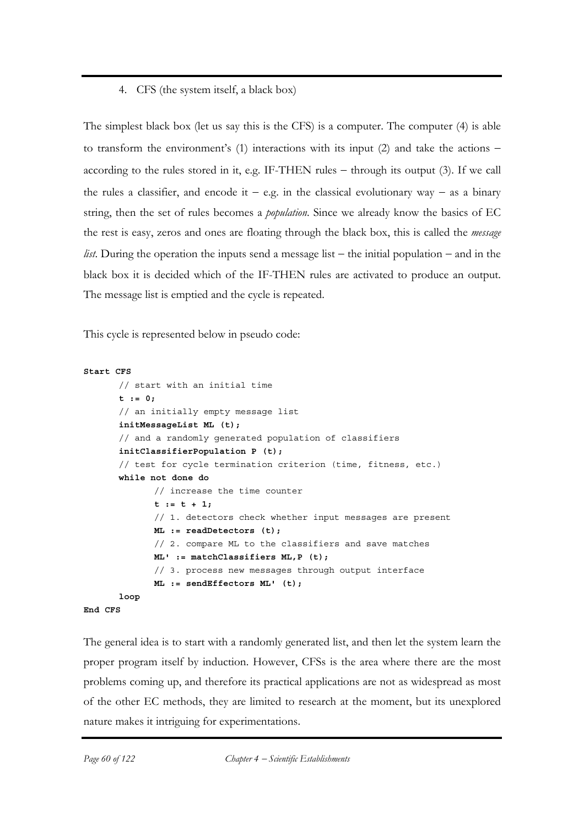### 4. CFS (the system itself, a black box)

The simplest black box (let us say this is the CFS) is a computer. The computer (4) is able to transform the environment's (1) interactions with its input (2) and take the actions − according to the rules stored in it, e.g. IF-THEN rules − through its output (3). If we call the rules a classifier, and encode it – e.g. in the classical evolutionary way – as a binary string, then the set of rules becomes a *population*. Since we already know the basics of EC the rest is easy, zeros and ones are floating through the black box, this is called the *message list*. During the operation the inputs send a message list – the initial population – and in the black box it is decided which of the IF-THEN rules are activated to produce an output. The message list is emptied and the cycle is repeated.

This cycle is represented below in pseudo code:

```
Start CFS
```

```
// start with an initial time 
       t := 0; 
       // an initially empty message list 
       initMessageList ML (t); 
      // and a randomly generated population of classifiers 
       initClassifierPopulation P (t); 
       // test for cycle termination criterion (time, fitness, etc.) 
      while not done do 
              // increase the time counter 
              t := t + 1;// 1. detectors check whether input messages are present 
             ML := readDetectors (t); 
             // 2. compare ML to the classifiers and save matches 
             ML' := matchClassifiers ML,P (t); 
             // 3. process new messages through output interface 
             ML := sendEffectors ML' (t); 
       loop 
End CFS
```
The general idea is to start with a randomly generated list, and then let the system learn the proper program itself by induction. However, CFSs is the area where there are the most problems coming up, and therefore its practical applications are not as widespread as most of the other EC methods, they are limited to research at the moment, but its unexplored nature makes it intriguing for experimentations.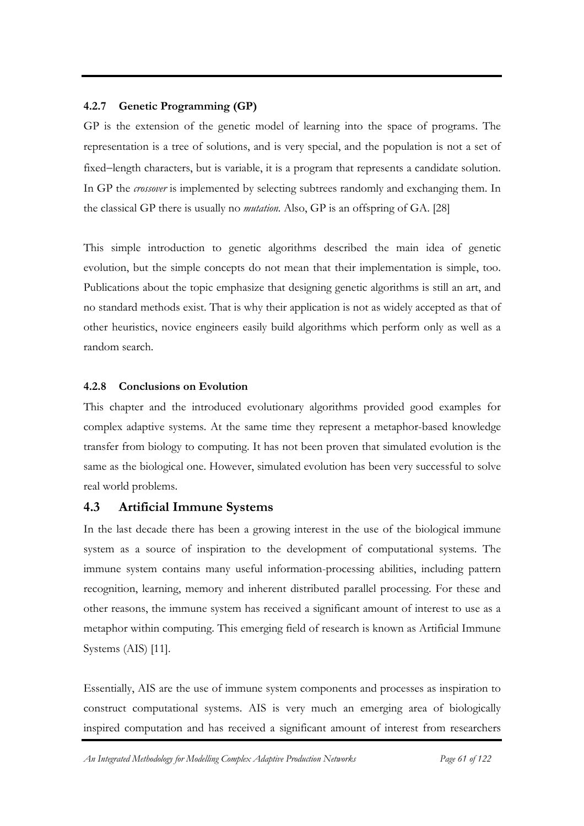### **4.2.7 Genetic Programming (GP)**

GP is the extension of the genetic model of learning into the space of programs. The representation is a tree of solutions, and is very special, and the population is not a set of fixed−length characters, but is variable, it is a program that represents a candidate solution. In GP the *crossover* is implemented by selecting subtrees randomly and exchanging them. In the classical GP there is usually no *mutation.* Also, GP is an offspring of GA. [28]

This simple introduction to genetic algorithms described the main idea of genetic evolution, but the simple concepts do not mean that their implementation is simple, too. Publications about the topic emphasize that designing genetic algorithms is still an art, and no standard methods exist. That is why their application is not as widely accepted as that of other heuristics, novice engineers easily build algorithms which perform only as well as a random search.

### **4.2.8 Conclusions on Evolution**

This chapter and the introduced evolutionary algorithms provided good examples for complex adaptive systems. At the same time they represent a metaphor-based knowledge transfer from biology to computing. It has not been proven that simulated evolution is the same as the biological one. However, simulated evolution has been very successful to solve real world problems.

# **4.3 Artificial Immune Systems**

In the last decade there has been a growing interest in the use of the biological immune system as a source of inspiration to the development of computational systems. The immune system contains many useful information-processing abilities, including pattern recognition, learning, memory and inherent distributed parallel processing. For these and other reasons, the immune system has received a significant amount of interest to use as a metaphor within computing. This emerging field of research is known as Artificial Immune Systems (AIS) [11].

Essentially, AIS are the use of immune system components and processes as inspiration to construct computational systems. AIS is very much an emerging area of biologically inspired computation and has received a significant amount of interest from researchers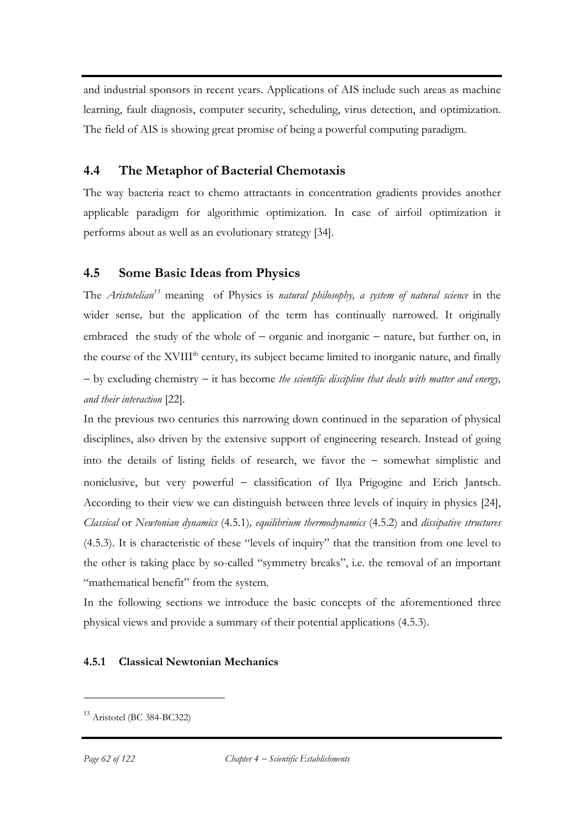and industrial sponsors in recent years. Applications of AIS include such areas as machine learning, fault diagnosis, computer security, scheduling, virus detection, and optimization. The field of AIS is showing great promise of being a powerful computing paradigm.

# **4.4 The Metaphor of Bacterial Chemotaxis**

The way bacteria react to chemo attractants in concentration gradients provides another applicable paradigm for algorithmic optimization. In case of airfoil optimization it performs about as well as an evolutionary strategy [34].

# **4.5 Some Basic Ideas from Physics**

The *Aristotelian13* meaning of Physics is *natural philosophy, a system of natural science* in the wider sense*,* but the application of the term has continually narrowed. It originally embraced the study of the whole of – organic and inorganic – nature, but further on, in the course of the  $XVIII^{\text{th}}$  century, its subject became limited to inorganic nature, and finally − by excluding chemistry − it has become *the scientific discipline that deals with matter and energy, and their interaction* [22].

In the previous two centuries this narrowing down continued in the separation of physical disciplines, also driven by the extensive support of engineering research. Instead of going into the details of listing fields of research, we favor the − somewhat simplistic and noniclusive, but very powerful − classification of Ilya Prigogine and Erich Jantsch. According to their view we can distinguish between three levels of inquiry in physics [24], *Classical* or *Newtonian dynamics* (4.5.1)*, equilibrium thermodynamics* (4.5.2) and *dissipative structures*  (4.5.3). It is characteristic of these "levels of inquiry" that the transition from one level to the other is taking place by so-called "symmetry breaks", i.e. the removal of an important "mathematical benefit" from the system.

In the following sections we introduce the basic concepts of the aforementioned three physical views and provide a summary of their potential applications (4.5.3).

#### **4.5.1 Classical Newtonian Mechanics**

<sup>13</sup> Aristotel (BC 384-BC322)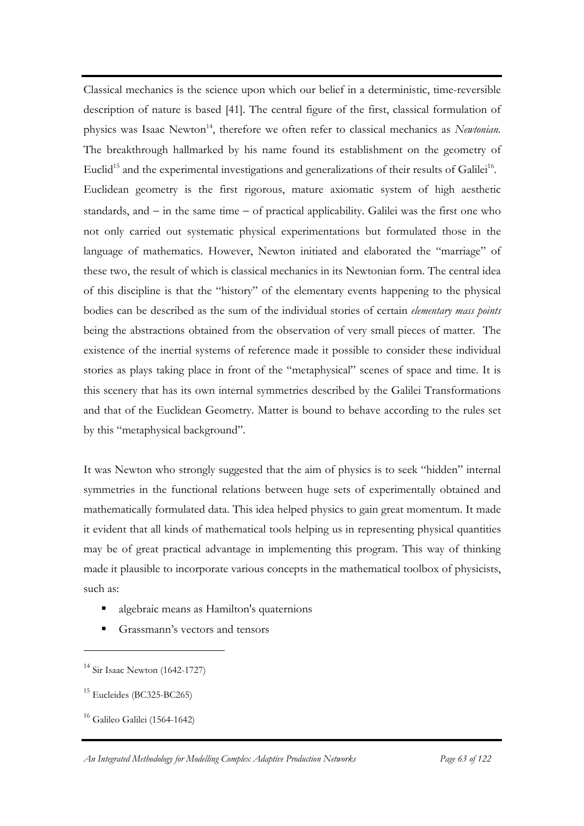Classical mechanics is the science upon which our belief in a deterministic, time-reversible description of nature is based [41]. The central figure of the first, classical formulation of physics was Isaac Newton<sup>14</sup>, therefore we often refer to classical mechanics as *Newtonian*. The breakthrough hallmarked by his name found its establishment on the geometry of Euclid<sup>15</sup> and the experimental investigations and generalizations of their results of Galilei<sup>16</sup>. Euclidean geometry is the first rigorous, mature axiomatic system of high aesthetic standards, and − in the same time − of practical applicability. Galilei was the first one who not only carried out systematic physical experimentations but formulated those in the language of mathematics. However, Newton initiated and elaborated the "marriage" of these two, the result of which is classical mechanics in its Newtonian form. The central idea of this discipline is that the "history" of the elementary events happening to the physical bodies can be described as the sum of the individual stories of certain *elementary mass points* being the abstractions obtained from the observation of very small pieces of matter. The existence of the inertial systems of reference made it possible to consider these individual stories as plays taking place in front of the "metaphysical" scenes of space and time. It is this scenery that has its own internal symmetries described by the Galilei Transformations and that of the Euclidean Geometry. Matter is bound to behave according to the rules set by this "metaphysical background".

It was Newton who strongly suggested that the aim of physics is to seek "hidden" internal symmetries in the functional relations between huge sets of experimentally obtained and mathematically formulated data. This idea helped physics to gain great momentum. It made it evident that all kinds of mathematical tools helping us in representing physical quantities may be of great practical advantage in implementing this program. This way of thinking made it plausible to incorporate various concepts in the mathematical toolbox of physicists, such as:

- algebraic means as Hamilton's quaternions
- Grassmann's vectors and tensors

 $14$  Sir Isaac Newton (1642-1727)

 $15$  Eucleides (BC325-BC265)

 $16$  Galileo Galilei (1564-1642)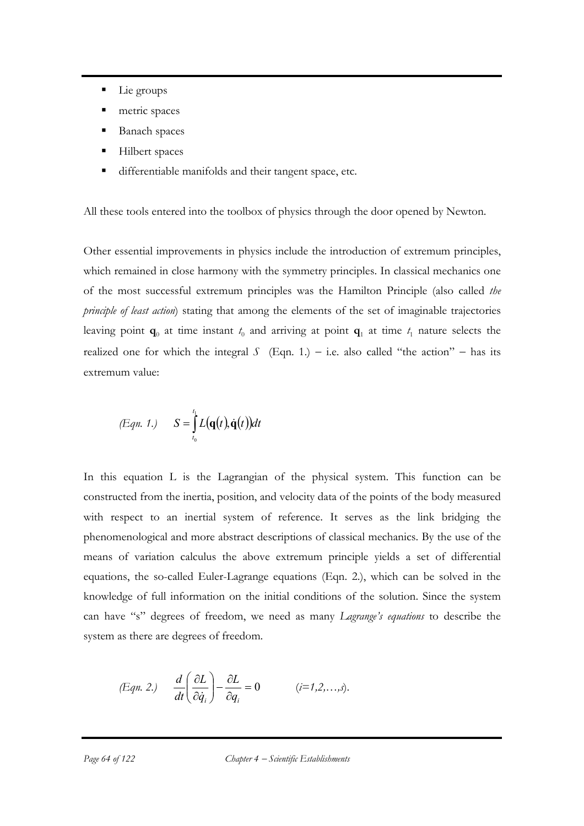- Lie groups
- metric spaces
- Banach spaces
- Hilbert spaces
- differentiable manifolds and their tangent space, etc.

All these tools entered into the toolbox of physics through the door opened by Newton.

Other essential improvements in physics include the introduction of extremum principles, which remained in close harmony with the symmetry principles. In classical mechanics one of the most successful extremum principles was the Hamilton Principle (also called *the principle of least action*) stating that among the elements of the set of imaginable trajectories leaving point  $\mathbf{q}_0$  at time instant  $t_0$  and arriving at point  $\mathbf{q}_1$  at time  $t_1$  nature selects the realized one for which the integral *S* (Eqn. 1.) – i.e. also called "the action" – has its extremum value:

$$
(Eqn. 1.) \qquad S = \int_{t_0}^{t_1} L(\mathbf{q}(t), \dot{\mathbf{q}}(t)) dt
$$

In this equation L is the Lagrangian of the physical system. This function can be constructed from the inertia, position, and velocity data of the points of the body measured with respect to an inertial system of reference. It serves as the link bridging the phenomenological and more abstract descriptions of classical mechanics. By the use of the means of variation calculus the above extremum principle yields a set of differential equations, the so-called Euler-Lagrange equations (Eqn. 2.), which can be solved in the knowledge of full information on the initial conditions of the solution. Since the system can have "s" degrees of freedom, we need as many *Lagrange's equations* to describe the system as there are degrees of freedom.

(Eqn. 2.) 
$$
\frac{d}{dt} \left( \frac{\partial L}{\partial \dot{q}_i} \right) - \frac{\partial L}{\partial q_i} = 0 \qquad (i = 1, 2, \dots, s).
$$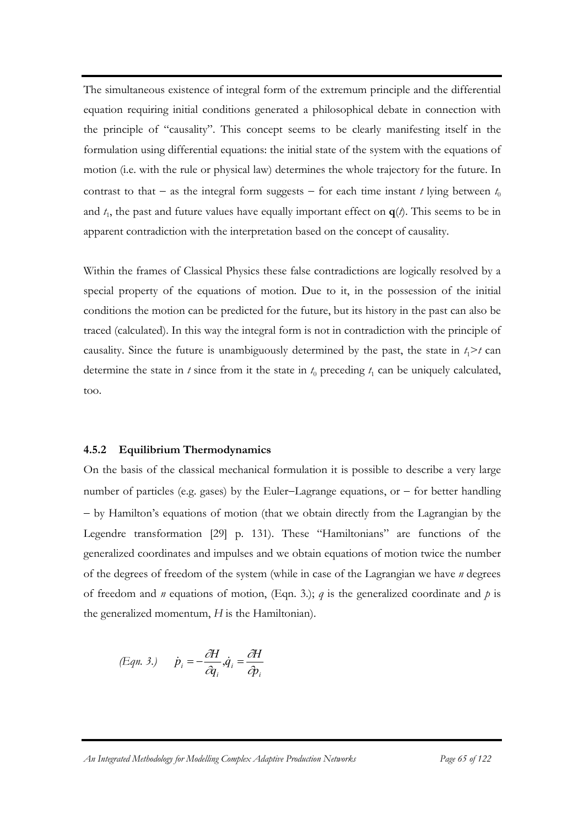The simultaneous existence of integral form of the extremum principle and the differential equation requiring initial conditions generated a philosophical debate in connection with the principle of "causality". This concept seems to be clearly manifesting itself in the formulation using differential equations: the initial state of the system with the equations of motion (i.e. with the rule or physical law) determines the whole trajectory for the future. In contrast to that – as the integral form suggests – for each time instant *t* lying between  $t_0$ and  $t_1$ , the past and future values have equally important effect on  $q(t)$ . This seems to be in apparent contradiction with the interpretation based on the concept of causality.

Within the frames of Classical Physics these false contradictions are logically resolved by a special property of the equations of motion. Due to it, in the possession of the initial conditions the motion can be predicted for the future, but its history in the past can also be traced (calculated). In this way the integral form is not in contradiction with the principle of causality. Since the future is unambiguously determined by the past, the state in  $t<sub>1</sub> > t$  can determine the state in  $t$  since from it the state in  $t_0$  preceding  $t_1$  can be uniquely calculated, too.

#### **4.5.2 Equilibrium Thermodynamics**

On the basis of the classical mechanical formulation it is possible to describe a very large number of particles (e.g. gases) by the Euler−Lagrange equations, or − for better handling − by Hamilton's equations of motion (that we obtain directly from the Lagrangian by the Legendre transformation [29] p. 131). These "Hamiltonians" are functions of the generalized coordinates and impulses and we obtain equations of motion twice the number of the degrees of freedom of the system (while in case of the Lagrangian we have *n* degrees of freedom and *n* equations of motion, (Eqn. 3.);  $q$  is the generalized coordinate and  $p$  is the generalized momentum, *H* is the Hamiltonian).

(Eqn. 3.) 
$$
\dot{p}_i = -\frac{\partial H}{\partial q_i} \dot{q}_i = \frac{\partial H}{\partial p_i}
$$

*An Integrated Methodology for Modelling Complex Adaptive Production Networks Page 65 of 122*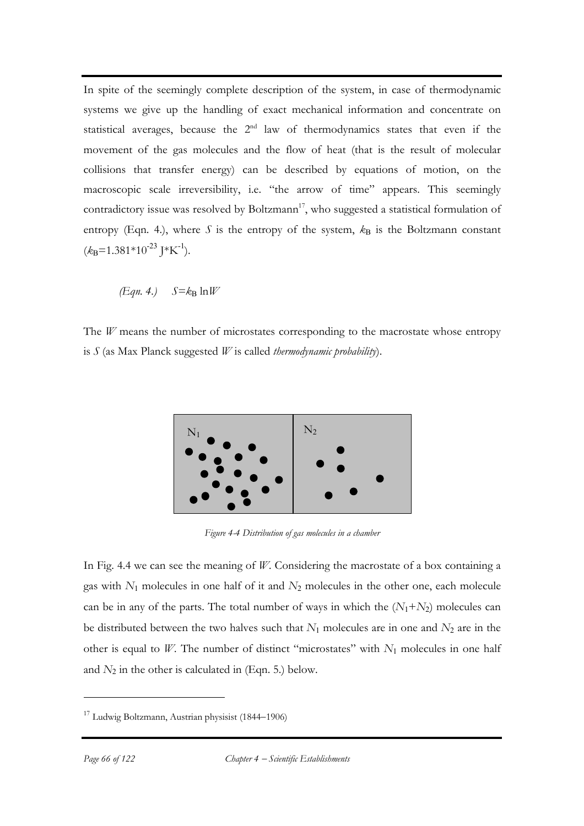In spite of the seemingly complete description of the system, in case of thermodynamic systems we give up the handling of exact mechanical information and concentrate on statistical averages, because the  $2<sup>nd</sup>$  law of thermodynamics states that even if the movement of the gas molecules and the flow of heat (that is the result of molecular collisions that transfer energy) can be described by equations of motion, on the macroscopic scale irreversibility, i.e. "the arrow of time" appears. This seemingly contradictory issue was resolved by Boltzmann<sup>17</sup>, who suggested a statistical formulation of entropy (Eqn. 4.), where *S* is the entropy of the system,  $k_B$  is the Boltzmann constant  $(k_B=1.381*10^{-23}$  J \* K<sup>-1</sup>).

$$
(Eqn. 4.) \quad S = k_B \ln W
$$

The *W* means the number of microstates corresponding to the macrostate whose entropy is *S* (as Max Planck suggested *W* is called *thermodynamic probability*).



*Figure 4-4 Distribution of gas molecules in a chamber* 

In Fig. 4.4 we can see the meaning of *W.* Considering the macrostate of a box containing a gas with *N*1 molecules in one half of it and *N*2 molecules in the other one, each molecule can be in any of the parts. The total number of ways in which the  $(N_1+N_2)$  molecules can be distributed between the two halves such that  $N_1$  molecules are in one and  $N_2$  are in the other is equal to *W.* The number of distinct "microstates" with *N*1 molecules in one half and  $N_2$  in the other is calculated in (Eqn. 5.) below.

<sup>17</sup> Ludwig Boltzmann, Austrian physisist (1844−1906)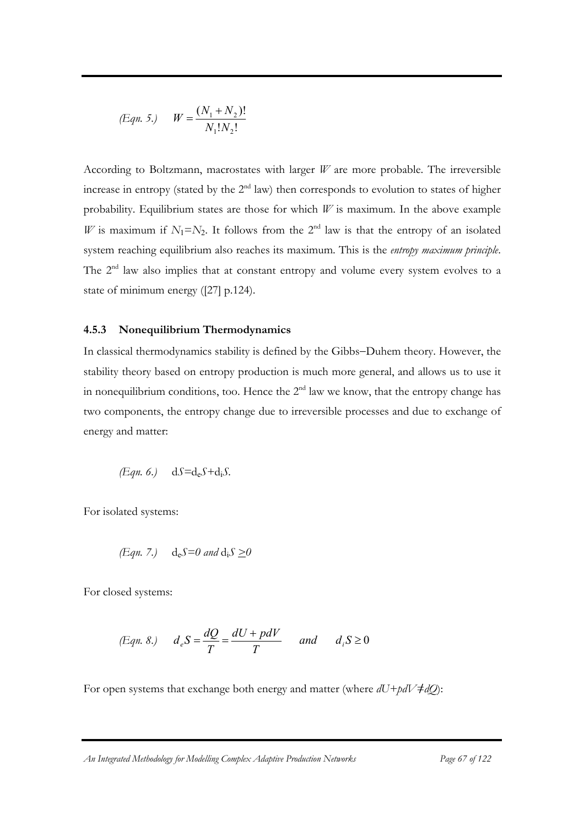(Eqn. 5.) 
$$
W = \frac{(N_1 + N_2)!}{N_1! N_2!}
$$

According to Boltzmann, macrostates with larger *W* are more probable. The irreversible increase in entropy (stated by the  $2<sup>nd</sup>$  law) then corresponds to evolution to states of higher probability. Equilibrium states are those for which *W* is maximum. In the above example *W* is maximum if  $N_1 = N_2$ . It follows from the 2<sup>nd</sup> law is that the entropy of an isolated system reaching equilibrium also reaches its maximum. This is the *entropy maximum principle*. The 2<sup>nd</sup> law also implies that at constant entropy and volume every system evolves to a state of minimum energy ([27] p.124).

#### **4.5.3 Nonequilibrium Thermodynamics**

In classical thermodynamics stability is defined by the Gibbs−Duhem theory. However, the stability theory based on entropy production is much more general, and allows us to use it in nonequilibrium conditions, too. Hence the 2<sup>nd</sup> law we know, that the entropy change has two components, the entropy change due to irreversible processes and due to exchange of energy and matter:

$$
(Eqn. 6.) \quad dS = d_eS + d_iS.
$$

For isolated systems:

(Eqn. 7.) 
$$
d_e S = 0 \text{ and } d_i S \ge 0
$$

For closed systems:

(Eqn. 8.) 
$$
d_e S = \frac{dQ}{T} = \frac{dU + pdV}{T}
$$
 and  $d_i S \ge 0$ 

For open systems that exchange both energy and matter (where  $dU + pdV + dQ$ ):

*An Integrated Methodology for Modelling Complex Adaptive Production Networks Page 67 of 122*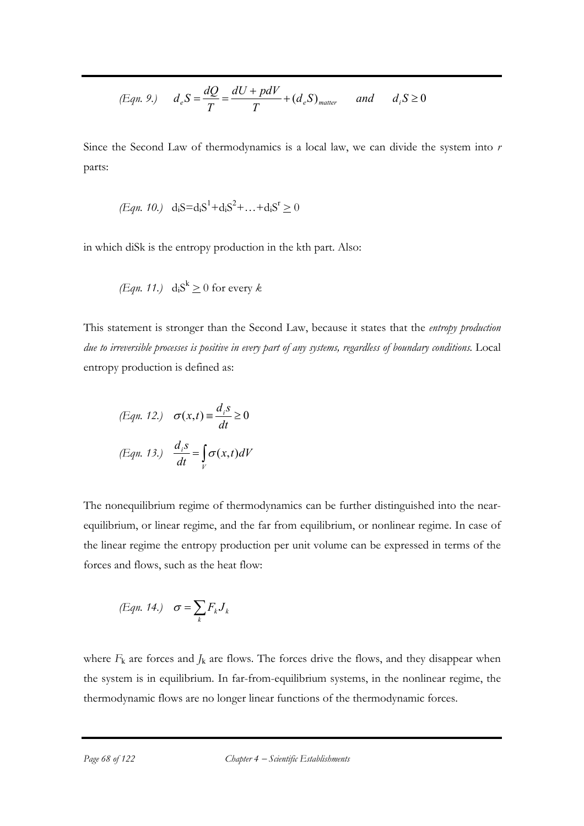(Eqn. 9.) 
$$
d_e S = \frac{dQ}{T} = \frac{dU + pdV}{T} + (d_e S)_{matter}
$$
 and  $d_i S \ge 0$ 

Since the Second Law of thermodynamics is a local law, we can divide the system into *r*  parts:

(Eqn. 10.) 
$$
d_i S = d_i S^1 + d_i S^2 + ... + d_i S^r \ge 0
$$

in which diSk is the entropy production in the kth part. Also:

(Eqn. 11.) 
$$
d_i S^k \ge 0
$$
 for every k

This statement is stronger than the Second Law, because it states that the *entropy production due to irreversible processes is positive in every part of any systems, regardless of boundary conditions.* Local entropy production is defined as:

(Eqn. 12.) 
$$
\sigma(x,t) = \frac{d_i s}{dt} \ge 0
$$
  
(Eqn. 13.)  $\frac{d_i s}{dt} = \int_V \sigma(x,t) dV$ 

The nonequilibrium regime of thermodynamics can be further distinguished into the nearequilibrium, or linear regime, and the far from equilibrium, or nonlinear regime. In case of the linear regime the entropy production per unit volume can be expressed in terms of the forces and flows, such as the heat flow:

$$
(Eqn. 14.) \quad \sigma = \sum_{k} F_{k} J_{k}
$$

where  $F_k$  are forces and  $J_k$  are flows. The forces drive the flows, and they disappear when the system is in equilibrium. In far-from-equilibrium systems, in the nonlinear regime, the thermodynamic flows are no longer linear functions of the thermodynamic forces.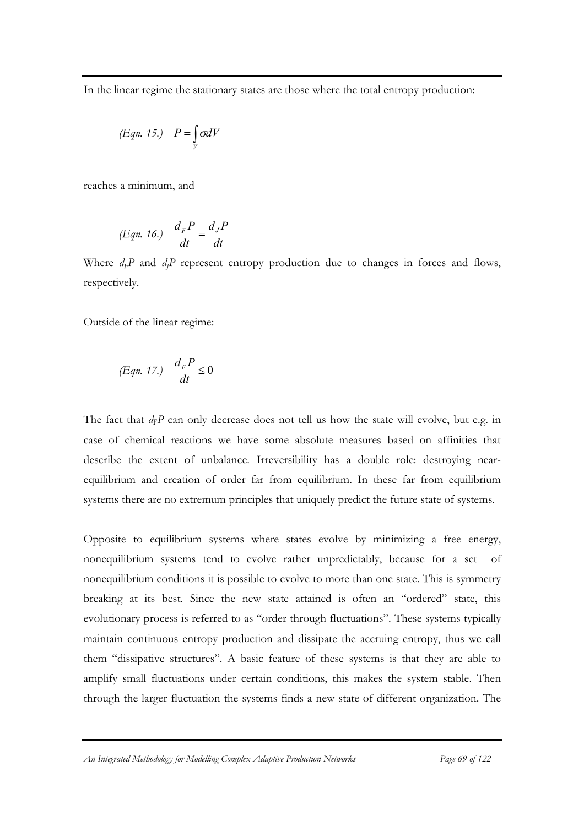In the linear regime the stationary states are those where the total entropy production:

$$
(Eqn. 15.) \quad P = \int\limits_V \sigma dV
$$

reaches a minimum, and

$$
(Eqn. 16.) \quad \frac{d_F P}{dt} = \frac{d_J P}{dt}
$$

Where  $d_F P$  and  $d_I P$  represent entropy production due to changes in forces and flows, respectively.

Outside of the linear regime:

$$
(Eqn. 17.) \quad \frac{d_F P}{dt} \le 0
$$

The fact that  $d_F P$  can only decrease does not tell us how the state will evolve, but e.g. in case of chemical reactions we have some absolute measures based on affinities that describe the extent of unbalance. Irreversibility has a double role: destroying nearequilibrium and creation of order far from equilibrium. In these far from equilibrium systems there are no extremum principles that uniquely predict the future state of systems.

Opposite to equilibrium systems where states evolve by minimizing a free energy, nonequilibrium systems tend to evolve rather unpredictably, because for a set of nonequilibrium conditions it is possible to evolve to more than one state. This is symmetry breaking at its best. Since the new state attained is often an "ordered" state, this evolutionary process is referred to as "order through fluctuations". These systems typically maintain continuous entropy production and dissipate the accruing entropy, thus we call them "dissipative structures". A basic feature of these systems is that they are able to amplify small fluctuations under certain conditions, this makes the system stable. Then through the larger fluctuation the systems finds a new state of different organization. The

*An Integrated Methodology for Modelling Complex Adaptive Production Networks Page 69 of 122*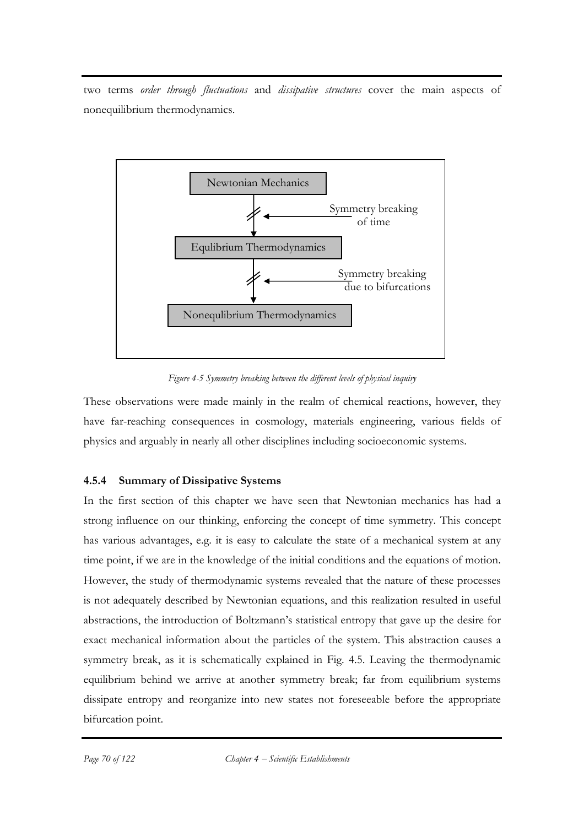two terms *order through fluctuations* and *dissipative structures* cover the main aspects of nonequilibrium thermodynamics.



*Figure 4-5 Symmetry breaking between the different levels of physical inquiry* 

These observations were made mainly in the realm of chemical reactions, however, they have far-reaching consequences in cosmology, materials engineering, various fields of physics and arguably in nearly all other disciplines including socioeconomic systems.

#### **4.5.4 Summary of Dissipative Systems**

In the first section of this chapter we have seen that Newtonian mechanics has had a strong influence on our thinking, enforcing the concept of time symmetry. This concept has various advantages, e.g. it is easy to calculate the state of a mechanical system at any time point, if we are in the knowledge of the initial conditions and the equations of motion. However, the study of thermodynamic systems revealed that the nature of these processes is not adequately described by Newtonian equations, and this realization resulted in useful abstractions, the introduction of Boltzmann's statistical entropy that gave up the desire for exact mechanical information about the particles of the system. This abstraction causes a symmetry break, as it is schematically explained in Fig. 4.5. Leaving the thermodynamic equilibrium behind we arrive at another symmetry break; far from equilibrium systems dissipate entropy and reorganize into new states not foreseeable before the appropriate bifurcation point.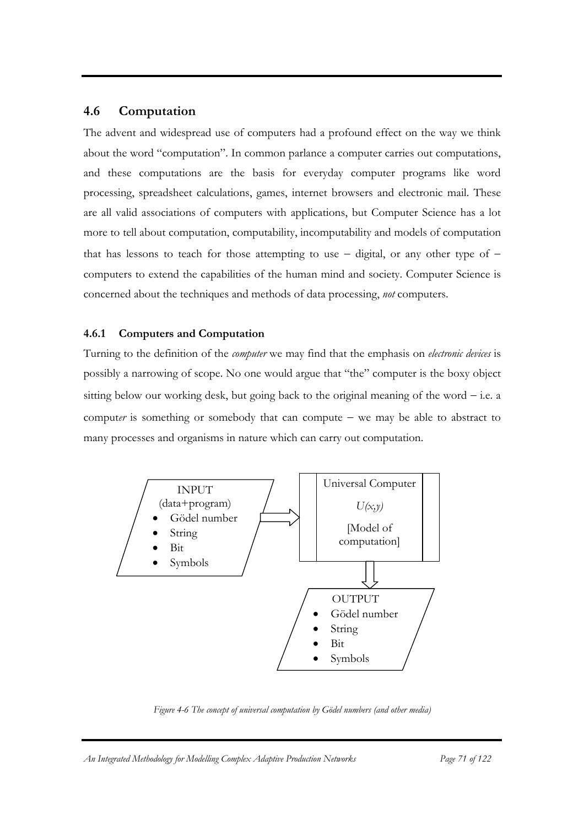#### **4.6 Computation**

The advent and widespread use of computers had a profound effect on the way we think about the word "computation". In common parlance a computer carries out computations, and these computations are the basis for everyday computer programs like word processing, spreadsheet calculations, games, internet browsers and electronic mail. These are all valid associations of computers with applications, but Computer Science has a lot more to tell about computation, computability, incomputability and models of computation that has lessons to teach for those attempting to use − digital, or any other type of − computers to extend the capabilities of the human mind and society. Computer Science is concerned about the techniques and methods of data processing, *not* computers.

#### **4.6.1 Computers and Computation**

Turning to the definition of the *computer* we may find that the emphasis on *electronic devices* is possibly a narrowing of scope. No one would argue that "the" computer is the boxy object sitting below our working desk, but going back to the original meaning of the word − i.e. a comput*er* is something or somebody that can compute − we may be able to abstract to many processes and organisms in nature which can carry out computation.



*Figure 4-6 The concept of universal computation by Gödel numbers (and other media)*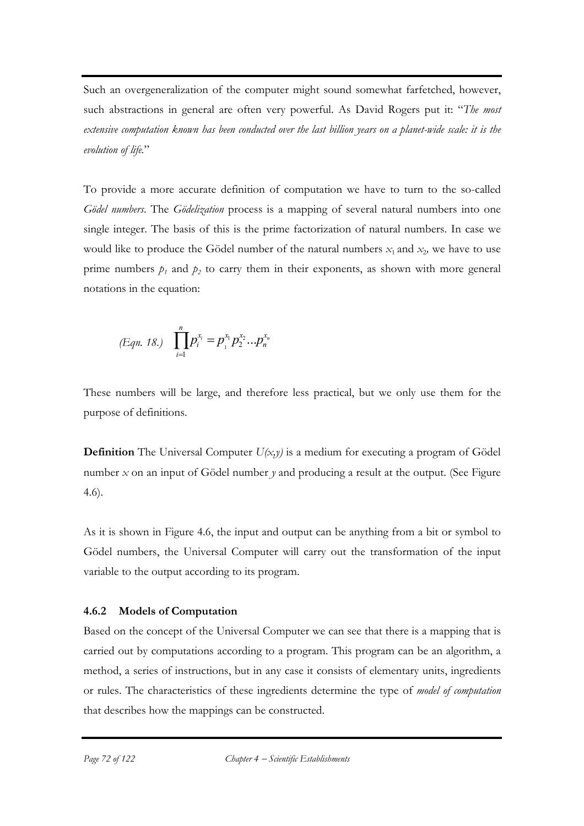Such an overgeneralization of the computer might sound somewhat farfetched, however, such abstractions in general are often very powerful. As David Rogers put it: "*The most extensive computation known has been conducted over the last billion years on a planet-wide scale: it is the evolution of life.*"

To provide a more accurate definition of computation we have to turn to the so-called *Gödel numbers*. The *Gödelization* process is a mapping of several natural numbers into one single integer. The basis of this is the prime factorization of natural numbers. In case we would like to produce the Gödel number of the natural numbers  $x_1$  and  $x_2$ , we have to use prime numbers  $p_1$  and  $p_2$  to carry them in their exponents, as shown with more general notations in the equation:

(Eqn. 18.) 
$$
\prod_{i=1}^{n} p_i^{x_i} = p_1^{x_1} p_2^{x_2} ... p_n^{x_n}
$$

These numbers will be large, and therefore less practical, but we only use them for the purpose of definitions.

**Definition** The Universal Computer  $U(x, y)$  is a medium for executing a program of Gödel number *x* on an input of Gödel number *y* and producing a result at the output. (See Figure 4.6).

As it is shown in Figure 4.6, the input and output can be anything from a bit or symbol to Gödel numbers, the Universal Computer will carry out the transformation of the input variable to the output according to its program.

#### **4.6.2 Models of Computation**

Based on the concept of the Universal Computer we can see that there is a mapping that is carried out by computations according to a program. This program can be an algorithm, a method, a series of instructions, but in any case it consists of elementary units, ingredients or rules. The characteristics of these ingredients determine the type of *model of computation*  that describes how the mappings can be constructed.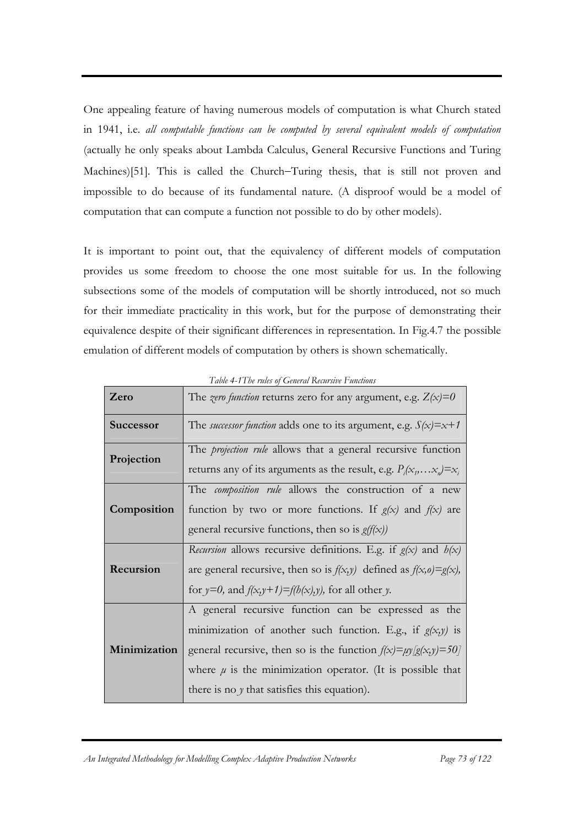One appealing feature of having numerous models of computation is what Church stated in 1941, i.e. *all computable functions can be computed by several equivalent models of computation*  (actually he only speaks about Lambda Calculus, General Recursive Functions and Turing Machines)[51]*.* This is called the Church−Turing thesis, that is still not proven and impossible to do because of its fundamental nature. (A disproof would be a model of computation that can compute a function not possible to do by other models).

It is important to point out, that the equivalency of different models of computation provides us some freedom to choose the one most suitable for us. In the following subsections some of the models of computation will be shortly introduced, not so much for their immediate practicality in this work, but for the purpose of demonstrating their equivalence despite of their significant differences in representation. In Fig.4.7 the possible emulation of different models of computation by others is shown schematically.

| Zero             | The <i>zero function</i> returns zero for any argument, e.g. $Z(x)=0$          |
|------------------|--------------------------------------------------------------------------------|
| <b>Successor</b> | The <i>successor function</i> adds one to its argument, e.g. $S(x)=x+1$        |
| Projection       | The <i>projection rule</i> allows that a general recursive function            |
|                  | returns any of its arguments as the result, e.g. $P_i(x_1, \ldots, x_n) = x_i$ |
|                  | The <i>composition rule</i> allows the construction of a new                   |
| Composition      | function by two or more functions. If $g(x)$ and $f(x)$ are                    |
|                  | general recursive functions, then so is $g(f(x))$                              |
|                  | Recursion allows recursive definitions. E.g. if $g(x)$ and $h(x)$              |
| Recursion        | are general recursive, then so is $f(x,y)$ defined as $f(x,0)=g(x)$ ,          |
|                  | for $y=0$ , and $f(x,y+1)=f(h(x),y)$ , for all other y.                        |
|                  | A general recursive function can be expressed as the                           |
|                  | minimization of another such function. E.g., if $g(x, y)$ is                   |
| Minimization     | general recursive, then so is the function $f(x)=\mu y/g(x,y)=50$              |
|                  | where $\mu$ is the minimization operator. (It is possible that                 |
|                  | there is no $y$ that satisfies this equation).                                 |

*Table 4-1The rules of General Recursive Functions*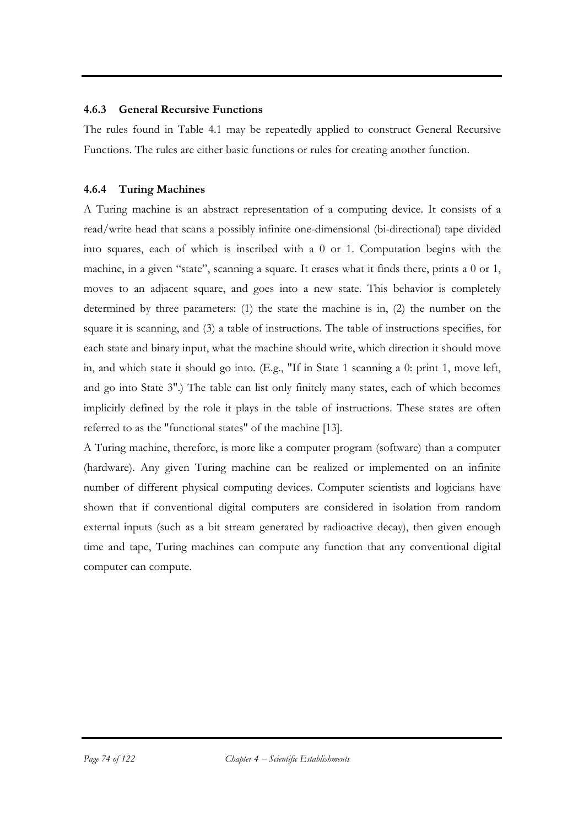#### **4.6.3 General Recursive Functions**

The rules found in Table 4.1 may be repeatedly applied to construct General Recursive Functions. The rules are either basic functions or rules for creating another function.

#### **4.6.4 Turing Machines**

A Turing machine is an abstract representation of a computing device. It consists of a read/write head that scans a possibly infinite one-dimensional (bi-directional) tape divided into squares, each of which is inscribed with a 0 or 1. Computation begins with the machine, in a given "state", scanning a square. It erases what it finds there, prints a 0 or 1, moves to an adjacent square, and goes into a new state. This behavior is completely determined by three parameters: (1) the state the machine is in, (2) the number on the square it is scanning, and (3) a table of instructions. The table of instructions specifies, for each state and binary input, what the machine should write, which direction it should move in, and which state it should go into. (E.g., "If in State 1 scanning a 0: print 1, move left, and go into State 3".) The table can list only finitely many states, each of which becomes implicitly defined by the role it plays in the table of instructions. These states are often referred to as the "functional states" of the machine [13].

A Turing machine, therefore, is more like a computer program (software) than a computer (hardware). Any given Turing machine can be realized or implemented on an infinite number of different physical computing devices. Computer scientists and logicians have shown that if conventional digital computers are considered in isolation from random external inputs (such as a bit stream generated by radioactive decay), then given enough time and tape, Turing machines can compute any function that any conventional digital computer can compute.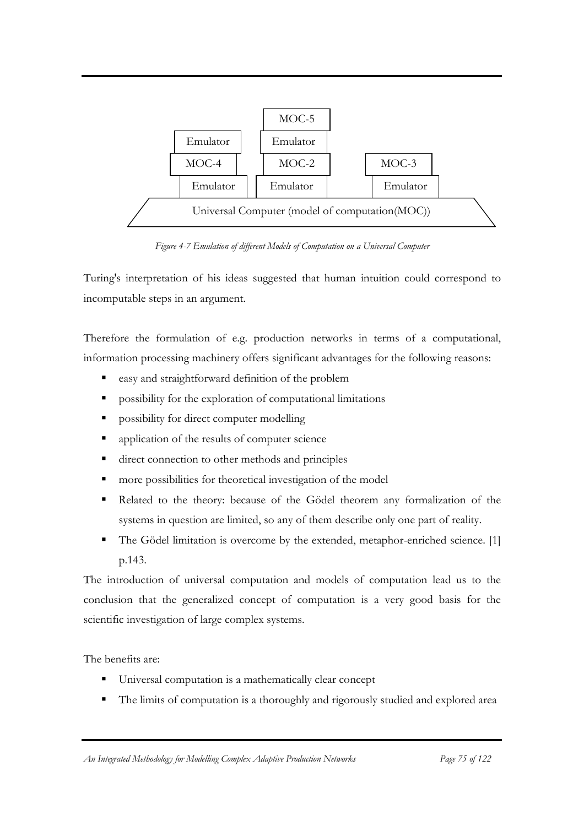

*Figure 4-7 Emulation of different Models of Computation on a Universal Computer* 

Turing's interpretation of his ideas suggested that human intuition could correspond to incomputable steps in an argument.

Therefore the formulation of e.g. production networks in terms of a computational, information processing machinery offers significant advantages for the following reasons:

- easy and straightforward definition of the problem
- possibility for the exploration of computational limitations
- **•** possibility for direct computer modelling
- application of the results of computer science
- direct connection to other methods and principles
- more possibilities for theoretical investigation of the model
- Related to the theory: because of the Gödel theorem any formalization of the systems in question are limited, so any of them describe only one part of reality.
- The Gödel limitation is overcome by the extended, metaphor-enriched science. [1] p.143.

The introduction of universal computation and models of computation lead us to the conclusion that the generalized concept of computation is a very good basis for the scientific investigation of large complex systems.

The benefits are:

- Universal computation is a mathematically clear concept
- The limits of computation is a thoroughly and rigorously studied and explored area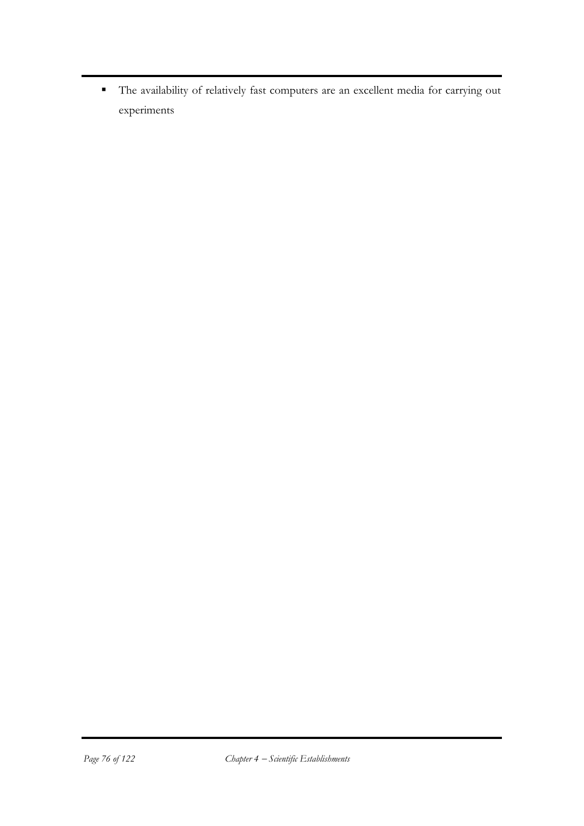The availability of relatively fast computers are an excellent media for carrying out experiments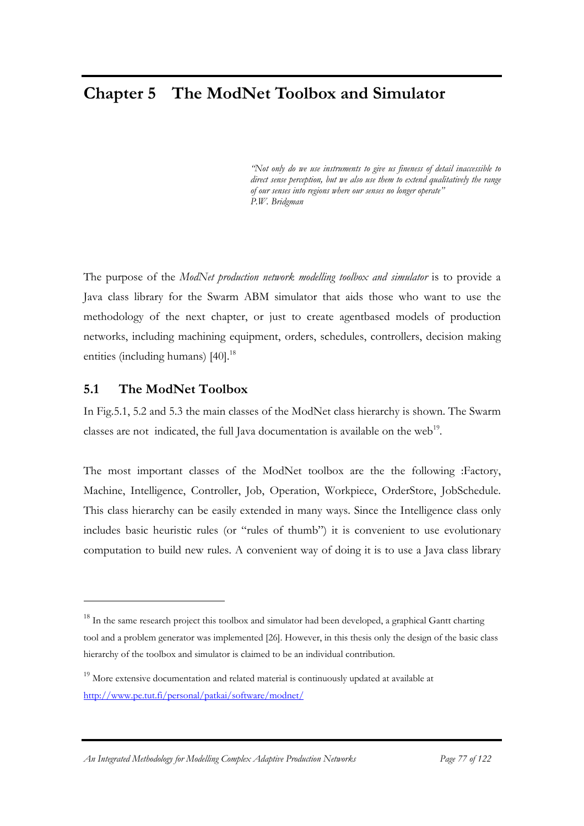# **Chapter 5 The ModNet Toolbox and Simulator**

*"Not only do we use instruments to give us fineness of detail inaccessible to direct sense perception, but we also use them to extend qualitatively the range of our senses into regions where our senses no longer operate" P.W. Bridgman* 

The purpose of the *ModNet production network modelling toolbox and simulator* is to provide a Java class library for the Swarm ABM simulator that aids those who want to use the methodology of the next chapter, or just to create agentbased models of production networks, including machining equipment, orders, schedules, controllers, decision making entities (including humans)  $[40]$ <sup>18</sup>

#### **5.1 The ModNet Toolbox**

 $\overline{a}$ 

In Fig.5.1, 5.2 and 5.3 the main classes of the ModNet class hierarchy is shown. The Swarm classes are not indicated, the full Java documentation is available on the web<sup>19</sup>.

The most important classes of the ModNet toolbox are the the following :Factory, Machine, Intelligence, Controller, Job, Operation, Workpiece, OrderStore, JobSchedule. This class hierarchy can be easily extended in many ways. Since the Intelligence class only includes basic heuristic rules (or "rules of thumb") it is convenient to use evolutionary computation to build new rules. A convenient way of doing it is to use a Java class library

*An Integrated Methodology for Modelling Complex Adaptive Production Networks Page 77 of 122* 

<sup>&</sup>lt;sup>18</sup> In the same research project this toolbox and simulator had been developed, a graphical Gantt charting tool and a problem generator was implemented [26]. However, in this thesis only the design of the basic class hierarchy of the toolbox and simulator is claimed to be an individual contribution.

 $19$  More extensive documentation and related material is continuously updated at available at http://www.pe.tut.fi/personal/patkai/software/modnet/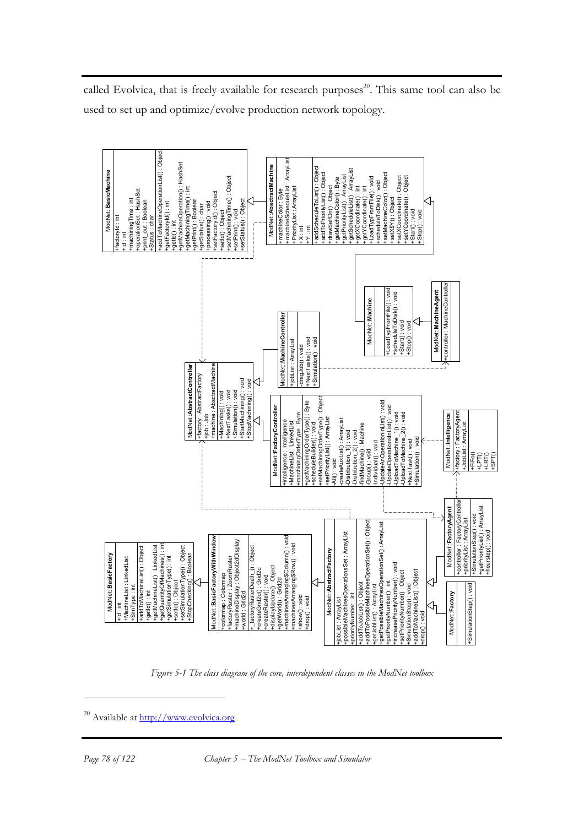called Evolvica, that is freely available for research purposes<sup>20</sup>. This same tool can also be used to set up and optimize/evolve production network topology.



*Figure 5-1 The class diagram of the core, interdependent classes in the ModNet toolbox* 

 $\overline{a}$ 

<sup>20</sup> Available at http://www.evolvica.org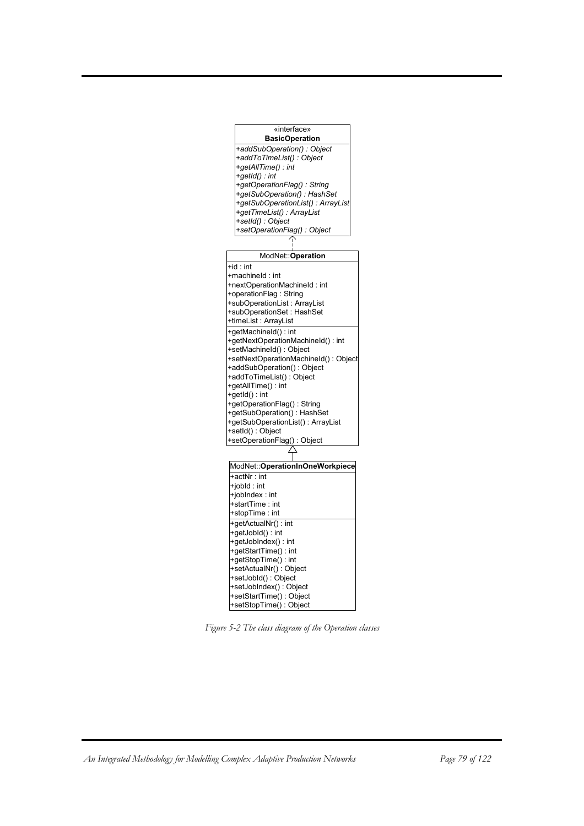

*Figure 5-2 The class diagram of the Operation classes*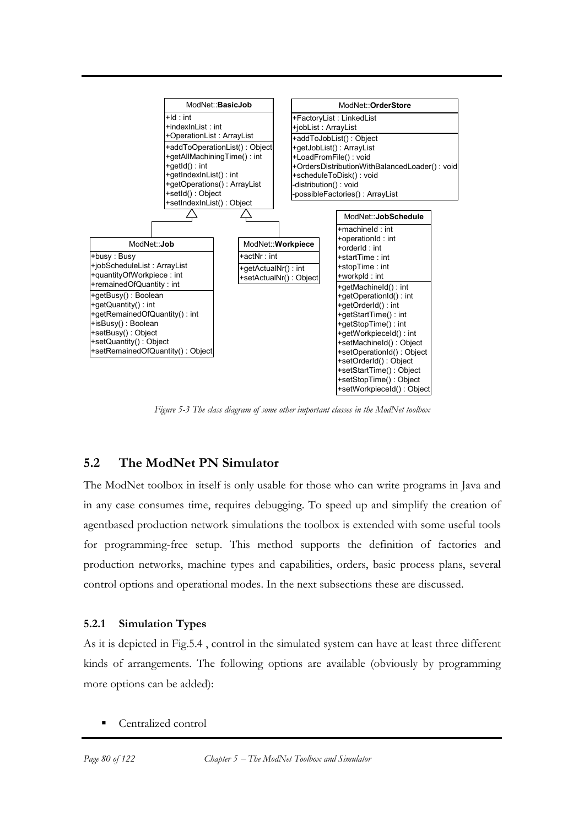

*Figure 5-3 The class diagram of some other important classes in the ModNet toolbox* 

## **5.2 The ModNet PN Simulator**

The ModNet toolbox in itself is only usable for those who can write programs in Java and in any case consumes time, requires debugging. To speed up and simplify the creation of agentbased production network simulations the toolbox is extended with some useful tools for programming-free setup. This method supports the definition of factories and production networks, machine types and capabilities, orders, basic process plans, several control options and operational modes. In the next subsections these are discussed.

#### **5.2.1 Simulation Types**

As it is depicted in Fig.5.4 , control in the simulated system can have at least three different kinds of arrangements. The following options are available (obviously by programming more options can be added):

■ Centralized control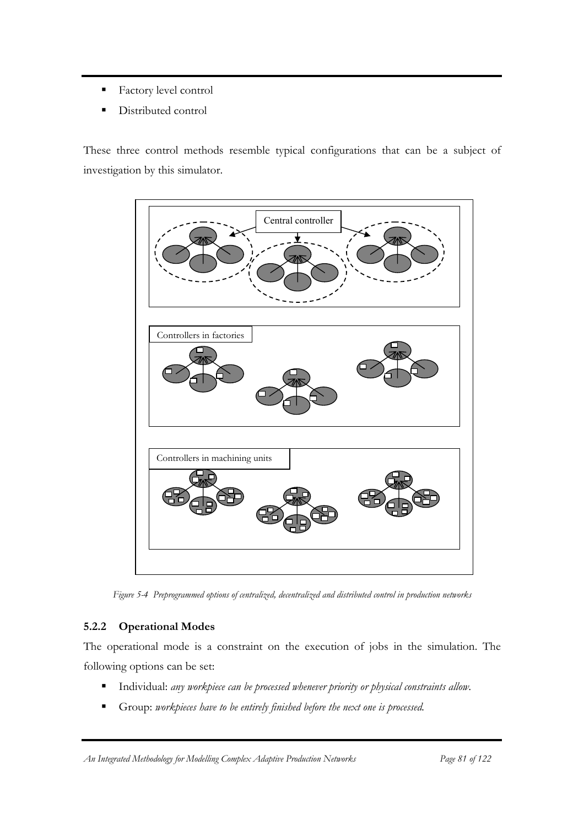- Factory level control
- Distributed control

These three control methods resemble typical configurations that can be a subject of investigation by this simulator.



*Figure 5-4 Preprogrammed options of centralized, decentralized and distributed control in production networks* 

#### **5.2.2 Operational Modes**

The operational mode is a constraint on the execution of jobs in the simulation. The following options can be set:

- Individual: *any workpiece can be processed whenever priority or physical constraints allow.*
- Group: *workpieces have to be entirely finished before the next one is processed.*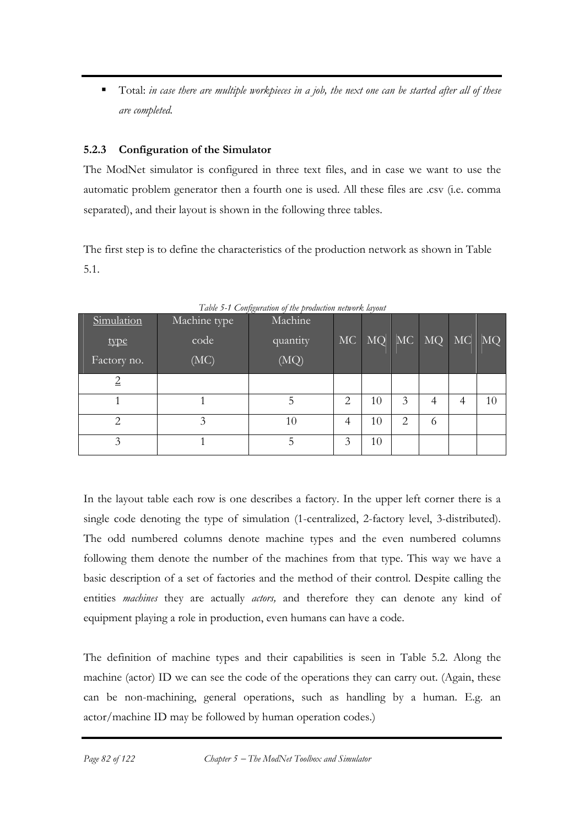■ Total: *in case there are multiple workpieces in a job, the next one can be started after all of these are completed.*

#### **5.2.3 Configuration of the Simulator**

The ModNet simulator is configured in three text files, and in case we want to use the automatic problem generator then a fourth one is used. All these files are .csv (i.e. comma separated), and their layout is shown in the following three tables.

The first step is to define the characteristics of the production network as shown in Table 5.1.

| Simulation     | Machine type | Machine  |    |    |               |    |    |    |
|----------------|--------------|----------|----|----|---------------|----|----|----|
| type           | code         | quantity | MC | MQ | MC            | MQ | MC | MQ |
| Factory no.    | (MC)         | (MQ)     |    |    |               |    |    |    |
| $\overline{2}$ |              |          |    |    |               |    |    |    |
|                |              | 5        | 2  | 10 | 3             | 4  | 4  | 10 |
| $\mathfrak{D}$ | 3            | 10       | 4  | 10 | $\mathcal{L}$ | 6  |    |    |
| 3              |              | 5        | 3  | 10 |               |    |    |    |

*Table 5-1 Configuration of the production network layout* 

In the layout table each row is one describes a factory. In the upper left corner there is a single code denoting the type of simulation (1-centralized, 2-factory level, 3-distributed). The odd numbered columns denote machine types and the even numbered columns following them denote the number of the machines from that type. This way we have a basic description of a set of factories and the method of their control. Despite calling the entities *machines* they are actually *actors,* and therefore they can denote any kind of equipment playing a role in production, even humans can have a code.

The definition of machine types and their capabilities is seen in Table 5.2. Along the machine (actor) ID we can see the code of the operations they can carry out. (Again, these can be non-machining, general operations, such as handling by a human. E.g. an actor/machine ID may be followed by human operation codes.)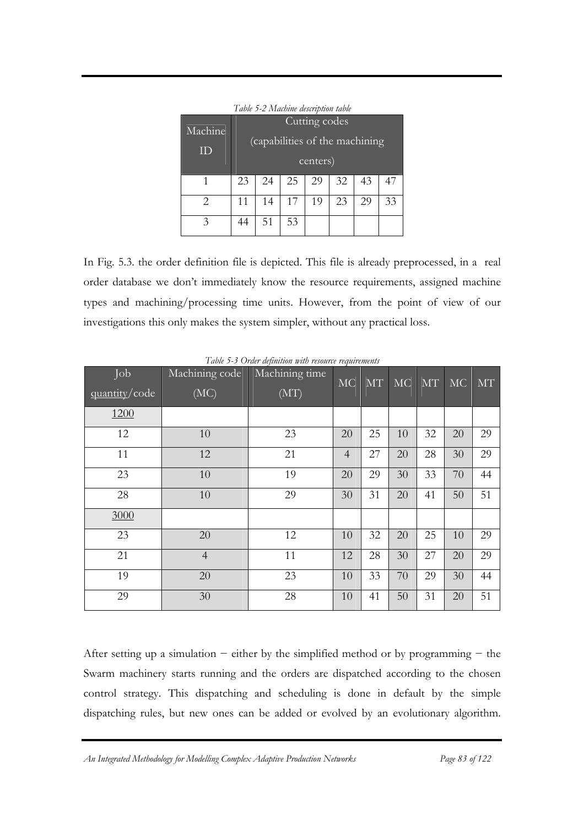| Machine<br>ID | <b>Tavie</b> <i>I</i> -2 <i>Ivialisme</i> aestription tavie<br>Cutting codes<br>(capabilities of the machining<br>centers) |    |    |    |    |    |    |
|---------------|----------------------------------------------------------------------------------------------------------------------------|----|----|----|----|----|----|
|               | 23                                                                                                                         | 24 | 25 | 29 | 32 | 43 | 47 |
| 2             | 11                                                                                                                         | 14 | 17 | 19 | 23 | 29 | 33 |
| 3             | 44                                                                                                                         | 51 | 53 |    |    |    |    |

*Table 5-2 Machine description table* 

In Fig. 5.3. the order definition file is depicted. This file is already preprocessed, in a real order database we don't immediately know the resource requirements, assigned machine types and machining/processing time units. However, from the point of view of our investigations this only makes the system simpler, without any practical loss.

| Job<br>quantity/code | Machining code<br>(MC) | Machining time<br>(MT) | $\rm MC$       | MT | $\rm MC$ | $\text{MT}$ | MC | MT |
|----------------------|------------------------|------------------------|----------------|----|----------|-------------|----|----|
| 1200                 |                        |                        |                |    |          |             |    |    |
| 12                   | 10                     | 23                     | 20             | 25 | 10       | 32          | 20 | 29 |
| 11                   | 12                     | 21                     | $\overline{4}$ | 27 | 20       | 28          | 30 | 29 |
| 23                   | 10                     | 19                     | 20             | 29 | 30       | 33          | 70 | 44 |
| 28                   | 10                     | 29                     | 30             | 31 | 20       | 41          | 50 | 51 |
| 3000                 |                        |                        |                |    |          |             |    |    |
| 23                   | 20                     | 12                     | 10             | 32 | 20       | 25          | 10 | 29 |
| 21                   | $\overline{4}$         | 11                     | 12             | 28 | 30       | 27          | 20 | 29 |
| 19                   | 20                     | 23                     | 10             | 33 | 70       | 29          | 30 | 44 |
| 29                   | 30                     | 28                     | 10             | 41 | 50       | 31          | 20 | 51 |

*Table 5-3 Order definition with resource requirements* 

After setting up a simulation − either by the simplified method or by programming − the Swarm machinery starts running and the orders are dispatched according to the chosen control strategy. This dispatching and scheduling is done in default by the simple dispatching rules, but new ones can be added or evolved by an evolutionary algorithm.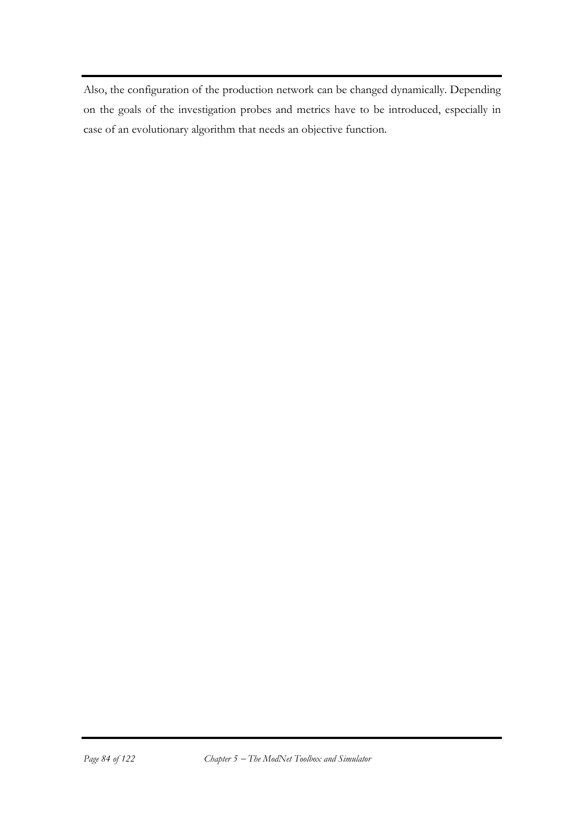Also, the configuration of the production network can be changed dynamically. Depending on the goals of the investigation probes and metrics have to be introduced, especially in case of an evolutionary algorithm that needs an objective function.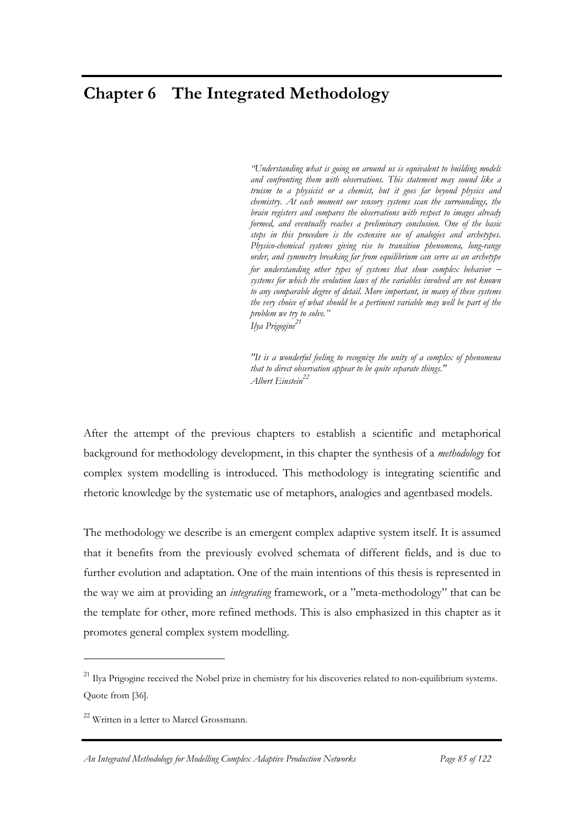## **Chapter 6 The Integrated Methodology**

*"Understanding what is going on around us is equivalent to building models and confronting them with observations. This statement may sound like a truism to a physicist or a chemist, but it goes far beyond physics and chemistry. At each moment our sensory systems scan the surroundings, the brain registers and compares the observations with respect to images already formed, and eventually reaches a preliminary conclusion. One of the basic steps in this procedure is the extensive use of analogies and archetypes. Physico-chemical systems giving rise to transition phenomena, long-range order, and symmetry breaking far from equilibrium can serve as an archetype for understanding other types of systems that show complex behavior* − *systems for which the evolution laws of the variables involved are not known to any comparable degree of detail. More important, in many of these systems the very choice of what should be a pertinent variable may well be part of the problem we try to solve." Ilya Prigogine21*

*"It is a wonderful feeling to recognize the unity of a complex of phenomena that to direct observation appear to be quite separate things." Albert Einstein*<sup>22</sup>

After the attempt of the previous chapters to establish a scientific and metaphorical background for methodology development, in this chapter the synthesis of a *methodology* for complex system modelling is introduced. This methodology is integrating scientific and rhetoric knowledge by the systematic use of metaphors, analogies and agentbased models.

The methodology we describe is an emergent complex adaptive system itself. It is assumed that it benefits from the previously evolved schemata of different fields, and is due to further evolution and adaptation. One of the main intentions of this thesis is represented in the way we aim at providing an *integrating* framework, or a "meta-methodology" that can be the template for other, more refined methods. This is also emphasized in this chapter as it promotes general complex system modelling.

 $\overline{a}$ 

 $^{21}$  Ilya Prigogine received the Nobel prize in chemistry for his discoveries related to non-equilibrium systems. Quote from [36].

 $22$  Written in a letter to Marcel Grossmann.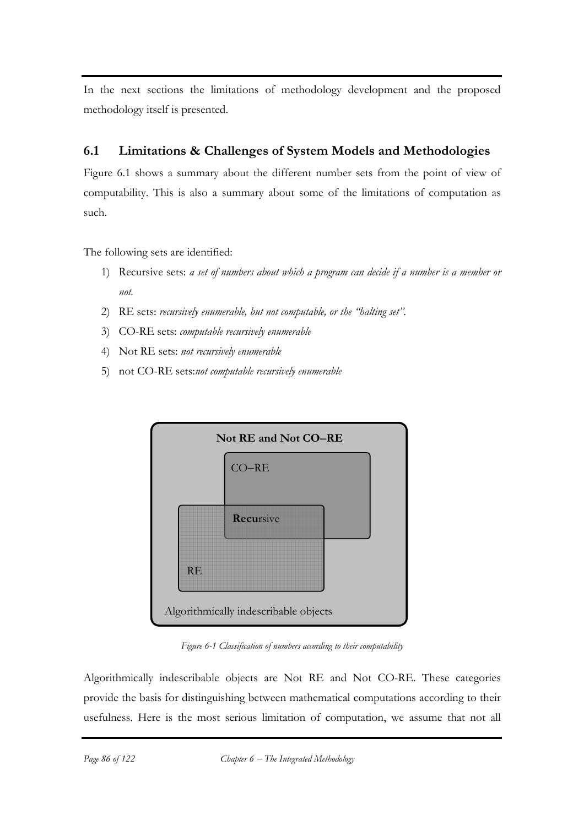In the next sections the limitations of methodology development and the proposed methodology itself is presented.

### **6.1 Limitations & Challenges of System Models and Methodologies**

Figure 6.1 shows a summary about the different number sets from the point of view of computability. This is also a summary about some of the limitations of computation as such.

The following sets are identified:

- 1) Recursive sets: *a set of numbers about which a program can decide if a number is a member or not.*
- 2) RE sets: *recursively enumerable, but not computable, or the "halting set".*
- 3) CO-RE sets: *computable recursively enumerable*
- 4) Not RE sets: *not recursively enumerable*
- 5) not CO-RE sets:*not computable recursively enumerable*



*Figure 6-1 Classification of numbers according to their computability* 

Algorithmically indescribable objects are Not RE and Not CO-RE. These categories provide the basis for distinguishing between mathematical computations according to their usefulness. Here is the most serious limitation of computation, we assume that not all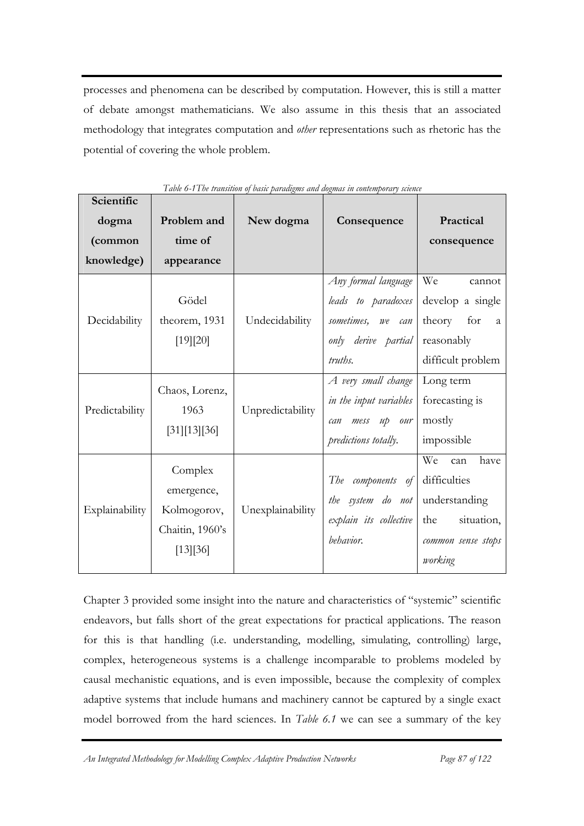processes and phenomena can be described by computation. However, this is still a matter of debate amongst mathematicians. We also assume in this thesis that an associated methodology that integrates computation and *other* representations such as rhetoric has the potential of covering the whole problem.

| Scientific                     |                                                               |                                    |                                                                                                                                                         |                                                                                                                          |  |  |
|--------------------------------|---------------------------------------------------------------|------------------------------------|---------------------------------------------------------------------------------------------------------------------------------------------------------|--------------------------------------------------------------------------------------------------------------------------|--|--|
| dogma                          | Problem and                                                   | New dogma                          | Consequence                                                                                                                                             | Practical                                                                                                                |  |  |
| (common                        | time of                                                       |                                    |                                                                                                                                                         | consequence                                                                                                              |  |  |
| knowledge)                     | appearance                                                    |                                    |                                                                                                                                                         |                                                                                                                          |  |  |
| Decidability<br>Predictability | Gödel<br>theorem, 1931<br>[19] [20]<br>Chaos, Lorenz,<br>1963 | Undecidability<br>Unpredictability | Any formal language<br>leads to paradoxes<br>sometimes,<br>we<br>can<br>only derive partial<br>truths.<br>A very small change<br>in the input variables | We<br>cannot<br>develop a single<br>for<br>theory<br>a<br>reasonably<br>difficult problem<br>Long term<br>forecasting is |  |  |
|                                | [31][13][36]<br>Complex                                       |                                    | up our<br>mess<br>can<br>predictions totally.                                                                                                           | mostly<br>impossible<br>have<br>We<br>can                                                                                |  |  |
| Explainability                 | emergence,<br>Kolmogorov,<br>Chaitin, 1960's<br>[13][36]      | Unexplainability                   | The<br>components of<br>the system do not<br>explain its collective<br>behavior.                                                                        | difficulties<br>understanding<br>the<br>situation,<br>common sense stops<br>working                                      |  |  |

*Table 6-1The transition of basic paradigms and dogmas in contemporary science*

Chapter 3 provided some insight into the nature and characteristics of "systemic" scientific endeavors, but falls short of the great expectations for practical applications. The reason for this is that handling (i.e. understanding, modelling, simulating, controlling) large, complex, heterogeneous systems is a challenge incomparable to problems modeled by causal mechanistic equations, and is even impossible, because the complexity of complex adaptive systems that include humans and machinery cannot be captured by a single exact model borrowed from the hard sciences. In *Table 6.1* we can see a summary of the key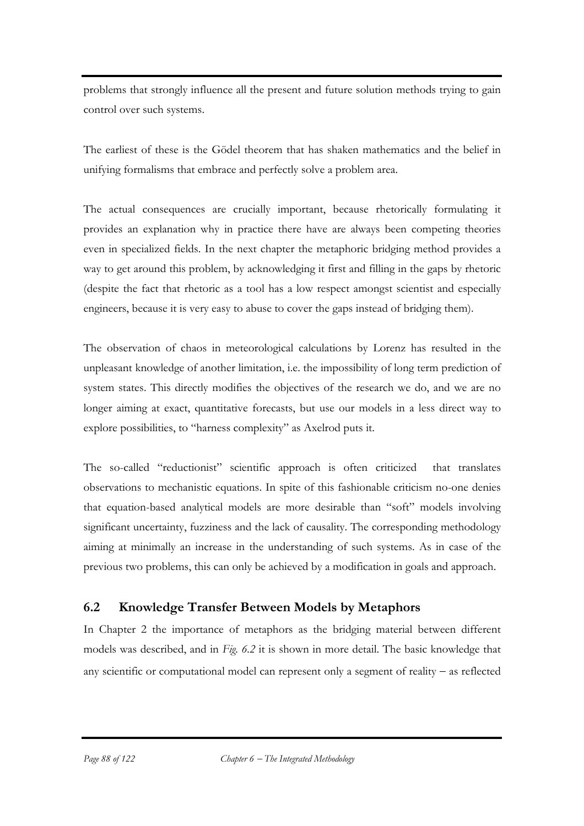problems that strongly influence all the present and future solution methods trying to gain control over such systems.

The earliest of these is the Gödel theorem that has shaken mathematics and the belief in unifying formalisms that embrace and perfectly solve a problem area.

The actual consequences are crucially important, because rhetorically formulating it provides an explanation why in practice there have are always been competing theories even in specialized fields. In the next chapter the metaphoric bridging method provides a way to get around this problem, by acknowledging it first and filling in the gaps by rhetoric (despite the fact that rhetoric as a tool has a low respect amongst scientist and especially engineers, because it is very easy to abuse to cover the gaps instead of bridging them).

The observation of chaos in meteorological calculations by Lorenz has resulted in the unpleasant knowledge of another limitation, i.e. the impossibility of long term prediction of system states. This directly modifies the objectives of the research we do, and we are no longer aiming at exact, quantitative forecasts, but use our models in a less direct way to explore possibilities, to "harness complexity" as Axelrod puts it.

The so-called "reductionist" scientific approach is often criticized that translates observations to mechanistic equations. In spite of this fashionable criticism no-one denies that equation-based analytical models are more desirable than "soft" models involving significant uncertainty, fuzziness and the lack of causality. The corresponding methodology aiming at minimally an increase in the understanding of such systems. As in case of the previous two problems, this can only be achieved by a modification in goals and approach.

## **6.2 Knowledge Transfer Between Models by Metaphors**

In Chapter 2 the importance of metaphors as the bridging material between different models was described, and in *Fig. 6.2* it is shown in more detail. The basic knowledge that any scientific or computational model can represent only a segment of reality − as reflected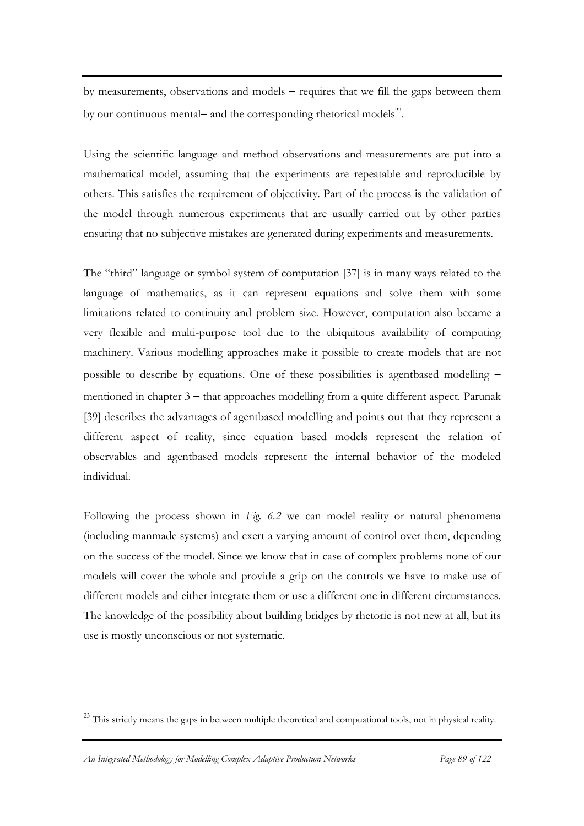by measurements, observations and models − requires that we fill the gaps between them by our continuous mental– and the corresponding rhetorical models<sup>23</sup>.

Using the scientific language and method observations and measurements are put into a mathematical model, assuming that the experiments are repeatable and reproducible by others. This satisfies the requirement of objectivity. Part of the process is the validation of the model through numerous experiments that are usually carried out by other parties ensuring that no subjective mistakes are generated during experiments and measurements.

The "third" language or symbol system of computation [37] is in many ways related to the language of mathematics, as it can represent equations and solve them with some limitations related to continuity and problem size. However, computation also became a very flexible and multi-purpose tool due to the ubiquitous availability of computing machinery. Various modelling approaches make it possible to create models that are not possible to describe by equations. One of these possibilities is agentbased modelling − mentioned in chapter 3 − that approaches modelling from a quite different aspect. Parunak [39] describes the advantages of agentbased modelling and points out that they represent a different aspect of reality, since equation based models represent the relation of observables and agentbased models represent the internal behavior of the modeled individual.

Following the process shown in *Fig. 6.2* we can model reality or natural phenomena (including manmade systems) and exert a varying amount of control over them, depending on the success of the model. Since we know that in case of complex problems none of our models will cover the whole and provide a grip on the controls we have to make use of different models and either integrate them or use a different one in different circumstances. The knowledge of the possibility about building bridges by rhetoric is not new at all, but its use is mostly unconscious or not systematic.

 $\overline{a}$ 

<sup>&</sup>lt;sup>23</sup> This strictly means the gaps in between multiple theoretical and compuational tools, not in physical reality.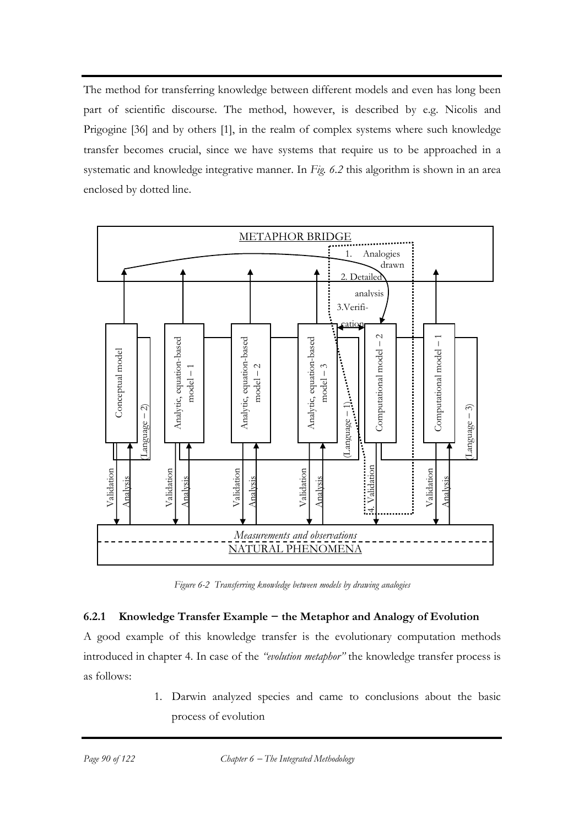The method for transferring knowledge between different models and even has long been part of scientific discourse. The method, however, is described by e.g. Nicolis and Prigogine [36] and by others [1], in the realm of complex systems where such knowledge transfer becomes crucial, since we have systems that require us to be approached in a systematic and knowledge integrative manner. In *Fig. 6.2* this algorithm is shown in an area enclosed by dotted line.



*Figure 6-2 Transferring knowledge between models by drawing analogies* 

#### **6.2.1 Knowledge Transfer Example − the Metaphor and Analogy of Evolution**

A good example of this knowledge transfer is the evolutionary computation methods introduced in chapter 4. In case of the *"evolution metaphor"* the knowledge transfer process is as follows:

> 1. Darwin analyzed species and came to conclusions about the basic process of evolution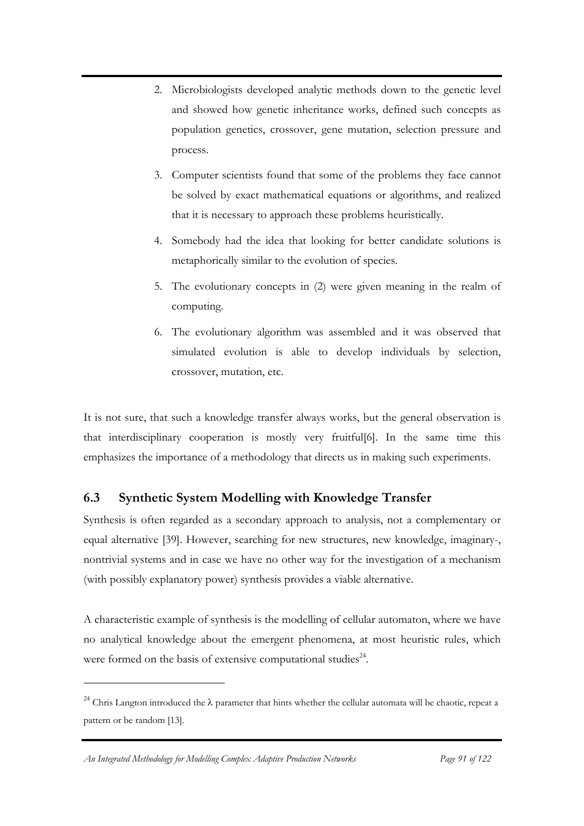- 2. Microbiologists developed analytic methods down to the genetic level and showed how genetic inheritance works, defined such concepts as population genetics, crossover, gene mutation, selection pressure and process.
- 3. Computer scientists found that some of the problems they face cannot be solved by exact mathematical equations or algorithms, and realized that it is necessary to approach these problems heuristically.
- 4. Somebody had the idea that looking for better candidate solutions is metaphorically similar to the evolution of species.
- 5. The evolutionary concepts in (2) were given meaning in the realm of computing.
- 6. The evolutionary algorithm was assembled and it was observed that simulated evolution is able to develop individuals by selection, crossover, mutation, etc.

It is not sure, that such a knowledge transfer always works, but the general observation is that interdisciplinary cooperation is mostly very fruitful[6]. In the same time this emphasizes the importance of a methodology that directs us in making such experiments.

### **6.3 Synthetic System Modelling with Knowledge Transfer**

Synthesis is often regarded as a secondary approach to analysis, not a complementary or equal alternative [39]. However, searching for new structures, new knowledge, imaginary-, nontrivial systems and in case we have no other way for the investigation of a mechanism (with possibly explanatory power) synthesis provides a viable alternative.

A characteristic example of synthesis is the modelling of cellular automaton, where we have no analytical knowledge about the emergent phenomena, at most heuristic rules, which were formed on the basis of extensive computational studies $24$ .

 $\overline{a}$ 

<sup>&</sup>lt;sup>24</sup> Chris Langton introduced the  $\lambda$  parameter that hints whether the cellular automata will be chaotic, repeat a pattern or be random [13].

*An Integrated Methodology for Modelling Complex Adaptive Production Networks Page 91 of 122*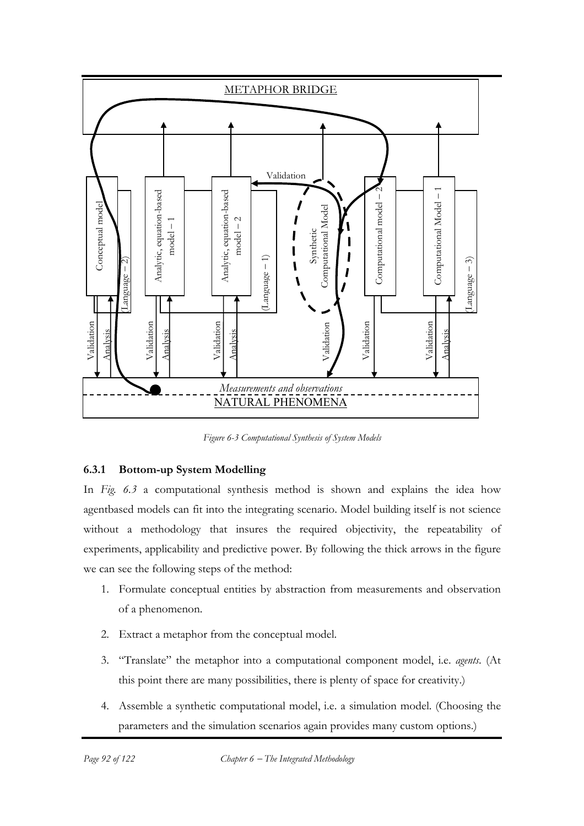

*Figure 6-3 Computational Synthesis of System Models* 

#### **6.3.1 Bottom-up System Modelling**

In *Fig. 6.3* a computational synthesis method is shown and explains the idea how agentbased models can fit into the integrating scenario. Model building itself is not science without a methodology that insures the required objectivity, the repeatability of experiments, applicability and predictive power. By following the thick arrows in the figure we can see the following steps of the method:

- 1. Formulate conceptual entities by abstraction from measurements and observation of a phenomenon.
- 2. Extract a metaphor from the conceptual model.
- 3. "Translate" the metaphor into a computational component model, i.e. *agents*. (At this point there are many possibilities, there is plenty of space for creativity.)
- 4. Assemble a synthetic computational model, i.e. a simulation model. (Choosing the parameters and the simulation scenarios again provides many custom options.)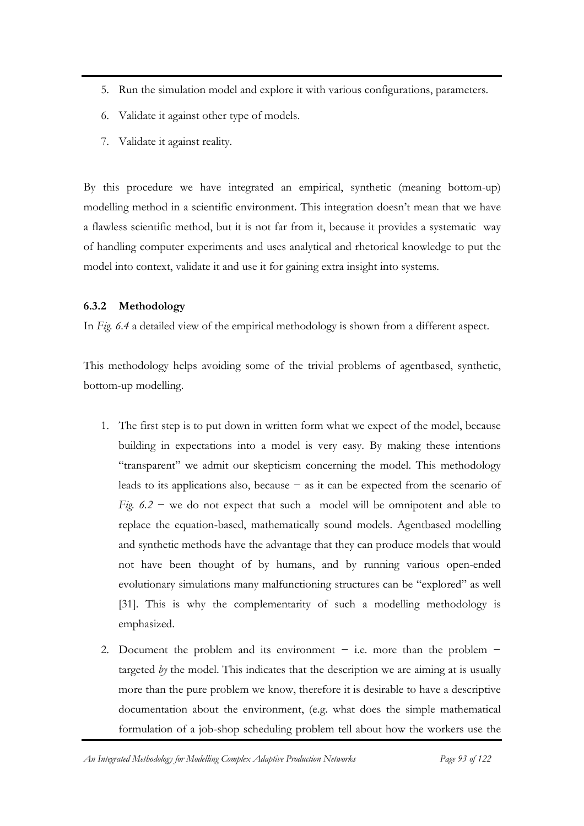- 5. Run the simulation model and explore it with various configurations, parameters.
- 6. Validate it against other type of models.
- 7. Validate it against reality.

By this procedure we have integrated an empirical, synthetic (meaning bottom-up) modelling method in a scientific environment. This integration doesn't mean that we have a flawless scientific method, but it is not far from it, because it provides a systematic way of handling computer experiments and uses analytical and rhetorical knowledge to put the model into context, validate it and use it for gaining extra insight into systems.

#### **6.3.2 Methodology**

In *Fig. 6.4* a detailed view of the empirical methodology is shown from a different aspect.

This methodology helps avoiding some of the trivial problems of agentbased, synthetic, bottom-up modelling.

- 1. The first step is to put down in written form what we expect of the model, because building in expectations into a model is very easy. By making these intentions "transparent" we admit our skepticism concerning the model. This methodology leads to its applications also, because − as it can be expected from the scenario of *Fig. 6.2* − we do not expect that such a model will be omnipotent and able to replace the equation-based, mathematically sound models. Agentbased modelling and synthetic methods have the advantage that they can produce models that would not have been thought of by humans, and by running various open-ended evolutionary simulations many malfunctioning structures can be "explored" as well [31]. This is why the complementarity of such a modelling methodology is emphasized.
- 2. Document the problem and its environment − i.e. more than the problem − targeted *by* the model. This indicates that the description we are aiming at is usually more than the pure problem we know, therefore it is desirable to have a descriptive documentation about the environment, (e.g. what does the simple mathematical formulation of a job-shop scheduling problem tell about how the workers use the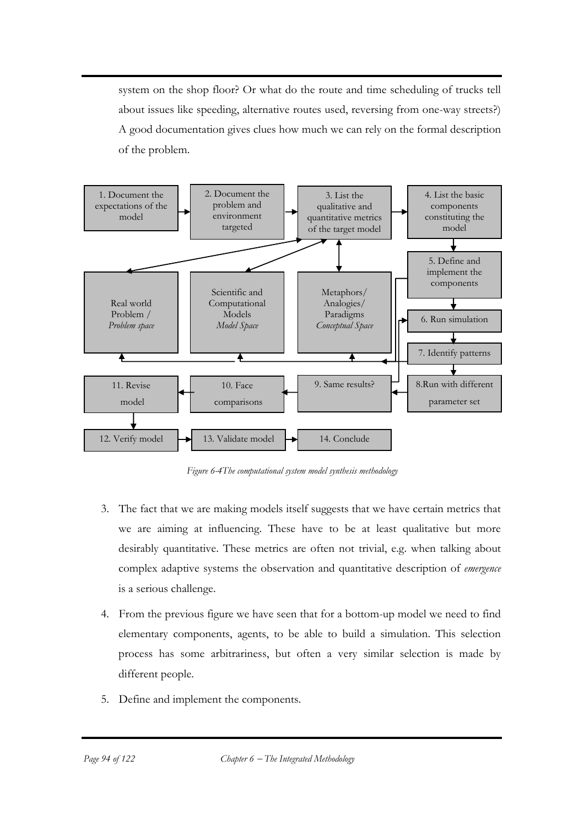system on the shop floor? Or what do the route and time scheduling of trucks tell about issues like speeding, alternative routes used, reversing from one-way streets?) A good documentation gives clues how much we can rely on the formal description of the problem.



*Figure 6-4The computational system model synthesis methodology* 

- 3. The fact that we are making models itself suggests that we have certain metrics that we are aiming at influencing. These have to be at least qualitative but more desirably quantitative. These metrics are often not trivial, e.g. when talking about complex adaptive systems the observation and quantitative description of *emergence* is a serious challenge.
- 4. From the previous figure we have seen that for a bottom-up model we need to find elementary components, agents, to be able to build a simulation. This selection process has some arbitrariness, but often a very similar selection is made by different people.
- 5. Define and implement the components.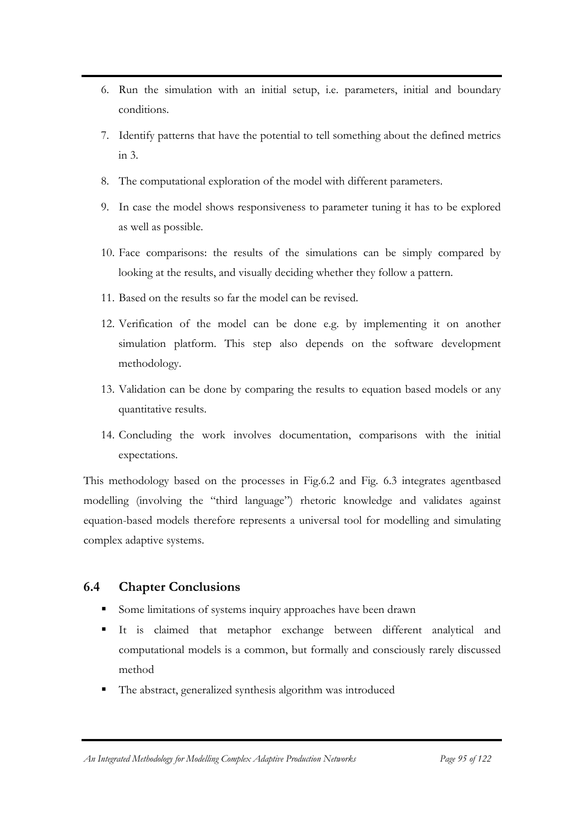- 6. Run the simulation with an initial setup, i.e. parameters, initial and boundary conditions.
- 7. Identify patterns that have the potential to tell something about the defined metrics in 3.
- 8. The computational exploration of the model with different parameters.
- 9. In case the model shows responsiveness to parameter tuning it has to be explored as well as possible.
- 10. Face comparisons: the results of the simulations can be simply compared by looking at the results, and visually deciding whether they follow a pattern.
- 11. Based on the results so far the model can be revised.
- 12. Verification of the model can be done e.g. by implementing it on another simulation platform. This step also depends on the software development methodology.
- 13. Validation can be done by comparing the results to equation based models or any quantitative results.
- 14. Concluding the work involves documentation, comparisons with the initial expectations.

This methodology based on the processes in Fig.6.2 and Fig. 6.3 integrates agentbased modelling (involving the "third language") rhetoric knowledge and validates against equation-based models therefore represents a universal tool for modelling and simulating complex adaptive systems.

### **6.4 Chapter Conclusions**

- Some limitations of systems inquiry approaches have been drawn
- It is claimed that metaphor exchange between different analytical and computational models is a common, but formally and consciously rarely discussed method
- The abstract, generalized synthesis algorithm was introduced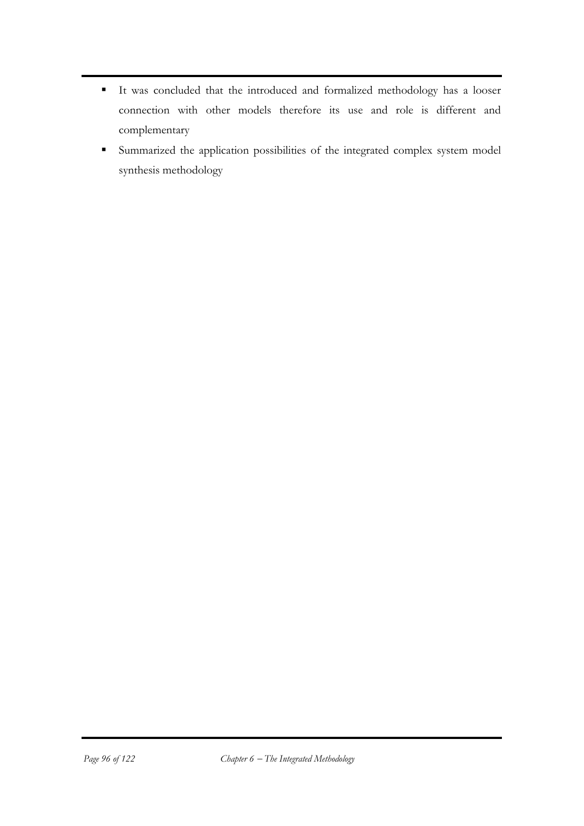- It was concluded that the introduced and formalized methodology has a looser connection with other models therefore its use and role is different and complementary
- Summarized the application possibilities of the integrated complex system model synthesis methodology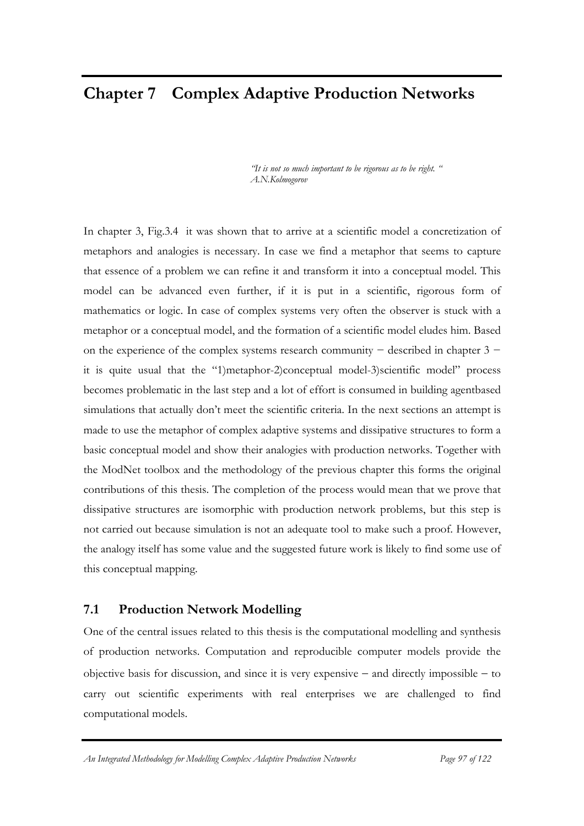## **Chapter 7 Complex Adaptive Production Networks**

*"It is not so much important to be rigorous as to be right. " A.N.Kolmogorov* 

In chapter 3, Fig.3.4 it was shown that to arrive at a scientific model a concretization of metaphors and analogies is necessary. In case we find a metaphor that seems to capture that essence of a problem we can refine it and transform it into a conceptual model. This model can be advanced even further, if it is put in a scientific, rigorous form of mathematics or logic. In case of complex systems very often the observer is stuck with a metaphor or a conceptual model, and the formation of a scientific model eludes him. Based on the experience of the complex systems research community − described in chapter 3 − it is quite usual that the "1)metaphor-2)conceptual model-3)scientific model" process becomes problematic in the last step and a lot of effort is consumed in building agentbased simulations that actually don't meet the scientific criteria. In the next sections an attempt is made to use the metaphor of complex adaptive systems and dissipative structures to form a basic conceptual model and show their analogies with production networks. Together with the ModNet toolbox and the methodology of the previous chapter this forms the original contributions of this thesis. The completion of the process would mean that we prove that dissipative structures are isomorphic with production network problems, but this step is not carried out because simulation is not an adequate tool to make such a proof. However, the analogy itself has some value and the suggested future work is likely to find some use of this conceptual mapping.

#### **7.1 Production Network Modelling**

One of the central issues related to this thesis is the computational modelling and synthesis of production networks. Computation and reproducible computer models provide the objective basis for discussion, and since it is very expensive − and directly impossible − to carry out scientific experiments with real enterprises we are challenged to find computational models.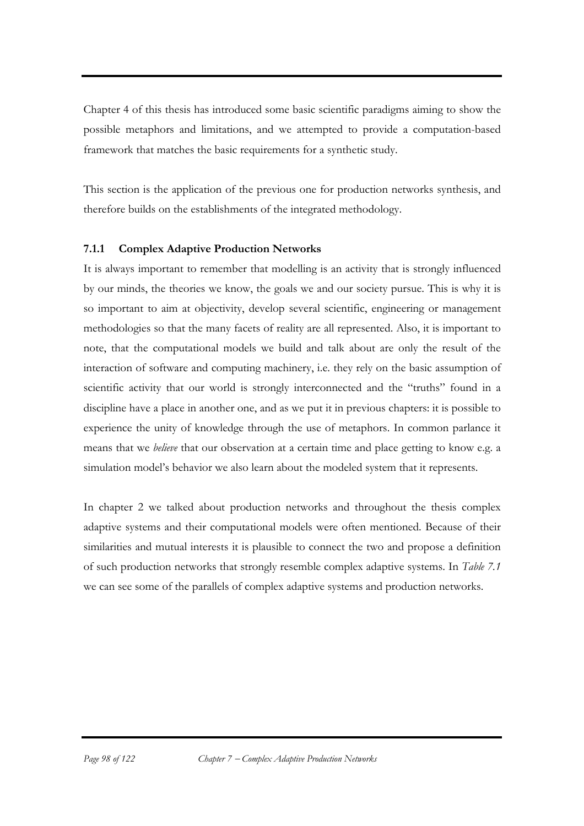Chapter 4 of this thesis has introduced some basic scientific paradigms aiming to show the possible metaphors and limitations, and we attempted to provide a computation-based framework that matches the basic requirements for a synthetic study.

This section is the application of the previous one for production networks synthesis, and therefore builds on the establishments of the integrated methodology.

#### **7.1.1 Complex Adaptive Production Networks**

It is always important to remember that modelling is an activity that is strongly influenced by our minds, the theories we know, the goals we and our society pursue. This is why it is so important to aim at objectivity, develop several scientific, engineering or management methodologies so that the many facets of reality are all represented. Also, it is important to note, that the computational models we build and talk about are only the result of the interaction of software and computing machinery, i.e. they rely on the basic assumption of scientific activity that our world is strongly interconnected and the "truths" found in a discipline have a place in another one, and as we put it in previous chapters: it is possible to experience the unity of knowledge through the use of metaphors. In common parlance it means that we *believe* that our observation at a certain time and place getting to know e.g. a simulation model's behavior we also learn about the modeled system that it represents.

In chapter 2 we talked about production networks and throughout the thesis complex adaptive systems and their computational models were often mentioned. Because of their similarities and mutual interests it is plausible to connect the two and propose a definition of such production networks that strongly resemble complex adaptive systems. In *Table 7.1*  we can see some of the parallels of complex adaptive systems and production networks.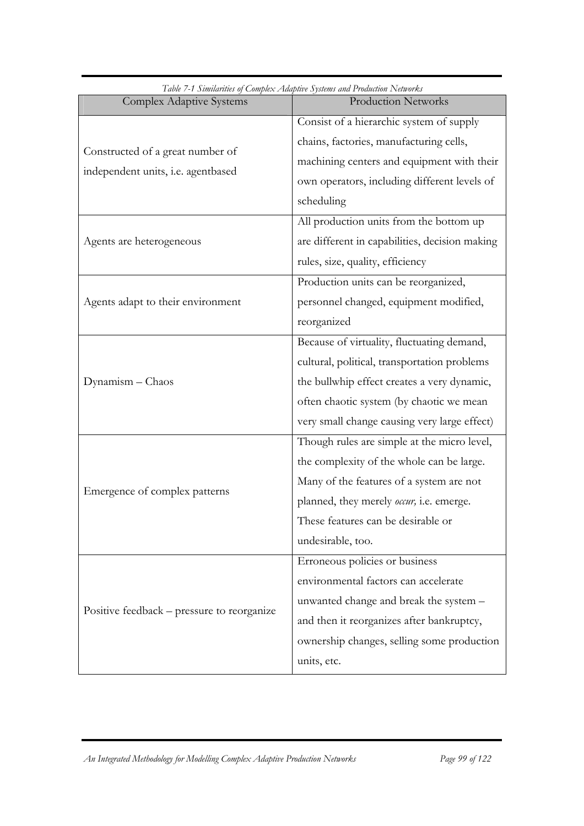| Table 7-1 Similarities of Complex Adaptive Systems and Production Networks |                                                |  |  |  |  |
|----------------------------------------------------------------------------|------------------------------------------------|--|--|--|--|
| Complex Adaptive Systems                                                   | <b>Production Networks</b>                     |  |  |  |  |
|                                                                            | Consist of a hierarchic system of supply       |  |  |  |  |
|                                                                            | chains, factories, manufacturing cells,        |  |  |  |  |
| Constructed of a great number of                                           | machining centers and equipment with their     |  |  |  |  |
| independent units, i.e. agentbased                                         | own operators, including different levels of   |  |  |  |  |
|                                                                            | scheduling                                     |  |  |  |  |
|                                                                            | All production units from the bottom up        |  |  |  |  |
| Agents are heterogeneous                                                   | are different in capabilities, decision making |  |  |  |  |
|                                                                            | rules, size, quality, efficiency               |  |  |  |  |
|                                                                            | Production units can be reorganized,           |  |  |  |  |
| Agents adapt to their environment                                          | personnel changed, equipment modified,         |  |  |  |  |
|                                                                            | reorganized                                    |  |  |  |  |
|                                                                            | Because of virtuality, fluctuating demand,     |  |  |  |  |
|                                                                            | cultural, political, transportation problems   |  |  |  |  |
| Dynamism - Chaos                                                           | the bullwhip effect creates a very dynamic,    |  |  |  |  |
|                                                                            | often chaotic system (by chaotic we mean       |  |  |  |  |
|                                                                            | very small change causing very large effect)   |  |  |  |  |
|                                                                            | Though rules are simple at the micro level,    |  |  |  |  |
|                                                                            | the complexity of the whole can be large.      |  |  |  |  |
|                                                                            | Many of the features of a system are not       |  |  |  |  |
| Emergence of complex patterns                                              | planned, they merely occur, i.e. emerge.       |  |  |  |  |
|                                                                            | These features can be desirable or             |  |  |  |  |
|                                                                            | undesirable, too.                              |  |  |  |  |
|                                                                            | Erroneous policies or business                 |  |  |  |  |
|                                                                            | environmental factors can accelerate           |  |  |  |  |
|                                                                            | unwanted change and break the system -         |  |  |  |  |
| Positive feedback – pressure to reorganize                                 | and then it reorganizes after bankruptcy,      |  |  |  |  |
|                                                                            | ownership changes, selling some production     |  |  |  |  |
|                                                                            | units, etc.                                    |  |  |  |  |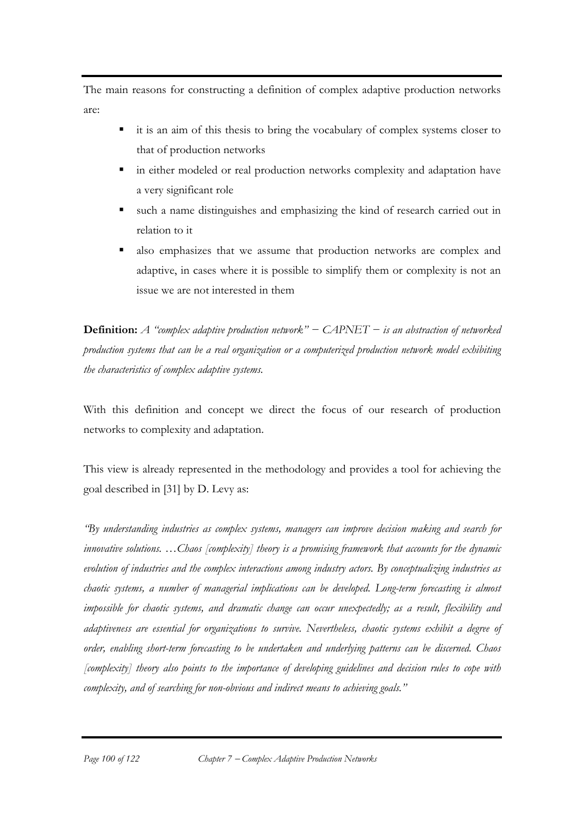The main reasons for constructing a definition of complex adaptive production networks are:

- it is an aim of this thesis to bring the vocabulary of complex systems closer to that of production networks
- in either modeled or real production networks complexity and adaptation have a very significant role
- such a name distinguishes and emphasizing the kind of research carried out in relation to it
- also emphasizes that we assume that production networks are complex and adaptive, in cases where it is possible to simplify them or complexity is not an issue we are not interested in them

**Definition:** *A "complex adaptive production network" − CAPNET − is an abstraction of networked production systems that can be a real organization or a computerized production network model exhibiting the characteristics of complex adaptive systems.* 

With this definition and concept we direct the focus of our research of production networks to complexity and adaptation.

This view is already represented in the methodology and provides a tool for achieving the goal described in [31] by D. Levy as:

*"By understanding industries as complex systems, managers can improve decision making and search for innovative solutions. …Chaos [complexity] theory is a promising framework that accounts for the dynamic evolution of industries and the complex interactions among industry actors. By conceptualizing industries as chaotic systems, a number of managerial implications can be developed. Long-term forecasting is almost impossible for chaotic systems, and dramatic change can occur unexpectedly; as a result, flexibility and adaptiveness are essential for organizations to survive. Nevertheless, chaotic systems exhibit a degree of order, enabling short-term forecasting to be undertaken and underlying patterns can be discerned. Chaos [complexity] theory also points to the importance of developing guidelines and decision rules to cope with complexity, and of searching for non-obvious and indirect means to achieving goals."*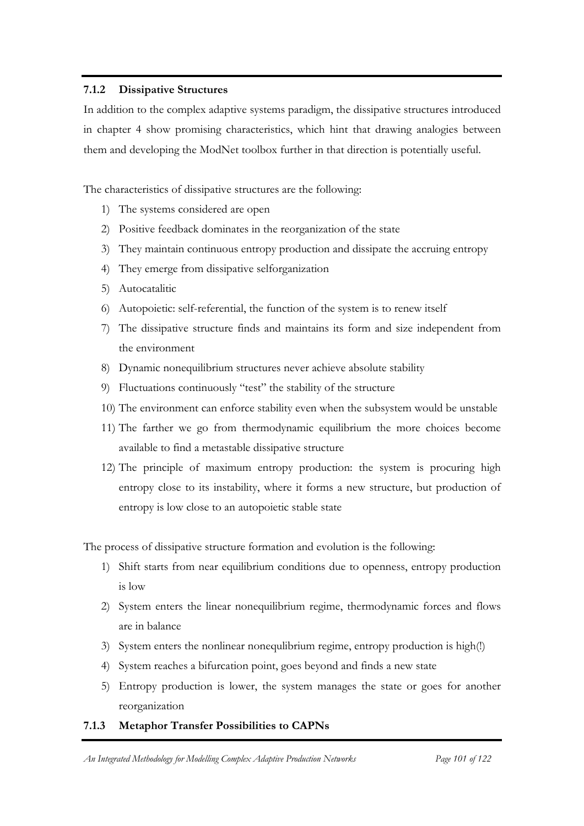#### **7.1.2 Dissipative Structures**

In addition to the complex adaptive systems paradigm, the dissipative structures introduced in chapter 4 show promising characteristics, which hint that drawing analogies between them and developing the ModNet toolbox further in that direction is potentially useful.

The characteristics of dissipative structures are the following:

- 1) The systems considered are open
- 2) Positive feedback dominates in the reorganization of the state
- 3) They maintain continuous entropy production and dissipate the accruing entropy
- 4) They emerge from dissipative selforganization
- 5) Autocatalitic
- 6) Autopoietic: self-referential, the function of the system is to renew itself
- 7) The dissipative structure finds and maintains its form and size independent from the environment
- 8) Dynamic nonequilibrium structures never achieve absolute stability
- 9) Fluctuations continuously "test" the stability of the structure
- 10) The environment can enforce stability even when the subsystem would be unstable
- 11) The farther we go from thermodynamic equilibrium the more choices become available to find a metastable dissipative structure
- 12) The principle of maximum entropy production: the system is procuring high entropy close to its instability, where it forms a new structure, but production of entropy is low close to an autopoietic stable state

The process of dissipative structure formation and evolution is the following:

- 1) Shift starts from near equilibrium conditions due to openness, entropy production is low
- 2) System enters the linear nonequilibrium regime, thermodynamic forces and flows are in balance
- 3) System enters the nonlinear nonequlibrium regime, entropy production is high(!)
- 4) System reaches a bifurcation point, goes beyond and finds a new state
- 5) Entropy production is lower, the system manages the state or goes for another reorganization

#### **7.1.3 Metaphor Transfer Possibilities to CAPNs**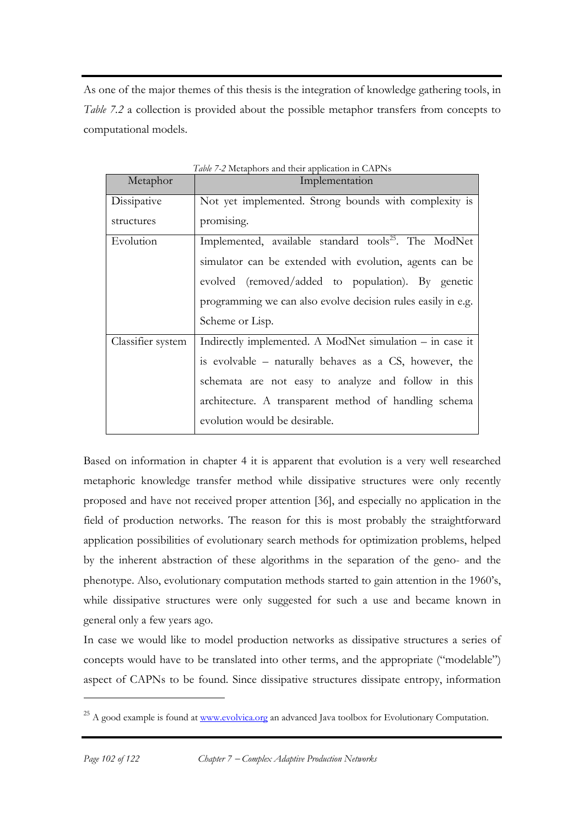As one of the major themes of this thesis is the integration of knowledge gathering tools, in *Table 7.2* a collection is provided about the possible metaphor transfers from concepts to computational models.

| Metaphor          | Implementation                                                   |  |  |  |
|-------------------|------------------------------------------------------------------|--|--|--|
| Dissipative       | Not yet implemented. Strong bounds with complexity is            |  |  |  |
| structures        | promising.                                                       |  |  |  |
| Evolution         | Implemented, available standard tools <sup>25</sup> . The ModNet |  |  |  |
|                   | simulator can be extended with evolution, agents can be          |  |  |  |
|                   | evolved (removed/added to population). By genetic                |  |  |  |
|                   | programming we can also evolve decision rules easily in e.g.     |  |  |  |
|                   | Scheme or Lisp.                                                  |  |  |  |
| Classifier system | Indirectly implemented. A ModNet simulation $-$ in case it       |  |  |  |
|                   | is evolvable – naturally behaves as a CS, however, the           |  |  |  |
|                   | schemata are not easy to analyze and follow in this              |  |  |  |
|                   | architecture. A transparent method of handling schema            |  |  |  |
|                   | evolution would be desirable.                                    |  |  |  |

Based on information in chapter 4 it is apparent that evolution is a very well researched metaphoric knowledge transfer method while dissipative structures were only recently proposed and have not received proper attention [36], and especially no application in the field of production networks. The reason for this is most probably the straightforward application possibilities of evolutionary search methods for optimization problems, helped by the inherent abstraction of these algorithms in the separation of the geno- and the phenotype. Also, evolutionary computation methods started to gain attention in the 1960's, while dissipative structures were only suggested for such a use and became known in general only a few years ago.

In case we would like to model production networks as dissipative structures a series of concepts would have to be translated into other terms, and the appropriate ("modelable") aspect of CAPNs to be found. Since dissipative structures dissipate entropy, information

 $\overline{a}$ 

 $^{25}$  A good example is found at www.evolvica.org an advanced Java toolbox for Evolutionary Computation.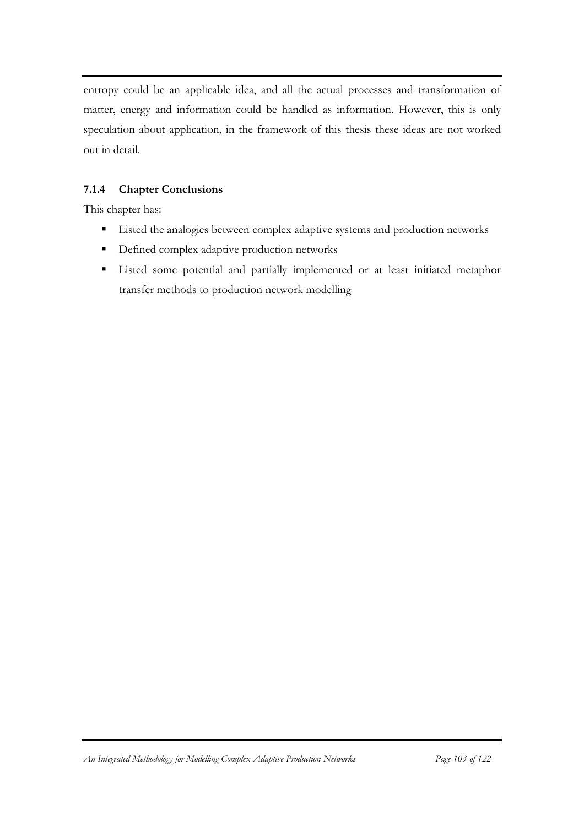entropy could be an applicable idea, and all the actual processes and transformation of matter, energy and information could be handled as information. However, this is only speculation about application, in the framework of this thesis these ideas are not worked out in detail.

#### **7.1.4 Chapter Conclusions**

This chapter has:

- Listed the analogies between complex adaptive systems and production networks
- Defined complex adaptive production networks
- Listed some potential and partially implemented or at least initiated metaphor transfer methods to production network modelling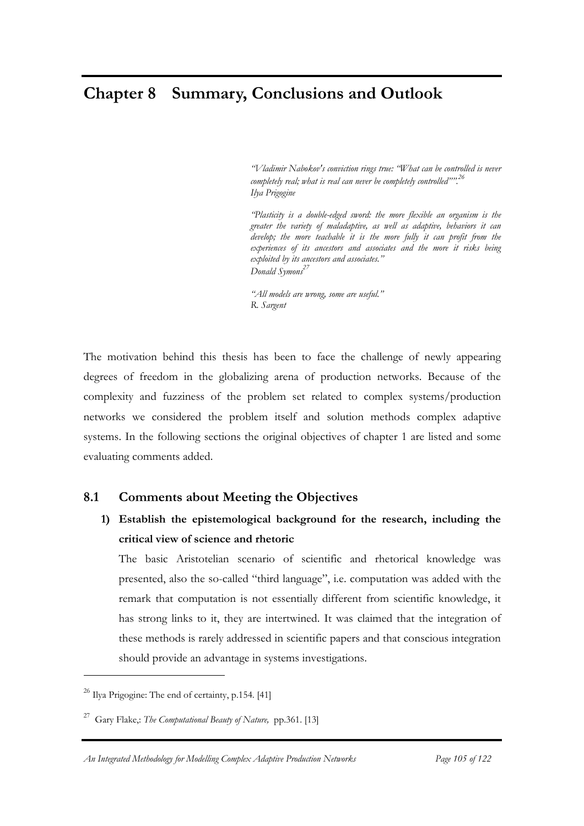## **Chapter 8 Summary, Conclusions and Outlook**

*"Vladimir Nabokov's conviction rings true: "What can be controlled is never completely real; what is real can never be completely controlled"".26 Ilya Prigogine* 

*"Plasticity is a double-edged sword: the more flexible an organism is the greater the variety of maladaptive, as well as adaptive, behaviors it can develop; the more teachable it is the more fully it can profit from the experiences of its ancestors and associates and the more it risks being exploited by its ancestors and associates." Donald Symons27*

*"All models are wrong, some are useful." R. Sargent* 

The motivation behind this thesis has been to face the challenge of newly appearing degrees of freedom in the globalizing arena of production networks. Because of the complexity and fuzziness of the problem set related to complex systems/production networks we considered the problem itself and solution methods complex adaptive systems. In the following sections the original objectives of chapter 1 are listed and some evaluating comments added.

#### **8.1 Comments about Meeting the Objectives**

**1) Establish the epistemological background for the research, including the critical view of science and rhetoric** 

The basic Aristotelian scenario of scientific and rhetorical knowledge was presented, also the so-called "third language", i.e. computation was added with the remark that computation is not essentially different from scientific knowledge, it has strong links to it, they are intertwined. It was claimed that the integration of these methods is rarely addressed in scientific papers and that conscious integration should provide an advantage in systems investigations.

 $\overline{a}$ 

<sup>26</sup> Ilya Prigogine: The end of certainty, p.154. [41]

<sup>27</sup> Gary Flake,: *The Computational Beauty of Nature,* pp.361. [13]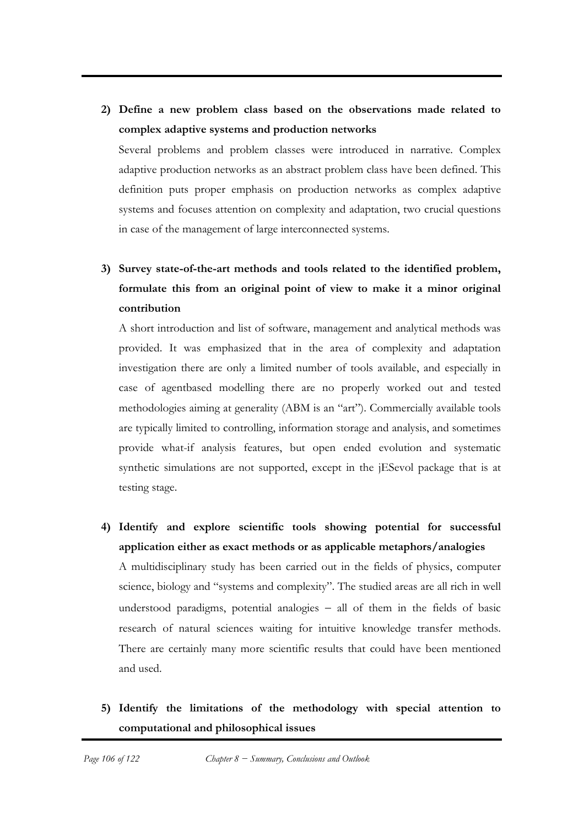**2) Define a new problem class based on the observations made related to complex adaptive systems and production networks** 

Several problems and problem classes were introduced in narrative. Complex adaptive production networks as an abstract problem class have been defined. This definition puts proper emphasis on production networks as complex adaptive systems and focuses attention on complexity and adaptation, two crucial questions in case of the management of large interconnected systems.

## **3) Survey state-of-the-art methods and tools related to the identified problem, formulate this from an original point of view to make it a minor original contribution**

A short introduction and list of software, management and analytical methods was provided. It was emphasized that in the area of complexity and adaptation investigation there are only a limited number of tools available, and especially in case of agentbased modelling there are no properly worked out and tested methodologies aiming at generality (ABM is an "art"). Commercially available tools are typically limited to controlling, information storage and analysis, and sometimes provide what-if analysis features, but open ended evolution and systematic synthetic simulations are not supported, except in the jESevol package that is at testing stage.

- **4) Identify and explore scientific tools showing potential for successful application either as exact methods or as applicable metaphors/analogies**  A multidisciplinary study has been carried out in the fields of physics, computer science, biology and "systems and complexity". The studied areas are all rich in well understood paradigms, potential analogies − all of them in the fields of basic research of natural sciences waiting for intuitive knowledge transfer methods. There are certainly many more scientific results that could have been mentioned and used.
- **5) Identify the limitations of the methodology with special attention to computational and philosophical issues**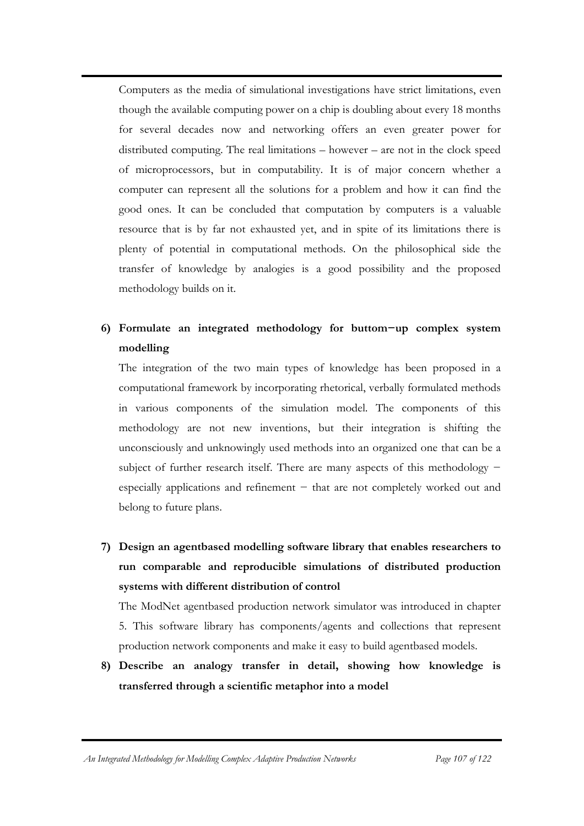Computers as the media of simulational investigations have strict limitations, even though the available computing power on a chip is doubling about every 18 months for several decades now and networking offers an even greater power for distributed computing. The real limitations – however – are not in the clock speed of microprocessors, but in computability. It is of major concern whether a computer can represent all the solutions for a problem and how it can find the good ones. It can be concluded that computation by computers is a valuable resource that is by far not exhausted yet, and in spite of its limitations there is plenty of potential in computational methods. On the philosophical side the transfer of knowledge by analogies is a good possibility and the proposed methodology builds on it.

#### **6) Formulate an integrated methodology for buttom−up complex system modelling**

The integration of the two main types of knowledge has been proposed in a computational framework by incorporating rhetorical, verbally formulated methods in various components of the simulation model. The components of this methodology are not new inventions, but their integration is shifting the unconsciously and unknowingly used methods into an organized one that can be a subject of further research itself. There are many aspects of this methodology − especially applications and refinement − that are not completely worked out and belong to future plans.

**7) Design an agentbased modelling software library that enables researchers to run comparable and reproducible simulations of distributed production systems with different distribution of control** 

The ModNet agentbased production network simulator was introduced in chapter 5. This software library has components/agents and collections that represent production network components and make it easy to build agentbased models.

**8) Describe an analogy transfer in detail, showing how knowledge is transferred through a scientific metaphor into a model** 

*An Integrated Methodology for Modelling Complex Adaptive Production Networks Page 107 of 122*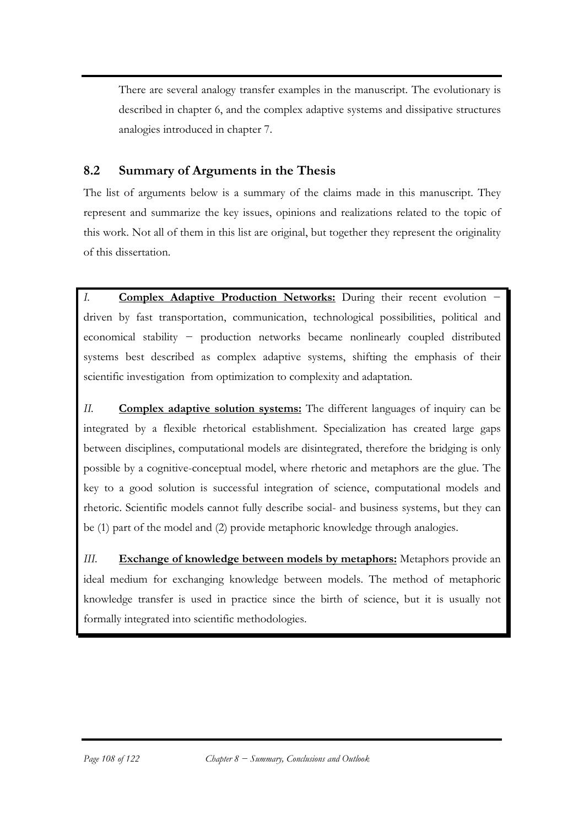There are several analogy transfer examples in the manuscript. The evolutionary is described in chapter 6, and the complex adaptive systems and dissipative structures analogies introduced in chapter 7.

#### **8.2 Summary of Arguments in the Thesis**

The list of arguments below is a summary of the claims made in this manuscript. They represent and summarize the key issues, opinions and realizations related to the topic of this work. Not all of them in this list are original, but together they represent the originality of this dissertation.

*I.* **Complex Adaptive Production Networks:** During their recent evolution − driven by fast transportation, communication, technological possibilities, political and economical stability − production networks became nonlinearly coupled distributed systems best described as complex adaptive systems, shifting the emphasis of their scientific investigation from optimization to complexity and adaptation.

*II.* **Complex adaptive solution systems:** The different languages of inquiry can be integrated by a flexible rhetorical establishment. Specialization has created large gaps between disciplines, computational models are disintegrated, therefore the bridging is only possible by a cognitive-conceptual model, where rhetoric and metaphors are the glue. The key to a good solution is successful integration of science, computational models and rhetoric. Scientific models cannot fully describe social- and business systems, but they can be (1) part of the model and (2) provide metaphoric knowledge through analogies.

*III.* **Exchange of knowledge between models by metaphors:** Metaphors provide an ideal medium for exchanging knowledge between models. The method of metaphoric knowledge transfer is used in practice since the birth of science, but it is usually not formally integrated into scientific methodologies.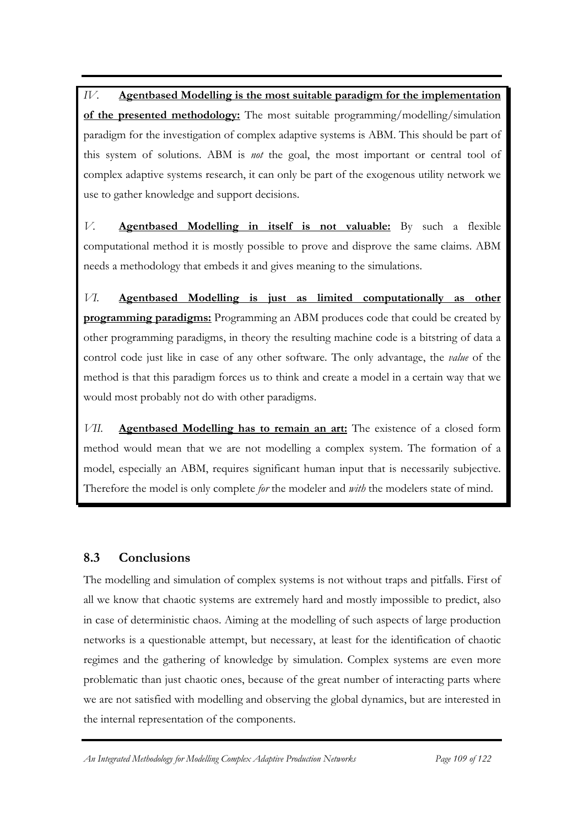*IV.* **Agentbased Modelling is the most suitable paradigm for the implementation of the presented methodology:** The most suitable programming/modelling/simulation paradigm for the investigation of complex adaptive systems is ABM. This should be part of this system of solutions. ABM is *not* the goal, the most important or central tool of complex adaptive systems research, it can only be part of the exogenous utility network we use to gather knowledge and support decisions.

*V.* **Agentbased Modelling in itself is not valuable:** By such a flexible computational method it is mostly possible to prove and disprove the same claims. ABM needs a methodology that embeds it and gives meaning to the simulations.

*VI.* **Agentbased Modelling is just as limited computationally as other programming paradigms:** Programming an ABM produces code that could be created by other programming paradigms, in theory the resulting machine code is a bitstring of data a control code just like in case of any other software. The only advantage, the *value* of the method is that this paradigm forces us to think and create a model in a certain way that we would most probably not do with other paradigms.

*VII.* **Agentbased Modelling has to remain an art:** The existence of a closed form method would mean that we are not modelling a complex system. The formation of a model, especially an ABM, requires significant human input that is necessarily subjective. Therefore the model is only complete *for* the modeler and *with* the modelers state of mind.

#### **8.3 Conclusions**

The modelling and simulation of complex systems is not without traps and pitfalls. First of all we know that chaotic systems are extremely hard and mostly impossible to predict, also in case of deterministic chaos. Aiming at the modelling of such aspects of large production networks is a questionable attempt, but necessary, at least for the identification of chaotic regimes and the gathering of knowledge by simulation. Complex systems are even more problematic than just chaotic ones, because of the great number of interacting parts where we are not satisfied with modelling and observing the global dynamics, but are interested in the internal representation of the components.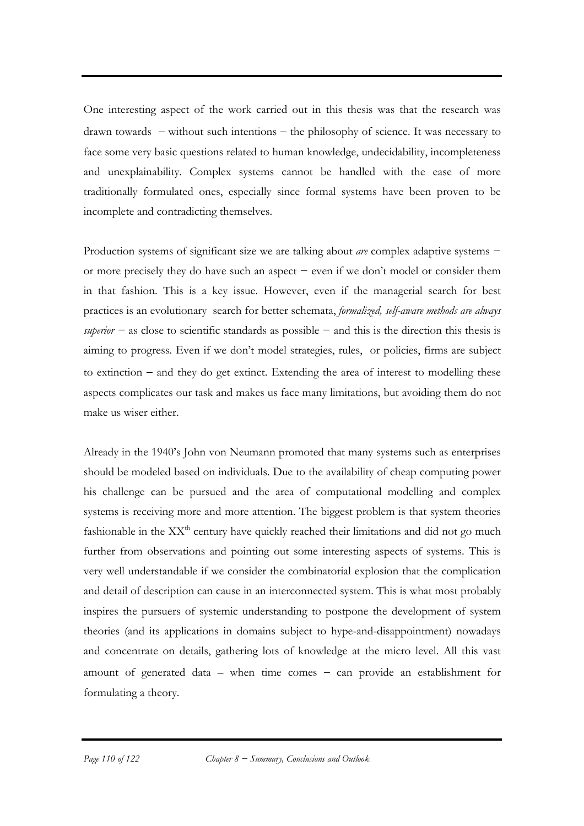One interesting aspect of the work carried out in this thesis was that the research was drawn towards − without such intentions − the philosophy of science. It was necessary to face some very basic questions related to human knowledge, undecidability, incompleteness and unexplainability. Complex systems cannot be handled with the ease of more traditionally formulated ones, especially since formal systems have been proven to be incomplete and contradicting themselves.

Production systems of significant size we are talking about *are* complex adaptive systems − or more precisely they do have such an aspect − even if we don't model or consider them in that fashion. This is a key issue. However, even if the managerial search for best practices is an evolutionary search for better schemata, *formalized, self-aware methods are always superior* − as close to scientific standards as possible − and this is the direction this thesis is aiming to progress. Even if we don't model strategies, rules, or policies, firms are subject to extinction − and they do get extinct. Extending the area of interest to modelling these aspects complicates our task and makes us face many limitations, but avoiding them do not make us wiser either.

Already in the 1940's John von Neumann promoted that many systems such as enterprises should be modeled based on individuals. Due to the availability of cheap computing power his challenge can be pursued and the area of computational modelling and complex systems is receiving more and more attention. The biggest problem is that system theories fashionable in the XX<sup>th</sup> century have quickly reached their limitations and did not go much further from observations and pointing out some interesting aspects of systems. This is very well understandable if we consider the combinatorial explosion that the complication and detail of description can cause in an interconnected system. This is what most probably inspires the pursuers of systemic understanding to postpone the development of system theories (and its applications in domains subject to hype-and-disappointment) nowadays and concentrate on details, gathering lots of knowledge at the micro level. All this vast amount of generated data – when time comes − can provide an establishment for formulating a theory.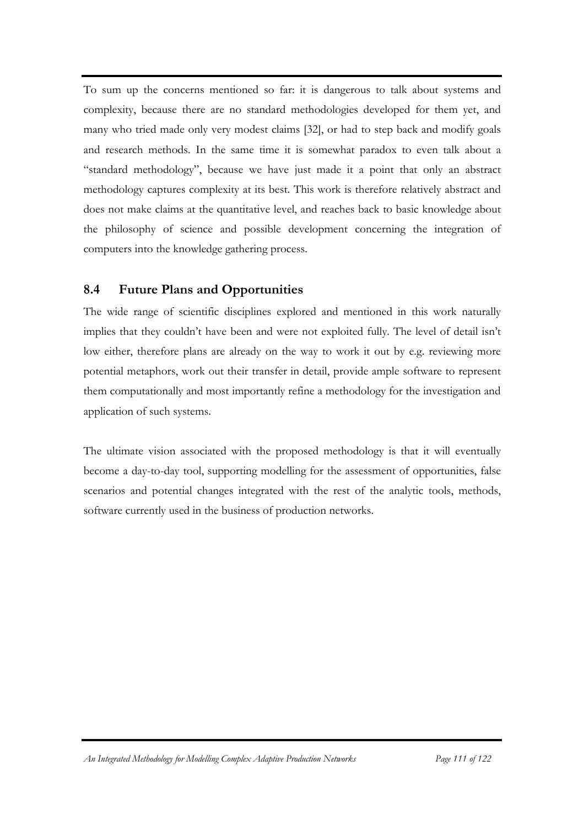To sum up the concerns mentioned so far: it is dangerous to talk about systems and complexity, because there are no standard methodologies developed for them yet, and many who tried made only very modest claims [32], or had to step back and modify goals and research methods. In the same time it is somewhat paradox to even talk about a "standard methodology", because we have just made it a point that only an abstract methodology captures complexity at its best. This work is therefore relatively abstract and does not make claims at the quantitative level, and reaches back to basic knowledge about the philosophy of science and possible development concerning the integration of computers into the knowledge gathering process.

#### **8.4 Future Plans and Opportunities**

The wide range of scientific disciplines explored and mentioned in this work naturally implies that they couldn't have been and were not exploited fully. The level of detail isn't low either, therefore plans are already on the way to work it out by e.g. reviewing more potential metaphors, work out their transfer in detail, provide ample software to represent them computationally and most importantly refine a methodology for the investigation and application of such systems.

The ultimate vision associated with the proposed methodology is that it will eventually become a day-to-day tool, supporting modelling for the assessment of opportunities, false scenarios and potential changes integrated with the rest of the analytic tools, methods, software currently used in the business of production networks.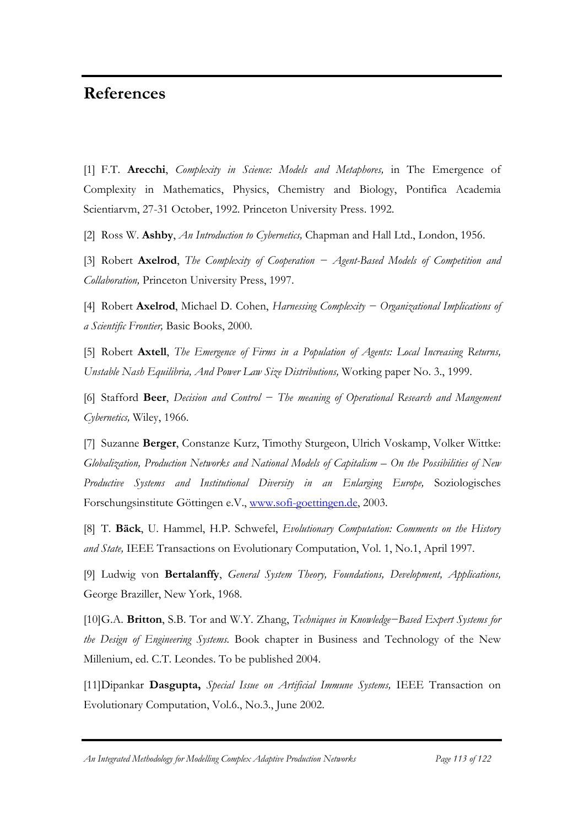### **References**

[1] F.T. **Arecchi**, *Complexity in Science: Models and Metaphores,* in The Emergence of Complexity in Mathematics, Physics, Chemistry and Biology, Pontifica Academia Scientiarvm, 27-31 October, 1992. Princeton University Press. 1992.

[2] Ross W. **Ashby**, *An Introduction to Cybernetics,* Chapman and Hall Ltd., London, 1956.

[3] Robert **Axelrod**, *The Complexity of Cooperation − Agent-Based Models of Competition and Collaboration,* Princeton University Press, 1997.

[4] Robert **Axelrod**, Michael D. Cohen, *Harnessing Complexity − Organizational Implications of a Scientific Frontier,* Basic Books, 2000.

[5] Robert **Axtell**, *The Emergence of Firms in a Population of Agents: Local Increasing Returns, Unstable Nash Equilibria, And Power Law Size Distributions,* Working paper No. 3., 1999.

[6] Stafford **Beer**, *Decision and Control − The meaning of Operational Research and Mangement Cybernetics,* Wiley, 1966.

[7] Suzanne **Berger**, Constanze Kurz, Timothy Sturgeon, Ulrich Voskamp, Volker Wittke: *Globalization, Production Networks and National Models of Capitalism – On the Possibilities of New Productive Systems and Institutional Diversity in an Enlarging Europe,* Soziologisches Forschungsinstitute Göttingen e.V., www.sofi-goettingen.de, 2003.

[8] T. **Bäck**, U. Hammel, H.P. Schwefel, *Evolutionary Computation: Comments on the History and State,* IEEE Transactions on Evolutionary Computation, Vol. 1, No.1, April 1997.

[9] Ludwig von **Bertalanffy**, *General System Theory, Foundations, Development, Applications,*  George Braziller, New York, 1968.

[10]G.A. **Britton**, S.B. Tor and W.Y. Zhang, *Techniques in Knowledge−Based Expert Systems for the Design of Engineering Systems.* Book chapter in Business and Technology of the New Millenium, ed. C.T. Leondes. To be published 2004.

[11]Dipankar **Dasgupta,** *Special Issue on Artificial Immune Systems,* IEEE Transaction on Evolutionary Computation, Vol.6., No.3., June 2002.

*An Integrated Methodology for Modelling Complex Adaptive Production Networks Page 113 of 122*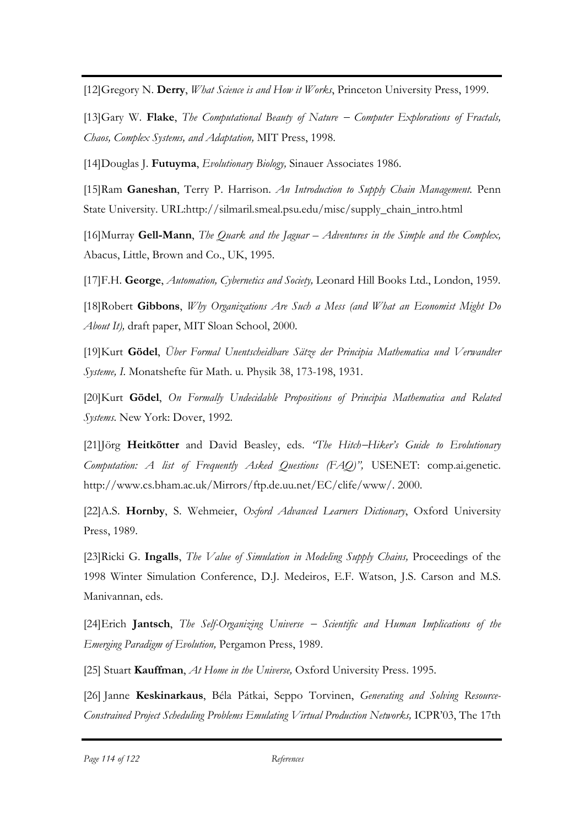[12]Gregory N. **Derry**, *What Science is and How it Works*, Princeton University Press, 1999.

[13]Gary W. **Flake**, *The Computational Beauty of Nature* − *Computer Explorations of Fractals, Chaos, Complex Systems, and Adaptation,* MIT Press, 1998.

[14]Douglas J. **Futuyma**, *Evolutionary Biology,* Sinauer Associates 1986.

[15]Ram **Ganeshan**, Terry P. Harrison. *An Introduction to Supply Chain Management.* Penn State University. URL:http://silmaril.smeal.psu.edu/misc/supply\_chain\_intro.html

[16]Murray **Gell-Mann**, *The Quark and the Jaguar – Adventures in the Simple and the Complex,*  Abacus, Little, Brown and Co., UK, 1995.

[17]F.H. **George**, *Automation, Cybernetics and Society,* Leonard Hill Books Ltd., London, 1959.

[18]Robert **Gibbons**, *Why Organizations Are Such a Mess (and What an Economist Might Do About It),* draft paper, MIT Sloan School, 2000.

[19]Kurt **Gödel**, *Über Formal Unentscheidbare Sätze der Principia Mathematica und Verwandter Systeme, I.* Monatshefte für Math. u. Physik 38, 173-198, 1931.

[20]Kurt **Gödel**, *On Formally Undecidable Propositions of Principia Mathematica and Related Systems*. New York: Dover, 1992.

[21]Jörg **Heitkötter** and David Beasley, eds. *"The Hitch*−*Hiker's Guide to Evolutionary Computation: A list of Frequently Asked Questions (FAQ)",* USENET: comp.ai.genetic. http://www.cs.bham.ac.uk/Mirrors/ftp.de.uu.net/EC/clife/www/. 2000.

[22]A.S. **Hornby**, S. Wehmeier, *Oxford Advanced Learners Dictionary*, Oxford University Press, 1989.

[23]Ricki G. **Ingalls**, *The Value of Simulation in Modeling Supply Chains,* Proceedings of the 1998 Winter Simulation Conference, D.J. Medeiros, E.F. Watson, J.S. Carson and M.S. Manivannan, eds.

[24]Erich **Jantsch**, *The Self-Organizing Universe* − *Scientific and Human Implications of the Emerging Paradigm of Evolution,* Pergamon Press, 1989.

[25] Stuart **Kauffman**, *At Home in the Universe,* Oxford University Press. 1995.

[26] Janne **Keskinarkaus**, Béla Pátkai, Seppo Torvinen, *Generating and Solving Resource-Constrained Project Scheduling Problems Emulating Virtual Production Networks,* ICPR'03, The 17th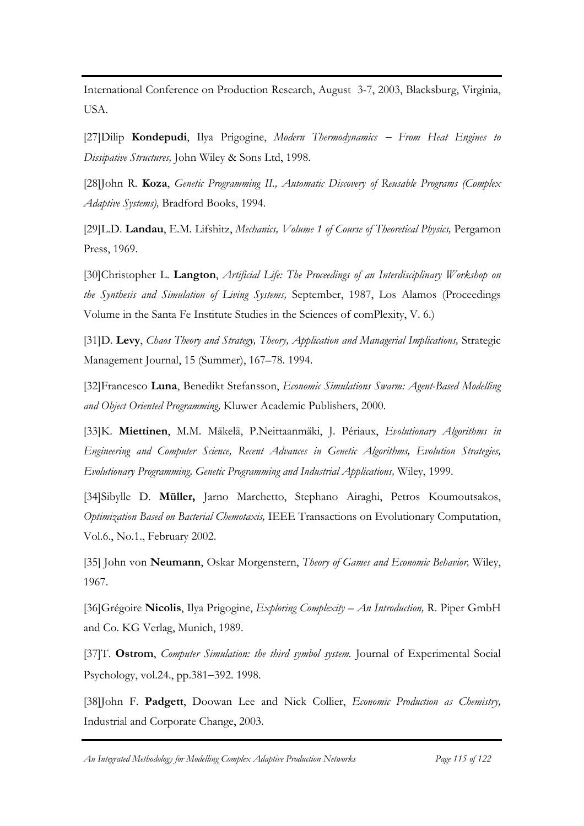International Conference on Production Research, August 3-7, 2003, Blacksburg, Virginia, USA.

[27]Dilip **Kondepudi**, Ilya Prigogine, *Modern Thermodynamics* − *From Heat Engines to Dissipative Structures,* John Wiley & Sons Ltd, 1998.

[28]John R. **Koza**, *Genetic Programming II., Automatic Discovery of Reusable Programs (Complex Adaptive Systems),* Bradford Books, 1994.

[29]L.D. **Landau**, E.M. Lifshitz, *Mechanics, Volume 1 of Course of Theoretical Physics,* Pergamon Press, 1969.

[30]Christopher L. **Langton**, *Artificial Life: The Proceedings of an Interdisciplinary Workshop on the Synthesis and Simulation of Living Systems,* September, 1987, Los Alamos (Proceedings Volume in the Santa Fe Institute Studies in the Sciences of comPlexity, V. 6.)

[31]D. **Levy**, *Chaos Theory and Strategy, Theory, Application and Managerial Implications,* Strategic Management Journal, 15 (Summer), 167–78. 1994.

[32]Francesco **Luna**, Benedikt Stefansson, *Economic Simulations Swarm: Agent-Based Modelling and Object Oriented Programming,* Kluwer Academic Publishers, 2000.

[33]K. **Miettinen**, M.M. Mäkelä, P.Neittaanmäki, J. Périaux, *Evolutionary Algorithms in Engineering and Computer Science, Recent Advances in Genetic Algorithms, Evolution Strategies, Evolutionary Programming, Genetic Programming and Industrial Applications,* Wiley, 1999.

[34]Sibylle D. **Müller,** Jarno Marchetto, Stephano Airaghi, Petros Koumoutsakos, *Optimization Based on Bacterial Chemotaxis,* IEEE Transactions on Evolutionary Computation, Vol.6., No.1., February 2002.

[35] John von **Neumann**, Oskar Morgenstern, *Theory of Games and Economic Behavior,* Wiley, 1967.

[36]Grégoire **Nicolis**, Ilya Prigogine, *Exploring Complexity – An Introduction,* R. Piper GmbH and Co. KG Verlag, Munich, 1989.

[37]T. **Ostrom**, *Computer Simulation: the third symbol system.* Journal of Experimental Social Psychology, vol.24., pp.381−392. 1998.

[38]John F. **Padgett**, Doowan Lee and Nick Collier, *Economic Production as Chemistry,* Industrial and Corporate Change, 2003.

*An Integrated Methodology for Modelling Complex Adaptive Production Networks Page 115 of 122*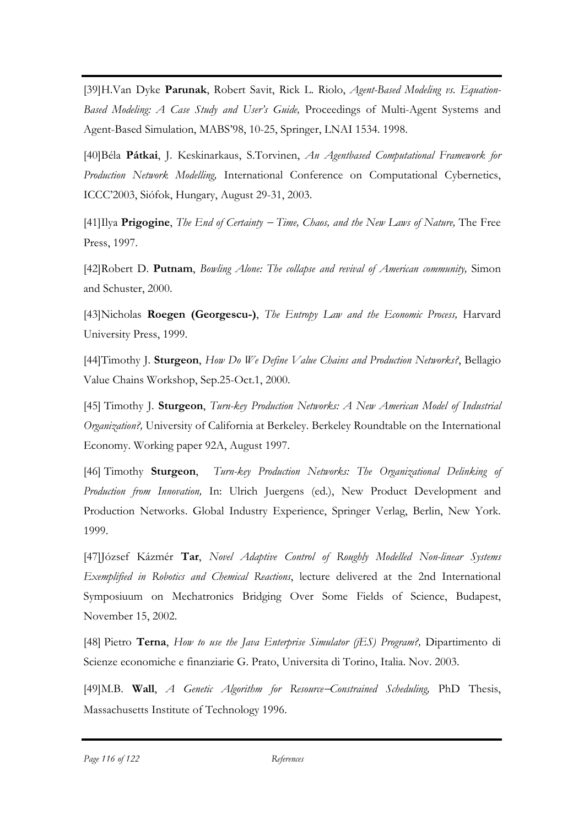[39]H.Van Dyke **Parunak**, Robert Savit, Rick L. Riolo, *Agent-Based Modeling vs. Equation-Based Modeling: A Case Study and User's Guide,* Proceedings of Multi-Agent Systems and Agent-Based Simulation, MABS'98, 10-25, Springer, LNAI 1534. 1998.

[40]Béla **Pátkai**, J. Keskinarkaus, S.Torvinen, *An Agentbased Computational Framework for Production Network Modelling,* International Conference on Computational Cybernetics, ICCC'2003, Siófok, Hungary, August 29-31, 2003.

[41]Ilya **Prigogine**, *The End of Certainty* − *Time, Chaos, and the New Laws of Nature,* The Free Press, 1997.

[42]Robert D. **Putnam**, *Bowling Alone: The collapse and revival of American community,* Simon and Schuster, 2000.

[43]Nicholas **Roegen (Georgescu-)**, *The Entropy Law and the Economic Process,* Harvard University Press, 1999.

[44]Timothy J. **Sturgeon**, *How Do We Define Value Chains and Production Networks?*, Bellagio Value Chains Workshop, Sep.25-Oct.1, 2000.

[45] Timothy J. **Sturgeon**, *Turn-key Production Networks: A New American Model of Industrial Organization?,* University of California at Berkeley. Berkeley Roundtable on the International Economy. Working paper 92A, August 1997.

[46] Timothy **Sturgeon**, *Turn-key Production Networks: The Organizational Delinking of Production from Innovation,* In: Ulrich Juergens (ed.), New Product Development and Production Networks. Global Industry Experience, Springer Verlag, Berlin, New York. 1999.

[47]József Kázmér **Tar**, *Novel Adaptive Control of Roughly Modelled Non-linear Systems Exemplified in Robotics and Chemical Reactions*, lecture delivered at the 2nd International Symposiuum on Mechatronics Bridging Over Some Fields of Science, Budapest, November 15, 2002.

[48] Pietro **Terna**, *How to use the Java Enterprise Simulator (jES) Program?,* Dipartimento di Scienze economiche e finanziarie G. Prato, Universita di Torino, Italia. Nov. 2003.

[49]M.B. **Wall**, *A Genetic Algorithm for Resource*−*Constrained Scheduling,* PhD Thesis, Massachusetts Institute of Technology 1996.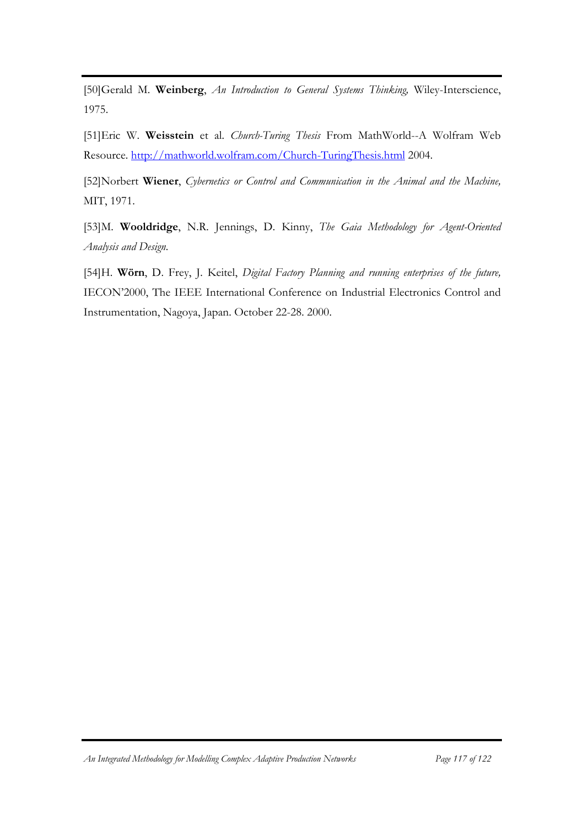[50]Gerald M. **Weinberg**, *An Introduction to General Systems Thinking,* Wiley-Interscience, 1975.

[51]Eric W. **Weisstein** et al. *Church-Turing Thesis* From MathWorld--A Wolfram Web Resource. http://mathworld.wolfram.com/Church-TuringThesis.html 2004.

[52]Norbert **Wiener**, *Cybernetics or Control and Communication in the Animal and the Machine,*  MIT, 1971.

[53]M. **Wooldridge**, N.R. Jennings, D. Kinny, *The Gaia Methodology for Agent-Oriented Analysis and Design*.

[54]H. **Wörn**, D. Frey, J. Keitel, *Digital Factory Planning and running enterprises of the future,* IECON'2000, The IEEE International Conference on Industrial Electronics Control and Instrumentation, Nagoya, Japan. October 22-28. 2000.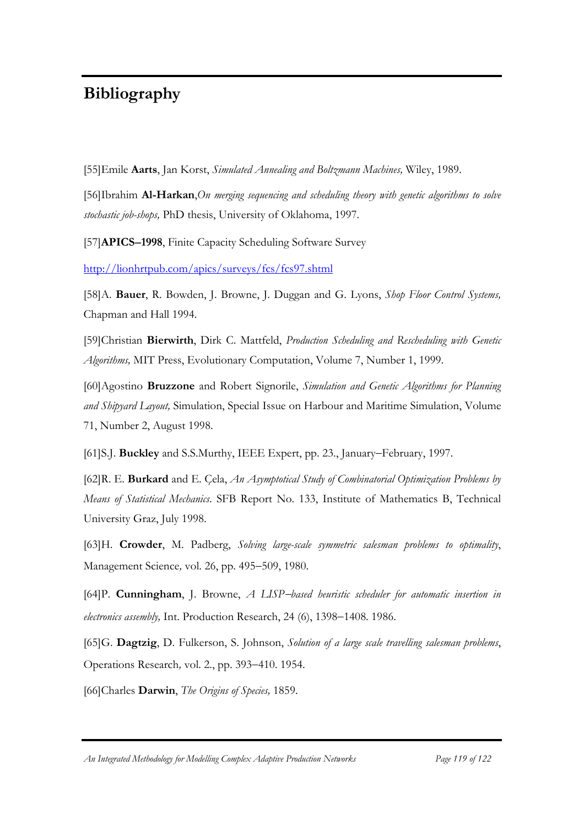# **Bibliography**

[55]Emile **Aarts**, Jan Korst, *Simulated Annealing and Boltzmann Machines,* Wiley, 1989.

[56]Ibrahim **Al-Harkan**,*On merging sequencing and scheduling theory with genetic algorithms to solve stochastic job-shops,* PhD thesis, University of Oklahoma, 1997.

[57]**APICS**−**1998**, Finite Capacity Scheduling Software Survey

http://lionhrtpub.com/apics/surveys/fcs/fcs97.shtml

[58]A. **Bauer**, R. Bowden, J. Browne, J. Duggan and G. Lyons, *Shop Floor Control Systems,*  Chapman and Hall 1994.

[59]Christian **Bierwirth**, Dirk C. Mattfeld, *Production Scheduling and Rescheduling with Genetic Algorithms,* MIT Press, Evolutionary Computation, Volume 7, Number 1, 1999.

[60]Agostino **Bruzzone** and Robert Signorile, *Simulation and Genetic Algorithms for Planning and Shipyard Layout,* Simulation, Special Issue on Harbour and Maritime Simulation, Volume 71, Number 2, August 1998.

[61]S.J. **Buckley** and S.S.Murthy, IEEE Expert, pp. 23., January−February, 1997.

[62]R. E. **Burkard** and E. Çela, *An Asymptotical Study of Combinatorial Optimization Problems by Means of Statistical Mechanics*. SFB Report No. 133, Institute of Mathematics B, Technical University Graz, July 1998.

[63]H. **Crowder**, M. Padberg, *Solving large-scale symmetric salesman problems to optimality*, Management Science*,* vol. 26, pp. 495−509, 1980.

[64]P. **Cunningham**, J. Browne, *A LISP*−*based heuristic scheduler for automatic insertion in electronics assembly,* Int. Production Research, 24 (6), 1398−1408. 1986.

[65]G. **Dagtzig**, D. Fulkerson, S. Johnson, *Solution of a large scale travelling salesman problems*, Operations Research*,* vol. 2., pp. 393−410. 1954.

[66]Charles **Darwin**, *The Origins of Species,* 1859.

*An Integrated Methodology for Modelling Complex Adaptive Production Networks Page 119 of 122*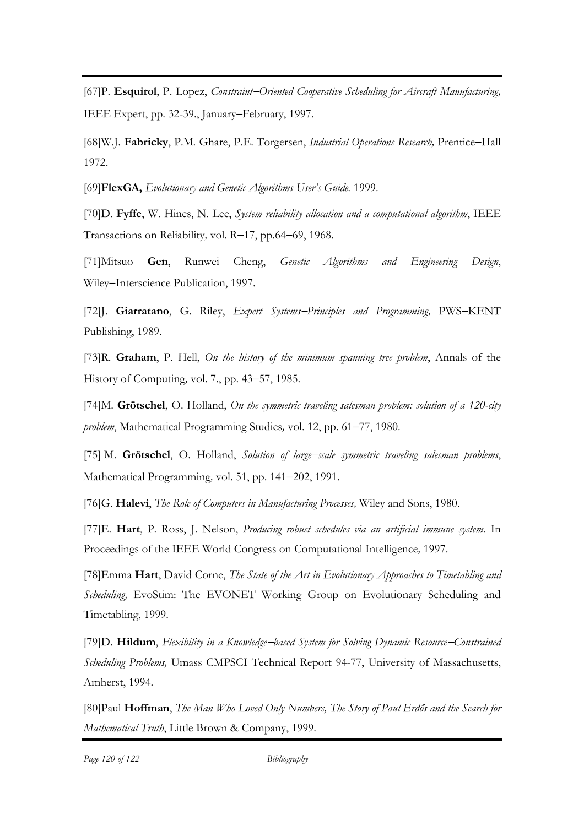[67]P. **Esquirol**, P. Lopez, *Constraint*−*Oriented Cooperative Scheduling for Aircraft Manufacturing,*  IEEE Expert, pp. 32-39., January−February, 1997.

[68]W.J. **Fabricky**, P.M. Ghare, P.E. Torgersen, *Industrial Operations Research,* Prentice−Hall 1972.

[69]**FlexGA,** *Evolutionary and Genetic Algorithms User's Guide.* 1999.

[70]D. **Fyffe**, W. Hines, N. Lee, *System reliability allocation and a computational algorithm*, IEEE Transactions on Reliability*,* vol. R−17, pp.64−69, 1968.

[71]Mitsuo **Gen**, Runwei Cheng, *Genetic Algorithms and Engineering Design*, Wiley−Interscience Publication, 1997.

[72]J. **Giarratano**, G. Riley, *Expert Systems*−*Principles and Programming,* PWS−KENT Publishing, 1989.

[73]R. **Graham**, P. Hell, *On the history of the minimum spanning tree problem*, Annals of the History of Computing*,* vol. 7., pp. 43−57, 1985.

[74]M. **Grötschel**, O. Holland, *On the symmetric traveling salesman problem: solution of a 120-city problem*, Mathematical Programming Studies*,* vol. 12, pp. 61−77, 1980.

[75] M. **Grötschel**, O. Holland, *Solution of large*−*scale symmetric traveling salesman problems*, Mathematical Programming*,* vol. 51, pp. 141−202, 1991.

[76]G. **Halevi**, *The Role of Computers in Manufacturing Processes,* Wiley and Sons, 1980.

[77]E. **Hart**, P. Ross, J. Nelson, *Producing robust schedules via an artificial immune system*. In Proceedings of the IEEE World Congress on Computational Intelligence*,* 1997.

[78]Emma **Hart**, David Corne, *The State of the Art in Evolutionary Approaches to Timetabling and Scheduling,* EvoStim: The EVONET Working Group on Evolutionary Scheduling and Timetabling, 1999.

[79]D. **Hildum**, *Flexibility in a Knowledge*−*based System for Solving Dynamic Resource*−*Constrained Scheduling Problems,* Umass CMPSCI Technical Report 94-77, University of Massachusetts, Amherst, 1994.

[80]Paul **Hoffman**, *The Man Who Loved Only Numbers, The Story of Paul Erdős and the Search for Mathematical Truth*, Little Brown & Company, 1999.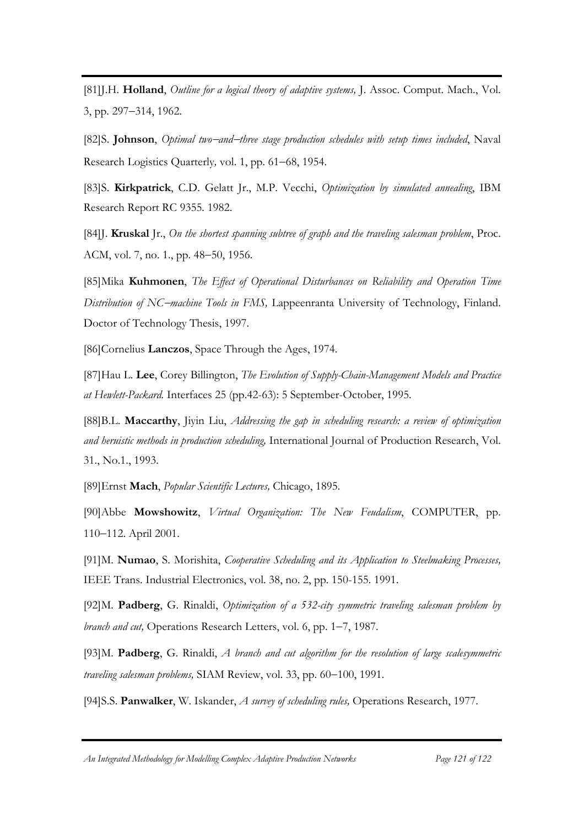[81]J.H. **Holland**, *Outline for a logical theory of adaptive systems,* J. Assoc. Comput. Mach., Vol. 3, pp. 297−314, 1962.

[82]S. **Johnson**, *Optimal two*−*and*−*three stage production schedules with setup times included*, Naval Research Logistics Quarterly*,* vol. 1, pp. 61−68, 1954.

[83]S. **Kirkpatrick**, C.D. Gelatt Jr., M.P. Vecchi, *Optimization by simulated annealing*, IBM Research Report RC 9355*.* 1982.

[84]J. **Kruskal** Jr., *On the shortest spanning subtree of graph and the traveling salesman problem*, Proc. ACM, vol. 7, no. 1., pp. 48−50, 1956.

[85]Mika **Kuhmonen**, *The Effect of Operational Disturbances on Reliability and Operation Time Distribution of NC*−*machine Tools in FMS,* Lappeenranta University of Technology, Finland. Doctor of Technology Thesis, 1997.

[86]Cornelius **Lanczos**, Space Through the Ages, 1974.

[87]Hau L. **Lee**, Corey Billington, *The Evolution of Supply-Chain-Management Models and Practice at Hewlett-Packard.* Interfaces 25 (pp.42-63): 5 September-October, 1995.

[88]B.L. **Maccarthy**, Jiyin Liu, *Addressing the gap in scheduling research: a review of optimization and heruistic methods in production scheduling,* International Journal of Production Research, Vol. 31., No.1., 1993.

[89]Ernst **Mach**, *Popular Scientific Lectures,* Chicago, 1895.

[90]Abbe **Mowshowitz**, *Virtual Organization: The New Feudalism*, COMPUTER, pp. 110−112. April 2001.

[91]M. **Numao**, S. Morishita, *Cooperative Scheduling and its Application to Steelmaking Processes,*  IEEE Trans. Industrial Electronics, vol. 38, no. 2, pp. 150-155. 1991.

[92]M. **Padberg**, G. Rinaldi, *Optimization of a 532-city symmetric traveling salesman problem by branch and cut,* Operations Research Letters, vol. 6, pp. 1−7, 1987.

[93]M. **Padberg**, G. Rinaldi, *A branch and cut algorithm for the resolution of large scalesymmetric traveling salesman problems,* SIAM Review, vol. 33, pp. 60−100, 1991.

[94]S.S. **Panwalker**, W. Iskander, *A survey of scheduling rules,* Operations Research, 1977.

*An Integrated Methodology for Modelling Complex Adaptive Production Networks Page 121 of 122*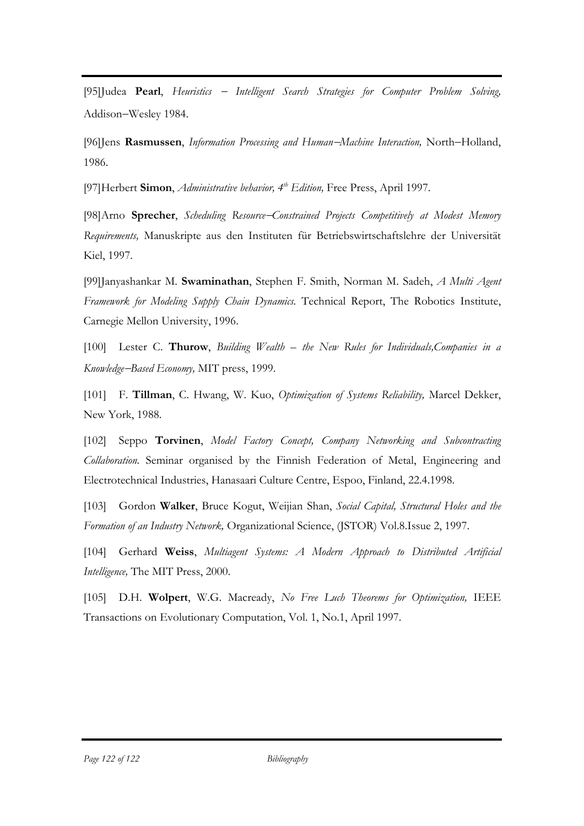[95]Judea **Pearl**, *Heuristics* − *Intelligent Search Strategies for Computer Problem Solving,*  Addison−Wesley 1984.

[96]Jens **Rasmussen**, *Information Processing and Human*−*Machine Interaction,* North−Holland, 1986.

[97]Herbert **Simon**, *Administrative behavior, 4th Edition,* Free Press, April 1997.

[98]Arno **Sprecher**, *Scheduling Resource*−*Constrained Projects Competitively at Modest Memory Requirements,* Manuskripte aus den Instituten für Betriebswirtschaftslehre der Universität Kiel, 1997.

[99]Janyashankar M. **Swaminathan**, Stephen F. Smith, Norman M. Sadeh, *A Multi Agent Framework for Modeling Supply Chain Dynamics.* Technical Report, The Robotics Institute, Carnegie Mellon University, 1996.

[100] Lester C. **Thurow**, *Building Wealth – the New Rules for Individuals,Companies in a Knowledge*−*Based Economy,* MIT press, 1999.

[101] F. **Tillman**, C. Hwang, W. Kuo, *Optimization of Systems Reliability,* Marcel Dekker, New York, 1988.

[102] Seppo **Torvinen**, *Model Factory Concept, Company Networking and Subcontracting Collaboration.* Seminar organised by the Finnish Federation of Metal, Engineering and Electrotechnical Industries, Hanasaari Culture Centre, Espoo, Finland, 22.4.1998.

[103] Gordon **Walker**, Bruce Kogut, Weijian Shan, *Social Capital, Structural Holes and the Formation of an Industry Network,* Organizational Science, (JSTOR) Vol.8.Issue 2, 1997.

[104] Gerhard **Weiss**, *Multiagent Systems: A Modern Approach to Distributed Artificial Intelligence,* The MIT Press, 2000.

[105] D.H. **Wolpert**, W.G. Macready, *No Free Luch Theorems for Optimization,* IEEE Transactions on Evolutionary Computation, Vol. 1, No.1, April 1997.